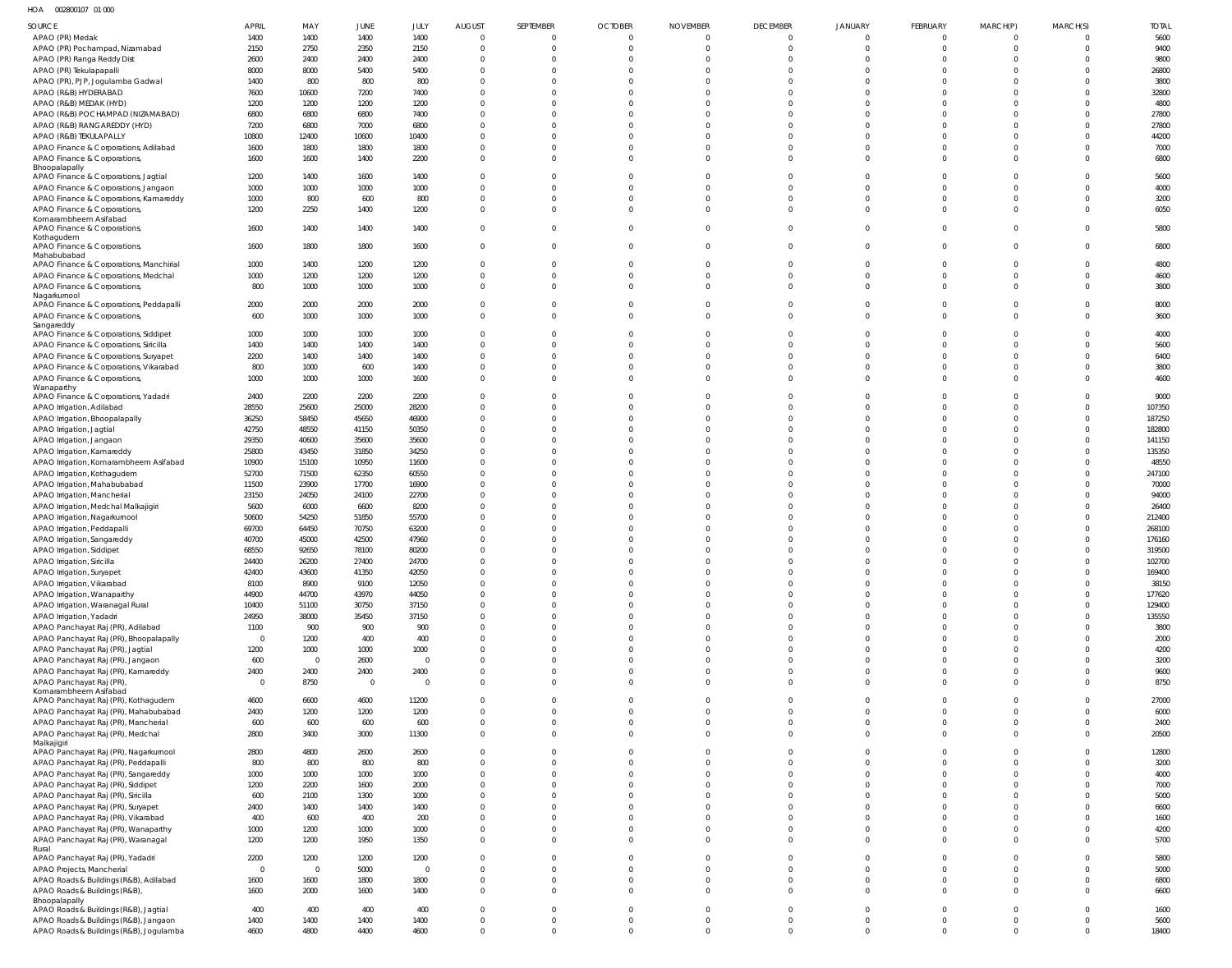HOA 002800107 01 000

| <b>SOURCE</b>                                                           | <b>APRIL</b>   | MAY                    | <b>JUNE</b>    | JULY                   | <b>AUGUST</b>           | SEPTEMBER                      | <b>OCTOBER</b>            | <b>NOVEMBER</b>            | <b>DECEMBER</b>               | <b>JANUARY</b>              | FEBRUARY                      | MARCH(P)                      | MARCH(S)             | <b>TOTAL</b>     |
|-------------------------------------------------------------------------|----------------|------------------------|----------------|------------------------|-------------------------|--------------------------------|---------------------------|----------------------------|-------------------------------|-----------------------------|-------------------------------|-------------------------------|----------------------|------------------|
| APAO (PR) Medak                                                         | 1400           | 1400                   | 1400           | 1400                   | $\mathbf 0$             | $\mathbf{0}$                   | $\mathbf 0$               | 0                          | $\overline{0}$                | $\overline{0}$              | $\overline{0}$                | $\overline{0}$                | $\Omega$             | 5600             |
| APAO (PR) Pochampad, Nizamabad                                          | 2150           | 2750                   | 2350           | 2150                   | $\Omega$                | $\overline{0}$                 | $\mathbf 0$               | $\Omega$                   | $\overline{0}$                | $\overline{0}$              | $\overline{0}$                | $\overline{0}$                | $\overline{0}$       | 9400             |
| APAO (PR) Ranga Reddy Dist<br>APAO (PR) Tekulapapalli                   | 2600<br>8000   | 2400<br>8000           | 2400<br>5400   | 2400<br>5400           | $\Omega$<br>$\Omega$    | $\Omega$<br>$\Omega$           | $\Omega$<br>$\Omega$      |                            | $\overline{0}$<br>$\mathbf 0$ | $\mathbf{0}$<br>$\mathbf 0$ | $\overline{0}$<br>$\mathbf 0$ | $\Omega$<br>$\Omega$          | $\Omega$<br>$\Omega$ | 9800<br>26800    |
| APAO (PR), PJP, Jogulamba Gadwal                                        | 1400           | 800                    | 800            | 800                    | $\Omega$                | $\Omega$                       | $\Omega$                  |                            | $\mathbf{0}$                  | $\mathbf 0$                 | $\mathbf 0$                   | $\Omega$                      | $\Omega$             | 3800             |
| APAO (R&B) HYDERABAD                                                    | 7600           | 10600                  | 7200           | 7400                   | $\Omega$                | $\Omega$                       | $\Omega$                  |                            | $\mathbf 0$                   | $\mathbf 0$                 | $\mathbf 0$                   | $\Omega$                      | $\Omega$             | 32800            |
| APAO (R&B) MEDAK (HYD)                                                  | 1200           | 1200                   | 1200           | 1200                   | $\Omega$                | $\Omega$                       | $\Omega$                  |                            | $\mathbf 0$                   | $\mathbf 0$                 | $\mathbf 0$                   | $\Omega$                      | $\Omega$             | 4800             |
| APAO (R&B) POCHAMPAD (NIZAMABAD)                                        | 6800           | 6800                   | 6800           | 7400                   | $\Omega$<br>$\Omega$    | $\Omega$<br>$\Omega$           | $\Omega$<br>$\Omega$      |                            | $\mathbf 0$<br>$\mathbf 0$    | $\mathbf 0$<br>$\mathbf 0$  | $\mathbf 0$<br>$\mathbf 0$    | $\Omega$<br>$\Omega$          | $\Omega$<br>$\Omega$ | 27800<br>27800   |
| APAO (R&B) RANGAREDDY (HYD)<br>APAO (R&B) TEKULAPALLY                   | 7200<br>10800  | 6800<br>12400          | 7000<br>10600  | 6800<br>10400          | $\Omega$                | $\Omega$                       | $\Omega$                  | $\Omega$                   | $\mathbf 0$                   | $\mathbf 0$                 | $\mathbf 0$                   | $\Omega$                      | $\Omega$             | 44200            |
| APAO Finance & Corporations, Adilabad                                   | 1600           | 1800                   | 1800           | 1800                   | $\Omega$                | $\overline{0}$                 | $\Omega$                  | $\Omega$                   | $\overline{0}$                | $\mathbf 0$                 | $\mathbf{0}$                  | $\Omega$                      | $\Omega$             | 7000             |
| APAO Finance & Corporations,                                            | 1600           | 1600                   | 1400           | 2200                   | $\Omega$                | $\Omega$                       | $\Omega$                  | $\Omega$                   | $\mathbf 0$                   | $\mathbf 0$                 | $\mathbf 0$                   | $\Omega$                      | $\Omega$             | 6800             |
| Bhoopalapally<br>APAO Finance & Corporations, Jagtial                   | 1200           | 1400                   | 1600           | 1400                   | $\Omega$                | $\Omega$                       | $\Omega$                  | <sup>0</sup>               | $\overline{0}$                | $\mathbf{0}$                | $\overline{0}$                | $\Omega$                      | $\Omega$             | 5600             |
| APAO Finance & Corporations, Jangaon                                    | 1000           | 1000                   | 1000           | 1000                   | $\Omega$                | $\Omega$                       | $\Omega$                  |                            | $\mathbf 0$                   | $\mathbf 0$                 | $\mathbf{0}$                  | $\Omega$                      | $\Omega$             | 4000             |
| APAO Finance & Corporations, Kamareddy                                  | 1000           | 800                    | 600            | 800                    | $\Omega$                | $\Omega$                       | $\Omega$                  |                            | $\mathbf 0$                   | $\mathbf 0$                 | $\mathbf 0$                   | $\Omega$                      | $\Omega$             | 3200             |
| APAO Finance & Corporations,<br>Komarambheem Asifabad                   | 1200           | 2250                   | 1400           | 1200                   | $\mathbf 0$             | $\mathbf{0}$                   | $\Omega$                  | $\Omega$                   | $\mathbf 0$                   | $\mathbf 0$                 | $\mathbf 0$                   | $\Omega$                      | $\overline{0}$       | 6050             |
| APAO Finance & Corporations,                                            | 1600           | 1400                   | 1400           | 1400                   | $\mathbf{0}$            | $\Omega$                       | $\mathbf 0$               | $\Omega$                   | $\overline{0}$                | $\overline{0}$              | $\mathbf{0}$                  | $\overline{0}$                | $\Omega$             | 5800             |
| Kothagudem                                                              |                |                        |                |                        |                         |                                |                           |                            |                               |                             |                               |                               |                      |                  |
| APAO Finance & Corporations,<br>Mahabubabad                             | 1600           | 1800                   | 1800           | 1600                   | $\mathbf{0}$            | $\mathbf 0$                    | $\mathbf 0$               | $\Omega$                   | $\overline{0}$                | $\mathbf 0$                 | $\mathbf{0}$                  | $\overline{0}$                | $\mathbf 0$          | 6800             |
| APAO Finance & Corporations, Manchirial                                 | 1000           | 1400                   | 1200           | 1200                   | $\mathbf 0$             | $\mathbf{0}$                   | $\mathbf 0$               | $\Omega$                   | $\overline{0}$                | $\mathbf{0}$                | $\overline{0}$                | $\overline{0}$                | $\overline{0}$       | 4800             |
| APAO Finance & Corporations, Medchal                                    | 1000           | 1200                   | 1200           | 1200                   | $\Omega$                | $\overline{0}$                 | $\mathbf 0$               | $\Omega$                   | $\overline{0}$                | $\mathbf 0$                 | $\mathbf{0}$                  | $\overline{0}$                | $\Omega$             | 4600             |
| APAO Finance & Corporations,<br>Nagarkurnool                            | 800            | 1000                   | 1000           | 1000                   | $\Omega$                | $\Omega$                       | $\Omega$                  | $\Omega$                   | $\overline{0}$                | $\mathbf 0$                 | $\overline{0}$                | $\Omega$                      | $\Omega$             | 3800             |
| APAO Finance & Corporations, Peddapalli                                 | 2000           | 2000                   | 2000           | 2000                   | $\Omega$                | $\mathbf{0}$                   | $\mathbf 0$               | $\Omega$                   | $\mathbf{0}$                  | $\mathbf{0}$                | $\mathbf 0$                   | $\Omega$                      | $\Omega$             | 8000             |
| APAO Finance & Corporations,<br>Sangareddy                              | 600            | 1000                   | 1000           | 1000                   | $\Omega$                | $\Omega$                       | $\Omega$                  |                            | $\overline{0}$                | $\overline{0}$              | $\overline{0}$                | $\Omega$                      | $\Omega$             | 3600             |
| APAO Finance & Corporations, Siddipet                                   | 1000           | 1000                   | 1000           | 1000                   | $\Omega$                | $\Omega$                       | $\Omega$                  |                            | $\mathbf 0$                   | $\mathbf 0$                 | $\mathbf 0$                   | $\Omega$                      | $\Omega$             | 4000             |
| APAO Finance & Corporations, Siricilla                                  | 1400           | 1400                   | 1400           | 1400                   | $\Omega$                | $\Omega$                       | $\Omega$                  |                            | $\mathbf 0$                   | $\mathbf 0$                 | $\mathbf 0$                   | $\Omega$                      | $\Omega$             | 5600             |
| APAO Finance & Corporations, Suryapet                                   | 2200           | 1400                   | 1400           | 1400                   | $\mathbf 0$             | $\overline{0}$                 | $\Omega$                  | $\Omega$                   | $\mathbf 0$                   | $\mathbf 0$                 | $\mathbf 0$                   | $\Omega$                      | $\overline{0}$       | 6400             |
| APAO Finance & Corporations, Vikarabad                                  | 800<br>1000    | 1000<br>1000           | 600<br>1000    | 1400<br>1600           | $\Omega$<br>$\mathbf 0$ | $\Omega$<br>$\overline{0}$     | $\Omega$<br>$\Omega$      | $\Omega$<br>$\Omega$       | $\overline{0}$<br>$\mathbf 0$ | $\mathbf 0$<br>$\mathbf 0$  | $\overline{0}$<br>$\mathbf 0$ | $\Omega$<br>$\Omega$          | $\Omega$<br>$\Omega$ | 3800<br>4600     |
| APAO Finance & Corporations,<br>Wanaparthy                              |                |                        |                |                        |                         |                                |                           |                            |                               |                             |                               |                               |                      |                  |
| APAO Finance & Corporations, Yadadri                                    | 2400           | 2200                   | 2200           | 2200                   | $\Omega$                | $\Omega$                       | $\mathbf 0$               | $\Omega$                   | $\overline{0}$                | $\mathbf{0}$                | $\mathbf{0}$                  | $\Omega$                      | $\Omega$             | 9000             |
| APAO Irrigation, Adilabad                                               | 28550          | 25600                  | 25000          | 28200                  | $\Omega$                | $\Omega$                       | $\Omega$                  |                            | $\mathbf 0$                   | $\mathbf 0$                 | $\mathbf 0$                   | $\Omega$                      | $\Omega$             | 107350           |
| APAO Irrigation, Bhoopalapally<br>APAO Irrigation, Jagtial              | 36250<br>42750 | 58450<br>48550         | 45650<br>41150 | 46900<br>50350         | $\Omega$<br>$\Omega$    | $\Omega$<br>$\Omega$           | $\Omega$<br>$\Omega$      |                            | $\mathbf{0}$<br>$\mathbf 0$   | $\mathbf 0$<br>$\mathbf 0$  | $\mathbf 0$<br>$\mathbf 0$    | $\Omega$<br>$\Omega$          | $\Omega$<br>$\Omega$ | 187250<br>182800 |
| APAO Irrigation, Jangaon                                                | 29350          | 40600                  | 35600          | 35600                  | $\Omega$                | $\Omega$                       | $\Omega$                  |                            | $\mathbf 0$                   | $\mathbf{0}$                | $\mathbf 0$                   | $\Omega$                      | $\Omega$             | 141150           |
| APAO Irrigation, Kamareddy                                              | 25800          | 43450                  | 31850          | 34250                  | $\Omega$                | $\Omega$                       | $\Omega$                  |                            | $\mathbf 0$                   | $\mathbf 0$                 | $\mathbf 0$                   | $\Omega$                      | $\Omega$             | 135350           |
| APAO Irrigation, Komarambheem Asifabad                                  | 10900          | 15100                  | 10950          | 11600                  | $\Omega$                | $\Omega$                       | $\Omega$                  |                            | $\mathbf 0$                   | $\mathbf{0}$                | $\mathbf 0$                   | $\Omega$                      | $\Omega$             | 48550            |
| APAO Irrigation, Kothagudem                                             | 52700<br>11500 | 71500<br>23900         | 62350<br>17700 | 60550<br>16900         | $\Omega$<br>$\Omega$    | $\Omega$<br>$\Omega$           | $\Omega$<br>$\Omega$      |                            | $\mathbf 0$<br>$\mathbf 0$    | $\mathbf 0$<br>$\mathbf 0$  | $\mathbf 0$<br>$\mathbf 0$    | $\Omega$<br>$\Omega$          | $\Omega$<br>$\Omega$ | 247100<br>70000  |
| APAO Irrigation, Mahabubabad<br>APAO Irrigation, Mancherial             | 23150          | 24050                  | 24100          | 22700                  | $\Omega$                | $\Omega$                       | $\Omega$                  |                            | $\Omega$                      | $\mathbf 0$                 | $\mathbf 0$                   | $\Omega$                      | $\Omega$             | 94000            |
| APAO Irrigation, Medchal Malkajigiri                                    | 5600           | 6000                   | 6600           | 8200                   | $\Omega$                | $\Omega$                       | $\Omega$                  |                            | $\mathbf 0$                   | $\mathbf 0$                 | $\mathbf 0$                   | $\Omega$                      | $\Omega$             | 26400            |
| APAO Irrigation, Nagarkurnool                                           | 50600          | 54250                  | 51850          | 55700                  | $\Omega$                | $\Omega$                       | $\Omega$                  |                            | $\Omega$                      | $\Omega$                    | $\mathbf 0$                   | $\Omega$                      | $\Omega$             | 212400           |
| APAO Irrigation, Peddapalli                                             | 69700          | 64450                  | 70750          | 63200                  | $\Omega$                | $\Omega$                       | $\Omega$                  |                            | $\mathbf 0$                   | $\mathbf 0$                 | $\mathbf 0$                   | $\Omega$                      |                      | 268100           |
| APAO Irrigation, Sangareddy<br>APAO Irrigation, Siddipet                | 40700<br>68550 | 45000<br>92650         | 42500<br>78100 | 47960<br>80200         | $\Omega$<br>$\mathbf 0$ | $\Omega$<br>$\Omega$           | $\Omega$<br>$\Omega$      | $\Omega$                   | $\mathbf 0$<br>$\mathbf 0$    | $\mathbf 0$<br>$\mathbf 0$  | $\mathbf 0$<br>$\mathbf 0$    | $\Omega$<br>$\Omega$          | $\Omega$             | 176160<br>319500 |
| APAO Irrigation, Siricilla                                              | 24400          | 26200                  | 27400          | 24700                  | $\cap$                  |                                |                           |                            | $\cap$                        | $\cap$                      | $\cap$                        | $\Omega$                      |                      | 102700           |
| APAO Irrigation, Suryapet                                               | 42400          | 43600                  | 41350          | 42050                  | $\Omega$                |                                |                           |                            | $\mathbf 0$                   | $\mathbf 0$                 | $\mathbf 0$                   | $\Omega$                      |                      | 169400           |
| APAO Irrigation, Vikarabad                                              | 8100           | 8900                   | 9100           | 12050                  | $\mathbf 0$             | $\mathbf{0}$                   | $\mathbf 0$               | $\Omega$                   | $\overline{0}$                | $\overline{0}$              | $\overline{0}$                | $\overline{0}$                | $\Omega$             | 38150            |
| APAO Irrigation, Wanaparthy<br>APAO Irrigation, Waranagal Rural         | 44900<br>10400 | 44700<br>51100         | 43970<br>30750 | 44050<br>37150         | $\Omega$<br>$\Omega$    | $\Omega$<br>$\Omega$           | $\Omega$<br>$\Omega$      | $\Omega$<br>$\Omega$       | $\mathbf 0$<br>$\mathbf 0$    | $\mathbf 0$<br>$\mathbf 0$  | $\mathbf 0$<br>$\mathbf 0$    | $\Omega$<br>$\Omega$          | $\Omega$<br>$\Omega$ | 177620<br>129400 |
| APAO Irrigation, Yadadri                                                | 24950          | 38000                  | 35450          | 37150                  | $\Omega$                | $\mathbf{0}$                   | $\Omega$                  | $\Omega$                   | $\mathbf 0$                   | $\mathbf 0$                 | $\mathbf 0$                   | $\Omega$                      | $\Omega$             | 135550           |
| APAO Panchayat Raj (PR), Adilabad                                       | 1100           | 900                    | 900            | 900                    | $\Omega$                | $\mathbf{0}$                   | $\Omega$                  | $\Omega$                   | $\mathbf 0$                   | $\mathbf 0$                 | $\mathbf 0$                   | $\overline{0}$                | $\Omega$             | 3800             |
| APAO Panchayat Raj (PR), Bhoopalapally                                  | $\overline{0}$ | 1200                   | 400            | 400                    | $\Omega$                | $\mathbf{0}$                   | $\Omega$                  | $\Omega$                   | $\mathbf 0$                   | $\mathbf 0$                 | $\mathbf 0$                   | $\overline{0}$                | $\Omega$             | 2000             |
| APAO Panchayat Raj (PR), Jagtial                                        | 1200<br>600    | 1000<br>$\overline{0}$ | 1000<br>2600   | 1000<br>$\overline{0}$ | $\Omega$<br>$\Omega$    | $\Omega$<br>$\mathbf{0}$       | $\Omega$<br>$\Omega$      | $\Omega$<br>$\Omega$       | $\mathbf 0$<br>$\mathbf 0$    | $\mathbf 0$<br>$\mathbf 0$  | $\mathbf 0$<br>$\mathbf 0$    | $\Omega$<br>$\overline{0}$    | $\Omega$<br>$\Omega$ | 4200<br>3200     |
| APAO Panchayat Raj (PR), Jangaon<br>APAO Panchayat Raj (PR), Kamareddy  | 2400           | 2400                   | 2400           | 2400                   | $\Omega$                | $\mathbf{0}$                   | $\Omega$                  | $\Omega$                   | $\mathbf 0$                   | $\mathbf 0$                 | $\mathbf 0$                   | $\overline{0}$                | $\Omega$             | 9600             |
| APAO Panchayat Raj (PR)                                                 | $\overline{0}$ | 8750                   | $\overline{0}$ | $\overline{0}$         | $\mathbf 0$             | $\mathbf{0}$                   | $\Omega$                  | $\Omega$                   | $\mathbf 0$                   | $\mathbf 0$                 | $\mathbf 0$                   | $\overline{0}$                | $\Omega$             | 8750             |
| Komarambheem Asifabad<br>APAO Panchayat Raj (PR), Kothagudem            | 4600           | 6600                   | 4600           | 11200                  | $\Omega$                | $\mathbf{0}$                   | $\Omega$                  | $\Omega$                   | $\mathbf{0}$                  | $\mathbf{0}$                | $\mathbf 0$                   | $\Omega$                      | $\Omega$             | 27000            |
| APAO Panchayat Raj (PR), Mahabubabad                                    | 2400           | 1200                   | 1200           | 1200                   | $\mathbf 0$             | $\mathbf 0$                    | $\mathbf 0$               | $\Omega$                   | $\overline{0}$                | $\mathbf 0$                 | $\overline{0}$                | $\overline{0}$                | $\Omega$             | 6000             |
| APAO Panchayat Raj (PR), Mancherial                                     | 600            | 600                    | 600            | 600                    | $\mathbf 0$             | $\mathbf{0}$                   | $\mathbf 0$               | $\mathbf 0$                | $\overline{0}$                | $\mathbf 0$                 | $\overline{0}$                | $\overline{0}$                | $\Omega$             | 2400             |
| APAO Panchayat Raj (PR), Medchal                                        | 2800           | 3400                   | 3000           | 11300                  | $\Omega$                | $\Omega$                       | $\Omega$                  | $\Omega$                   | $\mathbf 0$                   | $\overline{0}$              | $\overline{0}$                | $\Omega$                      | $\Omega$             | 20500            |
| Malkajigiri<br>APAO Panchayat Raj (PR), Nagarkurnool                    | 2800           | 4800                   | 2600           | 2600                   | $\Omega$                | $\mathbf 0$                    | $\Omega$                  | $\Omega$                   | $\mathbf{0}$                  | $\mathbf{0}$                | $\mathbf{0}$                  | $\Omega$                      | $\Omega$             | 12800            |
| APAO Panchayat Raj (PR), Peddapalli                                     | 800            | 800                    | 800            | 800                    | $\mathbf 0$             | $\mathbf{0}$                   | $\Omega$                  | $\Omega$                   | $\mathbf 0$                   | $\mathbf 0$                 | $\mathbf 0$                   | $\overline{0}$                | $\Omega$             | 3200             |
| APAO Panchayat Raj (PR), Sangareddy                                     | 1000           | 1000                   | 1000           | 1000                   | $\Omega$                | $\mathbf 0$                    | $\Omega$                  | $\Omega$                   | $\mathbf 0$                   | $\mathbf 0$                 | $\mathbf 0$                   | $\overline{0}$                | $\Omega$             | 4000             |
| APAO Panchayat Raj (PR), Siddipet<br>APAO Panchayat Raj (PR), Siricilla | 1200<br>600    | 2200<br>2100           | 1600<br>1300   | 2000<br>1000           | $\mathbf 0$<br>$\Omega$ | $\mathbf 0$<br>$\Omega$        | $\Omega$<br>$\Omega$      | $\Omega$<br>$\Omega$       | $\mathbf 0$<br>$\Omega$       | $\mathbf 0$<br>$\mathbf 0$  | $\mathbf 0$<br>$\Omega$       | $\overline{0}$<br>$\Omega$    | $\Omega$<br>$\Omega$ | 7000<br>5000     |
| APAO Panchayat Raj (PR), Suryapet                                       | 2400           | 1400                   | 1400           | 1400                   | $\mathbf{0}$            | $\Omega$                       | $\Omega$                  | $\Omega$                   | $\mathbf{0}$                  | $\mathbf 0$                 | $\mathbf 0$                   | $\overline{0}$                | $\Omega$             | 6600             |
| APAO Panchayat Raj (PR), Vikarabad                                      | 400            | 600                    | 400            | 200                    | $\mathbf 0$             | $\mathbf 0$                    | $\Omega$                  | $\mathbf 0$                | $\mathbf 0$                   | $\mathbf 0$                 | $\mathbf 0$                   | $\overline{0}$                | $\Omega$             | 1600             |
| APAO Panchayat Raj (PR), Wanaparthy                                     | 1000           | 1200                   | 1000           | 1000                   | $\mathbf{0}$            | $\mathbf 0$                    | $\mathbf 0$               | $\mathbf 0$                | $\overline{0}$                | $\mathbf 0$                 | $\overline{0}$                | $\overline{0}$                | $\Omega$             | 4200             |
| APAO Panchayat Raj (PR), Waranagal<br>Rural                             | 1200           | 1200                   | 1950           | 1350                   | $\mathbf 0$             | $\mathbf 0$                    | $\Omega$                  | $\mathbf 0$                | $\mathbf 0$                   | $\mathbf 0$                 | $\mathbf 0$                   | $\overline{0}$                | $\Omega$             | 5700             |
| APAO Panchayat Raj (PR), Yadadri                                        | 2200           | 1200                   | 1200           | 1200                   | $\mathbf{0}$            | $\mathbf 0$                    | $\mathbf 0$               | $\mathbf 0$                | $\overline{0}$                | $\mathbf 0$                 | $\mathbf{0}$                  | $\overline{0}$                | $\Omega$             | 5800             |
| APAO Projects, Mancherial                                               | $\overline{0}$ | $\overline{0}$         | 5000           | $\mathbf 0$            | $\mathbf 0$             | $\mathbf 0$                    | $\mathbf 0$               | $\Omega$                   | $\overline{0}$                | $\overline{0}$              | $\overline{0}$                | $\overline{0}$                | $\Omega$             | 5000             |
| APAO Roads & Buildings (R&B), Adilabad                                  | 1600           | 1600                   | 1800           | 1800                   | $\mathbf 0$             | $\mathbf 0$                    | $\mathbf 0$               | $\mathbf 0$                | $\overline{0}$                | $\mathbf 0$                 | $\overline{0}$                | $\overline{0}$                | $\mathbf 0$          | 6800             |
| APAO Roads & Buildings (R&B),<br>Bhoopalapally                          | 1600           | 2000                   | 1600           | 1400                   | $\mathbf 0$             | $\mathbf 0$                    | $\mathbf 0$               | $\mathbf 0$                | $\mathbf 0$                   | $\overline{0}$              | $\overline{0}$                | $\overline{0}$                | $\Omega$             | 6600             |
| APAO Roads & Buildings (R&B), Jagtial                                   | 400            | 400                    | 400            | 400                    | $\mathbf{0}$            | $\mathbf 0$                    | $\mathbf 0$               | $\mathbf 0$                | $\overline{0}$                | $\mathbf 0$                 | $\overline{0}$                | $\overline{0}$                | $\Omega$             | 1600             |
| APAO Roads & Buildings (R&B), Jangaon                                   | 1400           | 1400                   | 1400           | 1400                   | $\mathbf 0$<br>$\Omega$ | $\overline{0}$<br>$\mathbf{0}$ | $\pmb{0}$<br>$\mathbf{0}$ | $\mathbf 0$<br>$\mathbf 0$ | $\overline{0}$                | $\mathbf 0$                 | $\mathbf 0$                   | $\mathbf 0$<br>$\overline{0}$ | $\mathbf 0$          | 5600             |
| APAO Roads & Buildings (R&B), Jogulamba                                 | 4600           | 4800                   | 4400           | 4600                   |                         |                                |                           |                            | $\mathbf{0}$                  | $\mathbf 0$                 | $\mathbf{0}$                  |                               | $\Omega$             | 18400            |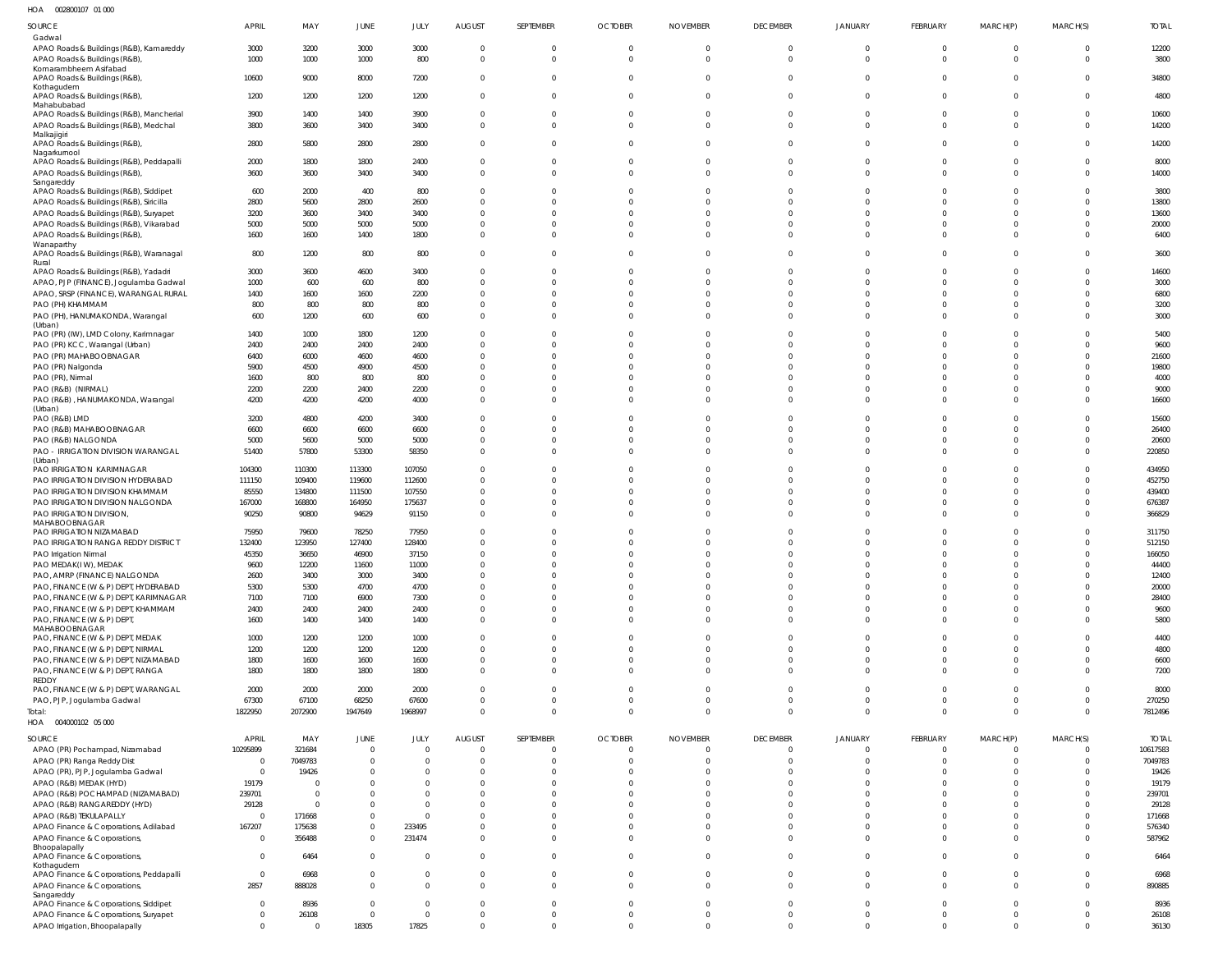002800107 01 000 HOA

| $\cdots$<br><b>OOLOODIOI</b> OI OOO                                            |                            |                  |                                 |                               |                         |                         |                       |                          |                          |                          |                                |                            |                            |                  |
|--------------------------------------------------------------------------------|----------------------------|------------------|---------------------------------|-------------------------------|-------------------------|-------------------------|-----------------------|--------------------------|--------------------------|--------------------------|--------------------------------|----------------------------|----------------------------|------------------|
| SOURCE<br>Gadwal                                                               | APRIL                      | MAY              | JUNE                            | JULY                          | <b>AUGUST</b>           | <b>SEPTEMBER</b>        | <b>OCTOBER</b>        | <b>NOVEMBER</b>          | <b>DECEMBER</b>          | <b>JANUARY</b>           | FEBRUARY                       | MARCH(P)                   | MARCH(S)                   | <b>TOTAL</b>     |
| APAO Roads & Buildings (R&B), Kamareddy                                        | 3000                       | 3200             | 3000                            | 3000                          | $\mathbf 0$             | $\mathbf 0$             | $\mathbf 0$           | $\Omega$                 | $\mathbf 0$              | $\mathbf 0$              | $\overline{0}$                 | $\overline{0}$             | $\mathbf{0}$               | 12200            |
| APAO Roads & Buildings (R&B)                                                   | 1000                       | 1000             | 1000                            | 800                           | $\Omega$                | $\mathbf 0$             | $\Omega$              | $\Omega$                 | $\Omega$                 | $\Omega$                 | $\Omega$                       | $\overline{0}$             | $\Omega$                   | 3800             |
| Komarambheem Asifabad<br>APAO Roads & Buildings (R&B)                          | 10600                      | 9000             | 8000                            | 7200                          | $\mathbf 0$             | $\mathbf 0$             | $\mathbf 0$           | $\Omega$                 | $\mathbf{0}$             | $\mathbf 0$              | $\overline{0}$                 | $\overline{0}$             | $\mathbf{0}$               | 34800            |
| Kothagudem                                                                     |                            |                  |                                 |                               |                         |                         |                       |                          |                          |                          |                                |                            |                            |                  |
| APAO Roads & Buildings (R&B),<br>Mahabubabad                                   | 1200                       | 1200             | 1200                            | 1200                          | $\mathbf 0$             | $\mathbf{0}$            | $\mathbf 0$           | $\Omega$                 | $\Omega$                 | $\Omega$                 | $\mathbf{0}$                   | $\Omega$                   | $\Omega$                   | 4800             |
| APAO Roads & Buildings (R&B), Mancherial                                       | 3900                       | 1400             | 1400                            | 3900                          | $\Omega$                | $\mathbf{0}$            | $\mathbf 0$           | $\Omega$                 | $\mathbf 0$              | $\mathbf 0$              | $\mathbf 0$                    | $\overline{0}$             | $\mathbf{0}$               | 10600            |
| APAO Roads & Buildings (R&B), Medchal                                          | 3800                       | 3600             | 3400                            | 3400                          | $\Omega$                | $\Omega$                | $\Omega$              | $\Omega$                 | $\Omega$                 | $\Omega$                 | $\Omega$                       | $\Omega$                   | $\Omega$                   | 14200            |
| Malkajigiri<br>APAO Roads & Buildings (R&B),                                   | 2800                       | 5800             | 2800                            | 2800                          | $\Omega$                | $\Omega$                | $\Omega$              |                          | $\Omega$                 | $\Omega$                 | $\Omega$                       | $\Omega$                   | $\Omega$                   | 14200            |
| Nagarkurnool                                                                   |                            |                  |                                 |                               |                         |                         |                       |                          |                          |                          |                                |                            |                            |                  |
| APAO Roads & Buildings (R&B), Peddapalli                                       | 2000                       | 1800             | 1800                            | 2400                          | $\Omega$                | $\mathbf{0}$            | $\mathbf 0$           | $\Omega$                 | $\Omega$                 | $\Omega$                 | $\overline{0}$                 | $\overline{0}$             | $\mathbf{0}$               | 8000             |
| APAO Roads & Buildings (R&B),<br>Sangareddy                                    | 3600                       | 3600             | 3400                            | 3400                          | $\Omega$                | $\Omega$                | $\Omega$              | $\Omega$                 | $\Omega$                 | $\Omega$                 | $\Omega$                       | $\Omega$                   | $\Omega$                   | 14000            |
| APAO Roads & Buildings (R&B), Siddipet                                         | 600                        | 2000             | 400                             | 800                           | $\Omega$                | $\Omega$                | $\Omega$              |                          | $\Omega$                 | $\Omega$                 | $\Omega$                       | $\Omega$                   | $\Omega$                   | 3800             |
| APAO Roads & Buildings (R&B), Siricilla                                        | 2800                       | 5600             | 2800                            | 2600                          |                         | $\Omega$                | U                     |                          | $\Omega$                 | $\Omega$                 | $\Omega$                       | $\Omega$                   | $\Omega$                   | 13800            |
| APAO Roads & Buildings (R&B), Suryapet                                         | 3200                       | 3600             | 3400                            | 3400                          |                         | $\Omega$                | U                     |                          | $\Omega$                 | $\Omega$                 | $\Omega$                       | $\Omega$                   | $\Omega$                   | 13600            |
| APAO Roads & Buildings (R&B), Vikarabad<br>APAO Roads & Buildings (R&B),       | 5000<br>1600               | 5000<br>1600     | 5000<br>1400                    | 5000<br>1800                  | $\Omega$<br>$\Omega$    | $\Omega$<br>$\Omega$    | $\Omega$<br>$\Omega$  | $\Omega$<br><sup>0</sup> | $\Omega$<br>$\Omega$     | $\Omega$<br>$\Omega$     | $\Omega$<br>$\Omega$           | $\Omega$<br>$\Omega$       | $\Omega$<br>$\Omega$       | 20000<br>6400    |
| Wanaparthy                                                                     |                            |                  |                                 |                               |                         |                         |                       |                          |                          |                          |                                |                            |                            |                  |
| APAO Roads & Buildings (R&B), Waranagal                                        | 800                        | 1200             | 800                             | 800                           | $\Omega$                | $\Omega$                | $\Omega$              |                          | $\Omega$                 | $\Omega$                 | $\Omega$                       | $\Omega$                   | $\Omega$                   | 3600             |
| Rural<br>APAO Roads & Buildings (R&B), Yadadri                                 | 3000                       | 3600             | 4600                            | 3400                          |                         | $\Omega$                | 0                     |                          | $\Omega$                 | $\Omega$                 | $\Omega$                       | $\Omega$                   | $\Omega$                   | 14600            |
| APAO, PJP (FINANCE), Jogulamba Gadwal                                          | 1000                       | 600              | 600                             | 800                           |                         | $\Omega$                | U                     |                          | $\Omega$                 | $\Omega$                 | $\Omega$                       | $\Omega$                   | $\Omega$                   | 3000             |
| APAO, SRSP (FINANCE), WARANGAL RURAL                                           | 1400                       | 1600             | 1600                            | 2200                          | $\Omega$                | $\Omega$                | 0                     |                          | $\Omega$                 | $\Omega$                 | $\Omega$                       | $\Omega$                   | $\Omega$                   | 6800             |
| PAO (PH) KHAMMAM                                                               | 800                        | 800              | 800                             | 800                           | $\Omega$                | $\Omega$                | $\Omega$              | <sup>0</sup>             | $\Omega$                 | $\Omega$                 | $\Omega$                       | $\Omega$                   | $\Omega$                   | 3200             |
| PAO (PH), HANUMAKONDA, Warangal<br>(Urban)                                     | 600                        | 1200             | 600                             | 600                           | $\Omega$                | $\Omega$                | U                     |                          | $\Omega$                 | $\Omega$                 | $\Omega$                       | $\Omega$                   | $\Omega$                   | 3000             |
| PAO (PR) (IW), LMD Colony, Karimnagar                                          | 1400                       | 1000             | 1800                            | 1200                          |                         | $\Omega$                |                       |                          | $\Omega$                 | $\Omega$                 | $\cup$                         | <sup>0</sup>               | $\Omega$                   | 5400             |
| PAO (PR) KCC, Warangal (Urban)                                                 | 2400                       | 2400             | 2400                            | 2400                          |                         | $\Omega$                | 0                     |                          | $\Omega$                 | $\Omega$                 | $\cup$                         | $\Omega$                   | $\Omega$                   | 9600             |
| PAO (PR) MAHABOOBNAGAR                                                         | 6400                       | 6000             | 4600                            | 4600                          |                         | $\Omega$<br>$\Omega$    | U<br>U                |                          | $\Omega$                 | $\Omega$<br>$\Omega$     | $\Omega$<br>$\Omega$           | $\Omega$<br>$\Omega$       | $\Omega$                   | 21600            |
| PAO (PR) Nalgonda<br>PAO (PR), Nirmal                                          | 5900<br>1600               | 4500<br>800      | 4900<br>800                     | 4500<br>800                   |                         | $\Omega$                |                       |                          | $\Omega$<br>$\Omega$     | $\Omega$                 | $\Omega$                       | <sup>0</sup>               | $\Omega$<br>$\Omega$       | 19800<br>4000    |
| PAO (R&B) (NIRMAL)                                                             | 2200                       | 2200             | 2400                            | 2200                          |                         | $\Omega$                | 0                     |                          | $\Omega$                 | $\Omega$                 | $\Omega$                       | $\Omega$                   | $\Omega$                   | 9000             |
| PAO (R&B), HANUMAKONDA, Warangal                                               | 4200                       | 4200             | 4200                            | 4000                          | $\Omega$                | $\Omega$                | $\Omega$              |                          | $\Omega$                 | $\Omega$                 | $\Omega$                       | $\Omega$                   | $\Omega$                   | 16600            |
| (Urban)<br>PAO (R&B) LMD                                                       |                            | 4800             | 4200                            | 3400                          |                         | $\Omega$                | 0                     |                          | $\Omega$                 | $\Omega$                 | $\Omega$                       | $\Omega$                   | $\Omega$                   | 15600            |
| PAO (R&B) MAHABOOBNAGAR                                                        | 3200<br>6600               | 6600             | 6600                            | 6600                          |                         | $\Omega$                | $\Omega$              |                          | $\Omega$                 | $\Omega$                 | $\Omega$                       | $\Omega$                   | $\Omega$                   | 26400            |
| PAO (R&B) NALGONDA                                                             | 5000                       | 5600             | 5000                            | 5000                          | $\Omega$                | $\Omega$                | $\Omega$              | 0                        | $\Omega$                 | $\Omega$                 | $\Omega$                       | $\Omega$                   | $\Omega$                   | 20600            |
| PAO - IRRIGATION DIVISION WARANGAL                                             | 51400                      | 57800            | 53300                           | 58350                         | $\Omega$                | $\Omega$                | $\Omega$              |                          | $\Omega$                 | $\Omega$                 | $\Omega$                       | $\Omega$                   | $\Omega$                   | 220850           |
| (Urban)<br>PAO IRRIGATION KARIMNAGAR                                           | 104300                     | 110300           | 113300                          | 107050                        | $\Omega$                | $\Omega$                | $\Omega$              |                          | $\Omega$                 | $\Omega$                 | $\Omega$                       | $\Omega$                   | $\Omega$                   | 434950           |
| PAO IRRIGATION DIVISION HYDERABAD                                              | 111150                     | 109400           | 119600                          | 112600                        |                         | $\Omega$                | U                     |                          | $\Omega$                 | $\Omega$                 | $\Omega$                       | $\Omega$                   | $\Omega$                   | 452750           |
| PAO IRRIGATION DIVISION KHAMMAM                                                | 85550                      | 134800           | 111500                          | 107550                        | $\Omega$                | $\Omega$                | 0                     |                          | $\Omega$                 | $\Omega$                 | $\Omega$                       | $\Omega$                   | $\Omega$                   | 439400           |
| PAO IRRIGATION DIVISION NALGONDA                                               | 167000                     | 168800           | 164950                          | 175637                        | $\Omega$                | $\Omega$                | $\Omega$              |                          | $\Omega$                 | $\Omega$                 | $\Omega$                       | $\Omega$                   | $\Omega$                   | 676387           |
| PAO IRRIGATION DIVISION,<br>MAHABOOBNAGAR                                      | 90250                      | 90800            | 94629                           | 91150                         | $\Omega$                | $\Omega$                | $\Omega$              |                          | $\Omega$                 | $\Omega$                 | $\Omega$                       | $\Omega$                   | $\Omega$                   | 366829           |
| PAO IRRIGATION NIZAMABAD                                                       | 75950                      | 79600            | 78250                           | 77950                         |                         | $\Omega$                | 0                     |                          | $\Omega$                 | $\Omega$                 | $\Omega$                       |                            | $\Omega$                   | 311750           |
| PAO IRRIGATION RANGA REDDY DISTRICT                                            | 132400                     | 123950           | 127400                          | 128400                        | $\Omega$                | $\Omega$                | 0                     |                          | $\Omega$                 | $\Omega$                 | $\Omega$                       | $\Omega$                   | $\Omega$                   | 512150           |
| PAO Irrigation Nirmal                                                          | 45350                      | 36650            | 46900                           | 37150                         | $\Omega$                | $\Omega$                | $\Omega$              | $\Omega$                 | $\Omega$                 | $\Omega$                 | $\Omega$                       | $\Omega$                   | $\Omega$                   | 166050           |
| PAO MEDAK(IW), MEDAK                                                           | 9600                       | 12200            | 11600                           | 11000                         | -0<br>$\Omega$          | $\Omega$<br>$\Omega$    |                       |                          | $\Omega$<br>$\Omega$     | $\Omega$<br>$\Omega$     | $\Omega$<br>$\Omega$           | $\Omega$<br>$\Omega$       | $\Omega$<br>$\Omega$       | 44400            |
| PAO, AMRP (FINANCE) NALGONDA<br>PAO, FINANCE (W & P) DEPT, HYDERABAD           | 2600<br>5300               | 3400<br>5300     | 3000<br>4700                    | 3400<br>4700                  | $\Omega$                | $\Omega$                | $\Omega$              | $\Omega$                 | $\Omega$                 | $\Omega$                 | $\Omega$                       | $\Omega$                   | $\Omega$                   | 12400<br>20000   |
| PAO, FINANCE (W & P) DEPT, KARIMNAGAR                                          | 7100                       | 7100             | 6900                            | 7300                          | $\Omega$                | $\Omega$                | $\Omega$              | $\Omega$                 | $\Omega$                 | $\Omega$                 | $\Omega$                       | $\Omega$                   | $\Omega$                   | 28400            |
| PAO, FINANCE (W & P) DEPT, KHAMMAM                                             | 2400                       | 2400             | 2400                            | 2400                          | $\Omega$                | $\Omega$                | $\Omega$              | $\Omega$                 | $\Omega$                 | $\Omega$                 | $\Omega$                       | $\Omega$                   | $\Omega$                   | 9600             |
| PAO, FINANCE (W & P) DEPT,                                                     | 1600                       | 1400             | 1400                            | 1400                          | $\Omega$                | $\Omega$                | $\Omega$              | $\Omega$                 | $\Omega$                 | $\Omega$                 | $\Omega$                       | $\Omega$                   | $\Omega$                   | 5800             |
| MAHABOOBNAGAR<br>PAO, FINANCE (W & P) DEPT, MEDAK                              | 1000                       | 1200             | 1200                            | 1000                          | $\Omega$                | $\Omega$                | $\Omega$              | $\Omega$                 | $\Omega$                 | $\Omega$                 | $\Omega$                       | $\Omega$                   | $\Omega$                   | 4400             |
| PAO, FINANCE (W & P) DEPT, NIRMAL                                              | 1200                       | 1200             | 1200                            | 1200                          | $\Omega$                | $\Omega$                | $\Omega$              | $\Omega$                 | $\Omega$                 | $\Omega$                 | $\Omega$                       | $\Omega$                   | $\Omega$                   | 4800             |
| PAO, FINANCE (W & P) DEPT, NIZAMABAD                                           | 1800                       | 1600             | 1600                            | 1600                          | $\Omega$                | $\Omega$                | $\Omega$              | $\Omega$                 | $\Omega$                 | $\Omega$                 | $\Omega$                       | $\Omega$                   | $\Omega$                   | 6600             |
| PAO, FINANCE (W & P) DEPT, RANGA<br>REDDY                                      | 1800                       | 1800             | 1800                            | 1800                          | $\Omega$                | $\Omega$                | $\Omega$              | $\Omega$                 | $\Omega$                 | $\Omega$                 | $\Omega$                       | $\Omega$                   | $\Omega$                   | 7200             |
| PAO, FINANCE (W & P) DEPT, WARANGAL                                            | 2000                       | 2000             | 2000                            | 2000                          | $\Omega$                | $\Omega$                | $\Omega$              | $\Omega$                 | $\Omega$                 | $\Omega$                 | $\Omega$                       | $\Omega$                   | $\Omega$                   | 8000             |
| PAO, PJP, Jogulamba Gadwal                                                     | 67300                      | 67100            | 68250                           | 67600                         | $\Omega$                | $\Omega$                | $\Omega$              | $\Omega$                 | $\Omega$                 | $\mathbf 0$              | $\Omega$                       | $\Omega$                   | $\Omega$                   | 270250           |
| Total:                                                                         | 1822950                    | 2072900          | 1947649                         | 1968997                       | $\Omega$                | $\mathbf 0$             | $\Omega$              | $\Omega$                 | $\Omega$                 | $\mathbf{0}$             | $\Omega$                       | $\Omega$                   | $\Omega$                   | 7812496          |
| HOA  004000102  05  000                                                        |                            |                  |                                 |                               |                         |                         |                       |                          |                          |                          |                                |                            |                            |                  |
| SOURCE                                                                         | APRIL                      | MAY              | JUNE                            | JULY                          | <b>AUGUST</b>           | <b>SEPTEMBER</b>        | <b>OCTOBER</b>        | <b>NOVEMBER</b>          | <b>DECEMBER</b>          | JANUARY                  | FEBRUARY                       | MARCH(P)                   | MARCH(S)                   | <b>TOTAL</b>     |
| APAO (PR) Pochampad, Nizamabad                                                 | 10295899                   | 321684           | $\mathbf 0$                     | $\mathbf 0$                   | $\Omega$                | $\overline{0}$          | $\mathbf 0$           | $\Omega$                 | $\mathbf{0}$             | $\overline{0}$           | $\overline{0}$                 | $\Omega$                   | $\Omega$                   | 10617583         |
| APAO (PR) Ranga Reddy Dist<br>APAO (PR), PJP, Jogulamba Gadwal                 | $\overline{0}$<br>$\Omega$ | 7049783<br>19426 | $\mathbf 0$<br>$\Omega$         | $\mathbf 0$<br>$\mathbf 0$    | $\Omega$<br>$\Omega$    | $\Omega$<br>$\Omega$    | $\Omega$<br>$\Omega$  | $\Omega$<br>$\Omega$     | $\mathbf 0$<br>$\Omega$  | $\mathbf{0}$<br>$\Omega$ | $\overline{0}$<br>$\Omega$     | $\Omega$<br>$\Omega$       | $\overline{0}$<br>$\Omega$ | 7049783<br>19426 |
| APAO (R&B) MEDAK (HYD)                                                         | 19179                      |                  | 0                               | $\Omega$                      | $\Omega$                | $\Omega$                | $\Omega$              | $\Omega$                 | $\Omega$                 | $\Omega$                 | $\Omega$                       | $\Omega$                   | $\Omega$                   | 19179            |
| APAO (R&B) POCHAMPAD (NIZAMABAD)                                               | 239701                     | $\Omega$         | 0                               | $\Omega$                      | $\Omega$                | $\Omega$                | $\Omega$              | $\Omega$                 | $\Omega$                 | $\Omega$                 | $\Omega$                       | $\Omega$                   | $\Omega$                   | 239701           |
| APAO (R&B) RANGAREDDY (HYD)                                                    | 29128                      | - 0              | 0                               | $\Omega$                      | $\Omega$                | $\Omega$                | $\Omega$              | $\Omega$                 | $\Omega$                 | $\Omega$                 | $\Omega$                       | $\Omega$                   | $\Omega$                   | 29128            |
| APAO (R&B) TEKULAPALLY                                                         | 0                          | 171668           | $\mathbf 0$                     | $\Omega$                      | $\Omega$                | $\Omega$                | $\Omega$              | $\Omega$                 | $\Omega$                 | $\Omega$                 | $\Omega$                       | $\Omega$                   | $\Omega$                   | 171668           |
| APAO Finance & Corporations, Adilabad                                          | 167207                     | 175638           | 0                               | 233495                        | $\Omega$                | $\Omega$<br>$\Omega$    | $\Omega$              | $\Omega$                 | $\mathbf{0}$<br>$\Omega$ | $\mathbf{0}$<br>$\Omega$ | $\mathbf 0$                    | $\overline{0}$<br>$\Omega$ | $\Omega$                   | 576340           |
| APAO Finance & Corporations,<br>Bhoopalapally                                  | $\Omega$                   | 356488           | $\mathbf 0$                     | 231474                        | $\Omega$                |                         | $\Omega$              | $\Omega$                 |                          |                          | $\mathbf{0}$                   |                            | $\Omega$                   | 587962           |
| APAO Finance & Corporations,                                                   | $\Omega$                   | 6464             | $\mathbf 0$                     | $\Omega$                      | $\Omega$                | $\Omega$                | $\Omega$              | $\Omega$                 | $\mathbf 0$              | $\mathbf 0$              | $\Omega$                       | $\Omega$                   | $\Omega$                   | 6464             |
| Kothagudem<br>APAO Finance & Corporations, Peddapalli                          | $\overline{0}$             | 6968             | $\mathbf 0$                     | $\mathbf 0$                   | $\Omega$                | $\mathbf 0$             | $\Omega$              | $\Omega$                 | $\overline{0}$           | $\Omega$                 | $\mathbf{0}$                   | $\overline{0}$             | $\Omega$                   | 6968             |
| APAO Finance & Corporations,                                                   | 2857                       | 888028           | $\mathbf 0$                     | $\Omega$                      | $\Omega$                | $\Omega$                | $\Omega$              | $\Omega$                 | $\Omega$                 | $\Omega$                 | $\Omega$                       | $\Omega$                   | $\Omega$                   | 890885           |
| Sangareddy                                                                     |                            |                  |                                 |                               |                         |                         |                       |                          |                          |                          |                                |                            |                            |                  |
| APAO Finance & Corporations, Siddipet<br>APAO Finance & Corporations, Suryapet | $\Omega$<br>$^{\circ}$     | 8936<br>26108    | $\mathbf 0$<br>$\boldsymbol{0}$ | $\mathbf 0$<br>$\overline{0}$ | $\Omega$<br>$\mathbf 0$ | $\Omega$<br>$\mathbf 0$ | $\Omega$<br>$\pmb{0}$ | $\Omega$<br>$\mathbf 0$  | $\Omega$<br>$\mathbf 0$  | $\Omega$<br>$\mathbf 0$  | $\mathbf{0}$<br>$\overline{0}$ | $\Omega$<br>$\overline{0}$ | $\Omega$<br>$\mathbf{0}$   | 8936<br>26108    |
| APAO Irrigation, Bhoopalapally                                                 | $\Omega$                   | $\Omega$         | 18305                           | 17825                         | $\mathbf 0$             | $\overline{0}$          | $\mathbf 0$           | $\mathbf{0}$             | $\mathbf 0$              | $\mathbf{0}$             | $\overline{0}$                 | $\overline{0}$             | $\mathbf 0$                | 36130            |
|                                                                                |                            |                  |                                 |                               |                         |                         |                       |                          |                          |                          |                                |                            |                            |                  |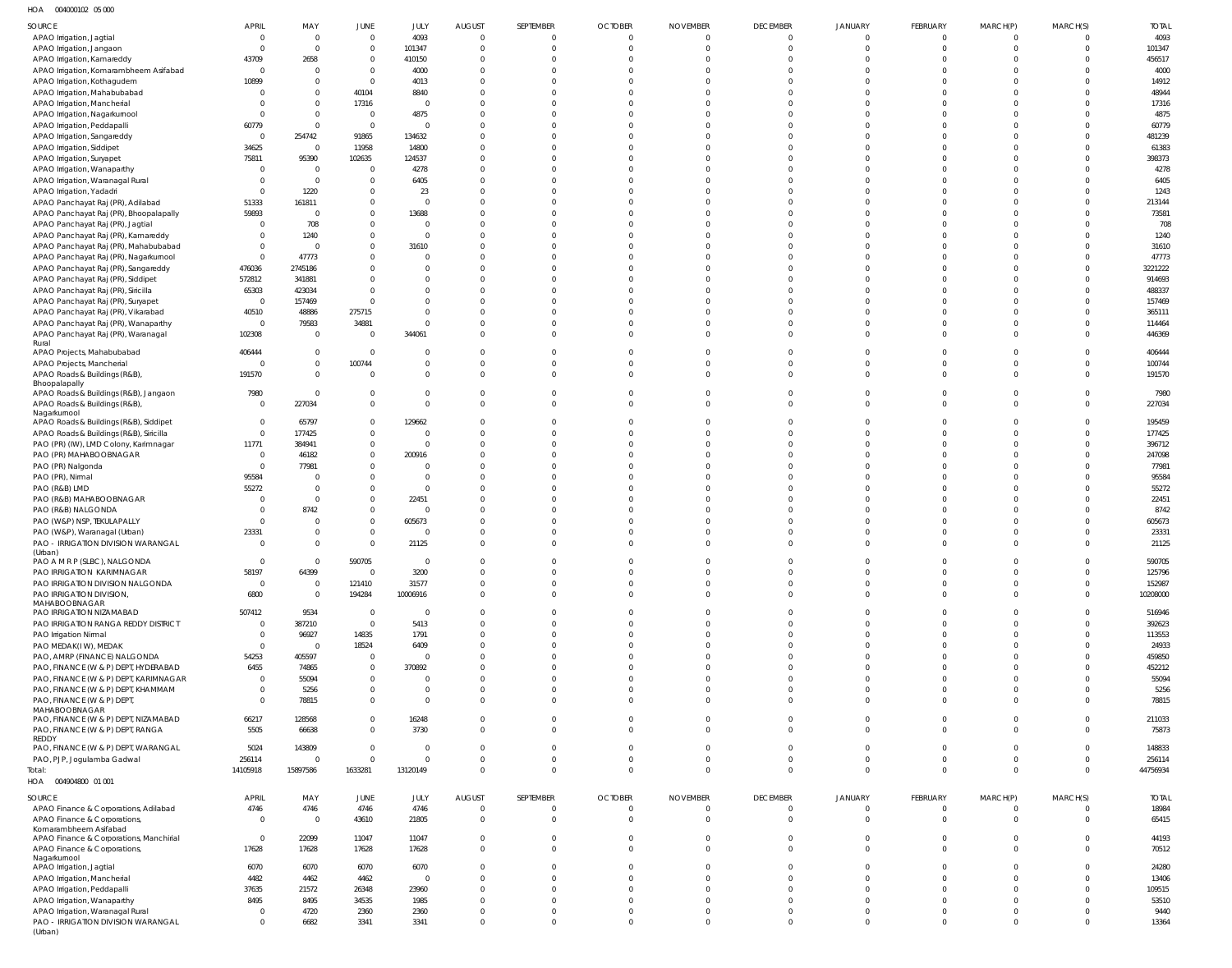004000102 05 000 HOA

| $\cdots$<br><b>OUTUUUIUL UU UUU</b>                   |                |                |                |                |                |                |                |                 |                 |                |             |          |                |              |
|-------------------------------------------------------|----------------|----------------|----------------|----------------|----------------|----------------|----------------|-----------------|-----------------|----------------|-------------|----------|----------------|--------------|
| SOURCE                                                | APRIL          | MAY            | JUNE           | JULY           | <b>AUGUST</b>  | SEPTEMBER      | <b>OCTOBER</b> | <b>NOVEMBER</b> | <b>DECEMBER</b> | <b>JANUARY</b> | FEBRUARY    | MARCH(P) | MARCH(S)       | <b>TOTAL</b> |
| APAO Irrigation, Jagtial                              | $\Omega$       | $\Omega$       | $\mathbf 0$    | 4093           | $\Omega$       | $\mathbf 0$    | $\mathbf{0}$   |                 | $\Omega$        | $\Omega$       | $\mathbf 0$ | $\Omega$ | $\Omega$       | 4093         |
| APAO Irrigation, Jangaon                              |                | $\Omega$       | $\mathbf 0$    | 101347         | $\Omega$       | $\Omega$       | $\Omega$       |                 | $\Omega$        | $\cup$         | $\Omega$    | $\Omega$ | $\mathbf 0$    | 101347       |
| APAO Irrigation, Kamareddy                            | 43709          | 2658           | $\mathbf 0$    | 410150         | $\Omega$       | $\Omega$       | $\Omega$       |                 | $\Omega$        |                |             |          | $\Omega$       | 456517       |
| APAO Irrigation, Komarambheem Asifabad                | $\Omega$       | $\Omega$       | $\mathbf 0$    | 4000           | $\Omega$       | $\Omega$       |                |                 | n               |                |             |          | $\Omega$       | 4000         |
| APAO Irrigation, Kothagudem                           | 10899          | $\Omega$       | $\mathbf 0$    | 4013           | $\Omega$       | $\Omega$       |                |                 |                 |                |             |          | $\Omega$       | 14912        |
| APAO Irrigation, Mahabubabad                          |                | $\Omega$       | 40104          | 8840           | $\Omega$       | $\Omega$       | $\Omega$       |                 |                 |                |             |          | $\Omega$       | 48944        |
| APAO Irrigation, Mancherial                           |                | $\Omega$       | 17316          | $\Omega$       | $\Omega$       | $\Omega$       | $\Omega$       |                 |                 |                |             |          | $\Omega$       | 17316        |
| APAO Irrigation, Nagarkurnool                         |                | $\Omega$       | $\overline{0}$ | 4875           |                |                |                |                 |                 |                |             |          | $\Omega$       | 4875         |
| APAO Irrigation, Peddapalli                           | 60779          | $\Omega$       | $\overline{0}$ | $\overline{0}$ | $\Omega$       | $\Omega$       | $\Omega$       |                 |                 |                |             |          | $\Omega$       | 60779        |
| APAO Irrigation, Sangareddy                           | $\overline{0}$ | 254742         | 91865          | 134632         | $\Omega$       | $\Omega$       |                |                 |                 |                |             |          | $\Omega$       | 481239       |
| APAO Irrigation, Siddipet                             | 34625          | $\Omega$       | 11958          | 14800          | $\Omega$       | $\Omega$       | $\Omega$       |                 |                 |                |             |          | $\Omega$       | 61383        |
| APAO Irrigation, Suryapet                             | 75811          | 95390          | 102635         | 124537         | $\Omega$       | $\Omega$       | $\Omega$       |                 |                 |                |             |          | $\Omega$       | 398373       |
| APAO Irrigation, Wanaparthy                           |                | $\Omega$       | $\mathbf 0$    | 4278           | $\Omega$       | $\Omega$       |                |                 |                 |                |             |          | $\Omega$       | 4278         |
| APAO Irrigation, Waranagal Rural                      |                | $\Omega$       | $\mathbf 0$    | 6405           | $\Omega$       | $\Omega$       | $\Omega$       |                 |                 |                |             |          | $\Omega$       | 6405         |
|                                                       |                |                | $\mathbf 0$    |                | $\Omega$       | $\Omega$       | $\Omega$       |                 |                 |                |             |          | $\Omega$       |              |
| APAO Irrigation, Yadadri                              |                | 1220           |                | 23             |                |                |                |                 |                 |                |             |          | $\Omega$       | 1243         |
| APAO Panchayat Raj (PR), Adilabad                     | 51333          | 161811         | $\mathbf 0$    | $\Omega$       | $\Omega$       |                |                |                 |                 |                |             |          |                | 213144       |
| APAO Panchayat Raj (PR), Bhoopalapally                | 59893          | $\Omega$       | $\mathbf 0$    | 13688          | $\Omega$       | $\Omega$       | $\Omega$       |                 |                 |                |             |          | $\Omega$       | 73581        |
| APAO Panchayat Raj (PR), Jagtial                      |                | 708            | $\mathbf 0$    | $\Omega$       | $\Omega$       | $\Omega$       |                |                 |                 |                |             |          | $\Omega$       | 708          |
| APAO Panchayat Raj (PR), Kamareddy                    |                | 1240           | $\mathbf 0$    | $\Omega$       | $\Omega$       | $\Omega$       | $\Omega$       |                 |                 |                |             |          | $\Omega$       | 1240         |
| APAO Panchayat Raj (PR), Mahabubabad                  |                |                | $\mathbf 0$    | 31610          | $\Omega$       | $\Omega$       |                |                 |                 |                |             |          | $\Omega$       | 31610        |
| APAO Panchayat Raj (PR), Nagarkurnool                 | $\Omega$       | 47773          | $\mathbf 0$    | $\Omega$       | $\Omega$       | $\Omega$       |                |                 |                 |                |             |          | $\Omega$       | 47773        |
| APAO Panchayat Raj (PR), Sangareddy                   | 476036         | 2745186        | $\Omega$       | $\Omega$       | $\Omega$       | $\Omega$       | $\Omega$       |                 |                 |                |             |          | $\Omega$       | 3221222      |
| APAO Panchayat Raj (PR), Siddipet                     | 572812         | 341881         | $\Omega$       | $\Omega$       | $\Omega$       | $\Omega$       |                |                 |                 |                |             |          | $\Omega$       | 914693       |
| APAO Panchayat Raj (PR), Siricilla                    | 65303          | 423034         | $\Omega$       | $\Omega$       |                |                |                |                 |                 |                |             |          | $\Omega$       | 488337       |
| APAO Panchayat Raj (PR), Suryapet                     | $\Omega$       | 157469         | $\Omega$       | $\Omega$       | $\Omega$       | $\Omega$       |                |                 |                 |                |             |          | $\Omega$       | 157469       |
| APAO Panchayat Raj (PR), Vikarabad                    | 40510          | 48886          | 275715         | $\Omega$       |                | $\Omega$       |                |                 |                 |                |             |          | $\Omega$       | 365111       |
| APAO Panchayat Raj (PR), Wanaparthy                   | $\Omega$       | 79583          | 34881          | $\Omega$       | $\Omega$       | $\Omega$       | $\Omega$       |                 | $\Omega$        |                | $\Omega$    |          | $\Omega$       | 114464       |
| APAO Panchayat Raj (PR), Waranagal                    | 102308         | $\Omega$       | $\Omega$       | 344061         | $\Omega$       | $\Omega$       | $\Omega$       |                 | $\Omega$        | $\cup$         | $\Omega$    |          | $\Omega$       | 446369       |
| Rural                                                 |                |                |                |                |                |                |                |                 |                 |                |             |          |                |              |
| APAO Projects, Mahabubabad                            | 406444         | $\mathbf 0$    | $\overline{0}$ | $\Omega$       | $\Omega$       | $\Omega$       | $\Omega$       |                 | $\Omega$        | $\cup$         | $\Omega$    |          | $\Omega$       | 406444       |
| APAO Projects, Mancherial                             |                | $\Omega$       | 100744         | $\mathbf 0$    | $\Omega$       | $\Omega$       | $\Omega$       |                 | $\Omega$        | $\cup$         | $\Omega$    | $\Omega$ | $\mathbf 0$    | 100744       |
| APAO Roads & Buildings (R&B),                         | 191570         | $\Omega$       | $\mathbf 0$    | $\Omega$       | $\Omega$       | $\Omega$       | $\Omega$       |                 | $\Omega$        | $\Omega$       | $\Omega$    | $\Omega$ | $\Omega$       | 191570       |
| Bhoopalapally                                         |                |                |                |                |                |                |                |                 |                 |                |             |          |                |              |
| APAO Roads & Buildings (R&B), Jangaon                 | 7980           |                | $\mathbf 0$    | -0             | $\Omega$       | $\Omega$       | $\overline{0}$ |                 | $\Omega$        | $\Omega$       | $\Omega$    |          | $\mathbf 0$    | 7980         |
| APAO Roads & Buildings (R&B),                         | $\Omega$       | 227034         | $\mathbf 0$    | $\Omega$       | $\Omega$       | $\Omega$       | $\Omega$       |                 | $\Omega$        | $\Omega$       | $\Omega$    | $\Omega$ | $\Omega$       | 227034       |
| Nagarkurnool                                          |                |                |                |                |                |                |                |                 |                 |                |             |          |                |              |
| APAO Roads & Buildings (R&B), Siddipet                | $\Omega$       | 65797          | $\mathbf 0$    | 129662         | - 0            | $\Omega$       | $\Omega$       |                 | -C              |                |             |          | $\Omega$       | 195459       |
| APAO Roads & Buildings (R&B), Siricilla               | $\Omega$       | 177425         | $\mathbf 0$    | $\overline{0}$ | $\Omega$       | $\Omega$       | $\Omega$       |                 | $\Omega$        |                |             |          | $\Omega$       | 177425       |
| PAO (PR) (IW), LMD Colony, Karimnagar                 | 11771          | 384941         | $\mathbf 0$    | $\overline{0}$ | $\Omega$       | $\Omega$       | $\Omega$       |                 | $\Omega$        |                | $\Omega$    | $\cap$   | $\Omega$       | 396712       |
| PAO (PR) MAHABOOBNAGAR                                | $\Omega$       | 46182          | $\mathbf 0$    | 200916         | $\Omega$       | $\Omega$       | $\Omega$       |                 |                 |                |             |          | $\Omega$       | 247098       |
| PAO (PR) Nalgonda                                     | $\Omega$       | 77981          | $\mathbf 0$    | $\Omega$       | $\Omega$       | $\Omega$       |                |                 |                 |                |             |          | $\Omega$       | 77981        |
| PAO (PR), Nirmal                                      | 95584          |                | $\Omega$       | $\overline{0}$ | $\Omega$       | $\Omega$       | $\Omega$       |                 |                 |                |             |          | $\Omega$       | 95584        |
| PAO (R&B) LMD                                         | 55272          | $\Omega$       | $\Omega$       | $\overline{0}$ |                | $\Omega$       |                |                 |                 |                |             |          | $\Omega$       | 55272        |
| PAO (R&B) MAHABOOBNAGAR                               |                |                | $\Omega$       | 22451          | $\Omega$       | $\Omega$       | $\Omega$       |                 |                 |                |             |          | $\Omega$       | 22451        |
| PAO (R&B) NALGONDA                                    |                | 8742           | $\mathbf 0$    | $\Omega$       | $\Omega$       |                |                |                 |                 |                |             |          | $\Omega$       | 8742         |
| PAO (W&P) NSP, TEKULAPALLY                            |                |                | $\mathbf 0$    | 605673         | $\Omega$       | $\Omega$       | $\Omega$       |                 |                 |                |             |          | $\Omega$       | 605673       |
| PAO (W&P), Waranagal (Urban)                          | 23331          |                | $\mathbf 0$    | $\Omega$       | $\Omega$       | $\Omega$       | $\Omega$       |                 | $\Omega$        |                | $\Omega$    |          | $\Omega$       | 23331        |
| PAO - IRRIGATION DIVISION WARANGAL                    | $\Omega$       | $\Omega$       | $\mathbf 0$    | 21125          | $\Omega$       | $\Omega$       | $\Omega$       |                 | $\Omega$        | $\Omega$       | $\Omega$    | $\Omega$ | $\Omega$       | 21125        |
| (Urban)                                               |                |                |                |                |                |                |                |                 |                 |                |             |          |                |              |
| PAO A M R P (SLBC), NALGONDA                          | $\sim$         |                | 590705         |                |                |                |                |                 |                 |                |             |          |                | 590705       |
| PAO IRRIGATION KARIMNAGAR                             | 58197          | 64399          | $\mathbf 0$    | 3200           | $\Omega$       | $\Omega$       | $\Omega$       |                 | $\Omega$        | $\cup$         | $\Omega$    | $\Omega$ | $\Omega$       | 125796       |
| PAO IRRIGATION DIVISION NALGONDA                      | $\Omega$       | $\overline{0}$ | 121410         | 31577          | $\Omega$       | $\Omega$       | $\mathbf{0}$   | $\Omega$        | $\Omega$        | $\Omega$       | $\Omega$    | $\Omega$ | $\overline{0}$ | 152987       |
| PAO IRRIGATION DIVISION,                              | 6800           | $\Omega$       | 194284         | 10006916       | $\Omega$       | $\Omega$       | $\Omega$       | $\Omega$        | $\Omega$        | $\Omega$       | $\Omega$    | $\Omega$ | $\Omega$       | 10208000     |
| MAHABOOBNAGAR                                         |                |                |                |                |                |                |                |                 |                 |                |             |          |                |              |
| PAO IRRIGATION NIZAMABAD                              | 507412         | 9534           | $\overline{0}$ | - 0            | $\Omega$       | $\Omega$       | $\Omega$       |                 | $\Omega$        | $\Omega$       | $\Omega$    | $\Omega$ | $\Omega$       | 516946       |
| PAO IRRIGATION RANGA REDDY DISTRICT                   | $\Omega$       | 387210         | $\mathbf 0$    | 5413           | $\Omega$       | $\Omega$       | $\Omega$       | $\Omega$        | $\Omega$        | $\Omega$       | $\Omega$    | $\Omega$ | $\Omega$       | 392623       |
| PAO Irrigation Nirmal                                 | $\Omega$       | 96927          | 14835          | 1791           | $\Omega$       | $\Omega$       | $\Omega$       |                 | $\Omega$        | $\Omega$       | $\Omega$    | $\Omega$ | $\Omega$       | 113553       |
| PAO MEDAK(IW), MEDAK                                  | $\Omega$       | $\Omega$       | 18524          | 6409           | $\Omega$       | $\Omega$       | $\Omega$       | <sup>0</sup>    | $\Omega$        | $\Omega$       | $\Omega$    | $\Omega$ | $\Omega$       | 24933        |
| PAO, AMRP (FINANCE) NALGONDA                          | 54253          | 405597         | $\overline{0}$ | $\overline{0}$ | $\Omega$       | $\Omega$       | $\Omega$       | $\Omega$        | $\Omega$        | $\Omega$       | $\Omega$    | $\Omega$ | $\Omega$       | 459850       |
| PAO, FINANCE (W & P) DEPT, HYDERABAD                  | 6455           | 74865          | $\mathbf 0$    | 370892         | $\Omega$       | $\Omega$       | $\Omega$       | $\Omega$        | $\Omega$        | $\Omega$       | $\Omega$    | $\Omega$ | $\Omega$       | 452212       |
| PAO, FINANCE (W & P) DEPT, KARIMNAGAR                 | $\Omega$       | 55094          | $\mathbf 0$    | $\Omega$       | $\Omega$       | $\Omega$       | $\Omega$       | $\Omega$        | $\Omega$        | $\Omega$       | $\Omega$    | $\Omega$ | $\Omega$       | 55094        |
| PAO, FINANCE (W & P) DEPT, KHAMMAM                    | $\Omega$       | 5256           | $\mathbf 0$    | $\overline{0}$ | $\Omega$       | $\Omega$       | $\Omega$       | <sup>0</sup>    | $\Omega$        | $\Omega$       | $\Omega$    | $\Omega$ | $\Omega$       | 5256         |
| PAO, FINANCE (W & P) DEPT,                            | $\Omega$       | 78815          | $\mathbf 0$    | $\Omega$       | $\Omega$       | $\Omega$       | $\Omega$       | $\Omega$        | $\Omega$        | $\Omega$       | $\Omega$    | $\Omega$ | $\Omega$       | 78815        |
| MAHABOOBNAGAR                                         |                |                |                |                |                |                |                |                 |                 |                |             |          |                |              |
| PAO, FINANCE (W & P) DEPT, NIZAMABAD                  | 66217          | 128568         | $\mathbf 0$    | 16248          | $\Omega$       | $\mathbf 0$    | $\Omega$       | $\Omega$        | $\Omega$        | $\Omega$       | $\Omega$    | $\Omega$ | $\overline{0}$ | 211033       |
| PAO, FINANCE (W & P) DEPT, RANGA                      | 5505           | 66638          | $\mathbf 0$    | 3730           | $\Omega$       | $\Omega$       | $\Omega$       | $\Omega$        | $\Omega$        | $\Omega$       | $\Omega$    | $\Omega$ | $\Omega$       | 75873        |
| REDDY                                                 |                |                |                |                |                |                |                |                 |                 |                |             |          |                |              |
| PAO, FINANCE (W & P) DEPT, WARANGAL                   | 5024           | 143809         | $\overline{0}$ | $\overline{0}$ | $\Omega$       | $\Omega$       | $\Omega$       | $\Omega$        | $\Omega$        | $\Omega$       | $\Omega$    | $\Omega$ | $\Omega$       | 148833       |
| PAO, PJP, Jogulamba Gadwal                            | 256114         | $\Omega$       | $\mathbf 0$    | $\mathbf{0}$   | $\Omega$       | $\mathbf 0$    | $\Omega$       | $\Omega$        | $\Omega$        | $\mathbf 0$    | $\Omega$    | $\Omega$ | $\overline{0}$ | 256114       |
| Total:                                                | 14105918       | 15897586       | 1633281        | 13120149       | $\Omega$       | $\overline{0}$ | $\Omega$       | $\Omega$        | $\Omega$        | $\Omega$       | $\Omega$    | $\Omega$ | $\Omega$       | 44756934     |
| HOA  004904800  01  001                               |                |                |                |                |                |                |                |                 |                 |                |             |          |                |              |
| SOURCE                                                | <b>APRIL</b>   | MAY            | JUNE           | JULY           | <b>AUGUST</b>  | SEPTEMBER      | <b>OCTOBER</b> | <b>NOVEMBER</b> | <b>DECEMBER</b> | <b>JANUARY</b> | FEBRUARY    | MARCH(P) | MARCH(S)       | <b>TOTAL</b> |
|                                                       |                |                |                |                |                |                |                |                 |                 |                |             | $\Omega$ |                |              |
| APAO Finance & Corporations, Adilabad                 | 4746           | 4746           | 4746           | 4746           | $\overline{0}$ | $\overline{0}$ | $\mathbf 0$    | $\mathbf{0}$    | $\mathbf 0$     | $\mathbf 0$    | $\mathbf 0$ |          | $\overline{0}$ | 18984        |
| APAO Finance & Corporations,<br>Komarambheem Asifabad | $\Omega$       | $\overline{0}$ | 43610          | 21805          | $\overline{0}$ | $\overline{0}$ | $\mathbf{0}$   | $\Omega$        | $\mathbf 0$     | $\mathbf 0$    | $\mathbf 0$ | $\Omega$ | $\overline{0}$ | 65415        |
| APAO Finance & Corporations, Manchirial               | $\overline{0}$ | 22099          | 11047          | 11047          | $\Omega$       | $\overline{0}$ | $\mathbf{0}$   | $\mathbf{0}$    | $\mathbf{0}$    | $\mathbf 0$    | $\mathbf 0$ | $\Omega$ | $\overline{0}$ | 44193        |
| APAO Finance & Corporations,                          | 17628          | 17628          | 17628          | 17628          | $\Omega$       | $\Omega$       | $\Omega$       | $\Omega$        | $\Omega$        | $\Omega$       | $\Omega$    | $\Omega$ | $\overline{0}$ | 70512        |
| Nagarkurnool                                          |                |                |                |                |                |                |                |                 |                 |                |             |          |                |              |
| APAO Irrigation, Jagtial                              | 6070           | 6070           | 6070           | 6070           | $\Omega$       | $\Omega$       | $\Omega$       | <sup>0</sup>    | $\Omega$        | $\Omega$       | $\Omega$    | $\Omega$ | $\Omega$       | 24280        |
| APAO Irrigation, Mancherial                           | 4482           | 4462           | 4462           | $\overline{0}$ | $\Omega$       | $\Omega$       | $\Omega$       | $\Omega$        | $\Omega$        | $\Omega$       | $\Omega$    | $\Omega$ | $\Omega$       | 13406        |
| APAO Irrigation, Peddapalli                           | 37635          | 21572          | 26348          | 23960          | $\Omega$       | $\Omega$       | $\Omega$       | $\Omega$        | $\Omega$        | $\Omega$       | $\Omega$    | $\Omega$ | $\Omega$       | 109515       |
| APAO Irrigation, Wanaparthy                           | 8495           | 8495           | 34535          | 1985           | $\Omega$       | $\Omega$       | $\Omega$       |                 | $\Omega$        | $\Omega$       | $\Omega$    | $\Omega$ | $\Omega$       | 53510        |
| APAO Irrigation, Waranagal Rural                      | $\Omega$       | 4720           | 2360           | 2360           | $\Omega$       | $\Omega$       | $\Omega$       | $\Omega$        | $\Omega$        | $\Omega$       | $\Omega$    | $\Omega$ | $\Omega$       | 9440         |
| PAO - IRRIGATION DIVISION WARANGAL                    | $\Omega$       | 6682           | 3341           | 3341           | $\Omega$       | $\overline{0}$ | $\Omega$       | $\Omega$        | $\Omega$        | $\mathbf 0$    | $\Omega$    | $\Omega$ | $\overline{0}$ | 13364        |
| (Urban)                                               |                |                |                |                |                |                |                |                 |                 |                |             |          |                |              |
|                                                       |                |                |                |                |                |                |                |                 |                 |                |             |          |                |              |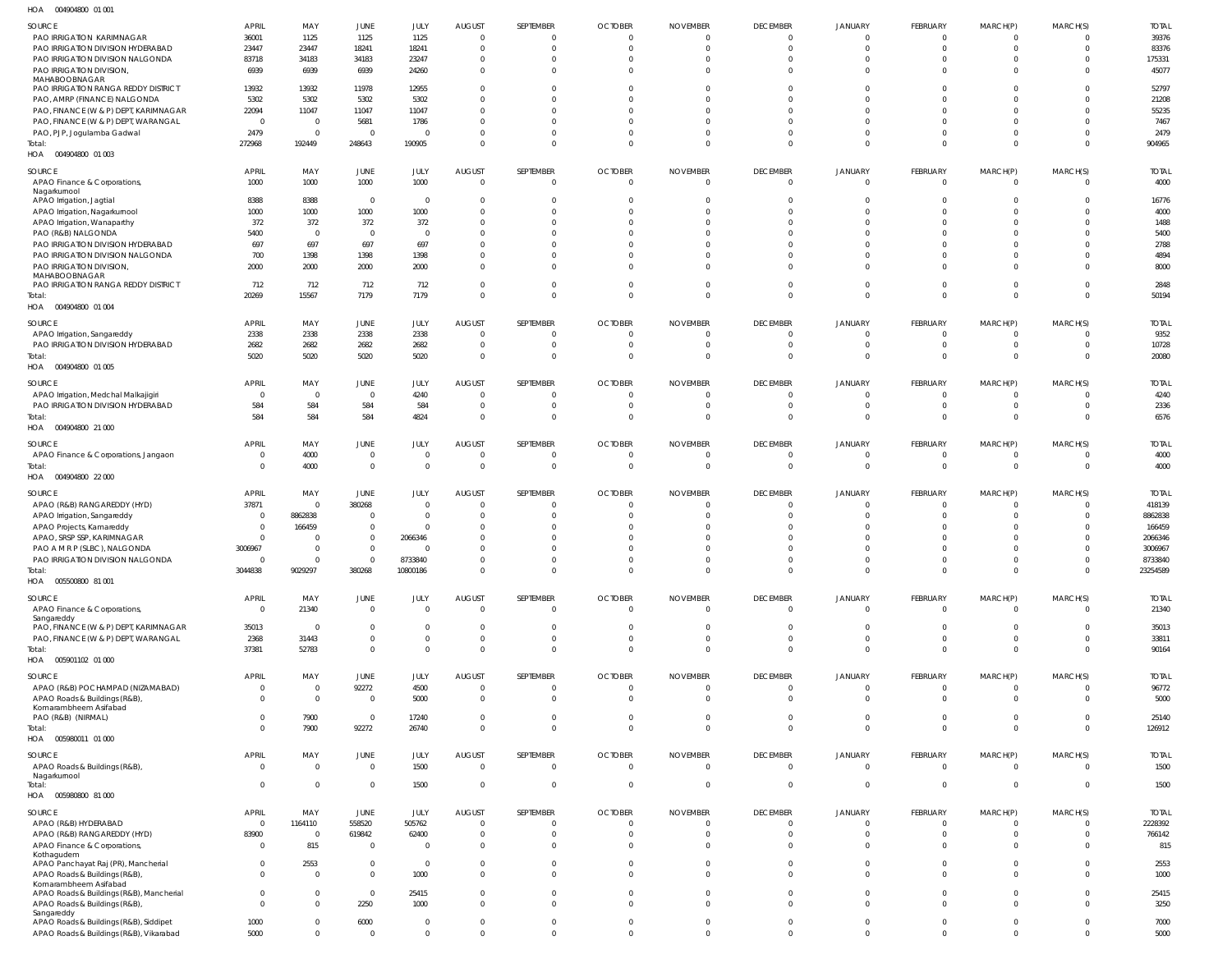| $11^{\circ}$ $\wedge$ | 004004000 01.001 |  |
|-----------------------|------------------|--|

| HOA<br>004904800 01 001                                                   |                |                         |                |                |                         |                |                |                 |                 |                |                 |                |                |              |
|---------------------------------------------------------------------------|----------------|-------------------------|----------------|----------------|-------------------------|----------------|----------------|-----------------|-----------------|----------------|-----------------|----------------|----------------|--------------|
| SOURCE                                                                    | <b>APRIL</b>   | MAY                     | JUNE           | JULY           | <b>AUGUST</b>           | SEPTEMBER      | <b>OCTOBER</b> | <b>NOVEMBER</b> | <b>DECEMBER</b> | JANUARY        | <b>FEBRUARY</b> | MARCH(P)       | MARCH(S)       | <b>TOTAL</b> |
| PAO IRRIGATION KARIMNAGAR                                                 | 36001          | 1125                    | 1125           | 1125           | $\overline{0}$          | $\overline{0}$ | $\overline{0}$ | $\overline{0}$  | $\Omega$        | $\Omega$       | $\Omega$        | $\overline{0}$ | $\Omega$       | 39376        |
| PAO IRRIGATION DIVISION HYDERABAD                                         | 23447          | 23447                   | 18241          | 18241          | $\overline{0}$          | $\overline{0}$ | $\overline{0}$ | $\overline{0}$  | $\Omega$        | $\Omega$       | $\Omega$        | $\overline{0}$ | $\Omega$       | 83376        |
| PAO IRRIGATION DIVISION NALGONDA                                          | 83718          | 34183                   | 34183          | 23247          | $\overline{0}$          | $\overline{0}$ | $\mathbf{0}$   | $\mathbf{0}$    | $\Omega$        | $\overline{0}$ | $\Omega$        | $\overline{0}$ | $\Omega$       | 175331       |
| PAO IRRIGATION DIVISION                                                   | 6939           | 6939                    | 6939           | 24260          | $\overline{0}$          | $\overline{0}$ | $^{\circ}$     | $\overline{0}$  | $\Omega$        | $\Omega$       | $\Omega$        | $\overline{0}$ | $\Omega$       | 45077        |
| MAHABOOBNAGAR                                                             |                |                         |                |                |                         |                |                |                 |                 |                |                 |                |                |              |
| PAO IRRIGATION RANGA REDDY DISTRICT                                       | 13932          | 13932                   | 11978          | 12955          | $\overline{0}$          | $\overline{0}$ | $\mathbf{0}$   | $\Omega$        | $\Omega$        | $\Omega$       | $\Omega$        | $\mathbf{0}$   | $\Omega$       | 52797        |
| PAO, AMRP (FINANCE) NALGONDA                                              | 5302           | 5302                    | 5302           | 5302           | $\overline{0}$          | $\Omega$       | $\mathbf{0}$   | $\Omega$        | $\Omega$        | $\Omega$       | $\Omega$        | $\mathbf 0$    | $\Omega$       | 21208        |
| PAO, FINANCE (W & P) DEPT, KARIMNAGAR                                     | 22094          | 11047                   | 11047          | 11047          | $\overline{0}$          | $\Omega$       | $\mathbf{0}$   | $\Omega$        | $\Omega$        | $\Omega$       | $\Omega$        | $\Omega$       | $\Omega$       | 55235        |
| PAO, FINANCE (W & P) DEPT, WARANGAL                                       | $\overline{0}$ | $\overline{0}$          | 5681           | 1786           | $\overline{0}$          | $\Omega$       | $\mathbf{0}$   | $\Omega$        | $\Omega$        | $\Omega$       | $\Omega$        | $\mathbf{0}$   | $\Omega$       | 7467         |
| PAO, PJP, Jogulamba Gadwal                                                | 2479           | $\overline{0}$          | $\overline{0}$ | $\Omega$       | $\overline{0}$          | $\overline{0}$ | $\mathbf{0}$   | $\Omega$        | $\Omega$        | $\Omega$       | $\Omega$        | $\mathbf{0}$   | $\Omega$       | 2479         |
| Total:                                                                    | 272968         | 192449                  | 248643         | 190905         | $\overline{0}$          | $\overline{0}$ | $\mathbf{0}$   | $\overline{0}$  | $\Omega$        | $\Omega$       | $\Omega$        | $\overline{0}$ | $\Omega$       | 904965       |
| HOA  004904800  01 003                                                    |                |                         |                |                |                         |                |                |                 |                 |                |                 |                |                |              |
|                                                                           |                |                         |                |                |                         |                |                |                 |                 |                |                 |                |                |              |
| SOURCE                                                                    | <b>APRIL</b>   | MAY                     | <b>JUNE</b>    | JULY           | <b>AUGUST</b>           | SEPTEMBER      | <b>OCTOBER</b> | <b>NOVEMBER</b> | <b>DECEMBER</b> | <b>JANUARY</b> | <b>FEBRUARY</b> | MARCH(P)       | MARCH(S)       | <b>TOTAL</b> |
| APAO Finance & Corporations,                                              | 1000           | 1000                    | 1000           | 1000           | $\overline{0}$          | $\overline{0}$ | $\mathbf 0$    | $\mathbf 0$     | $\overline{0}$  | $\overline{0}$ | $\mathbf{0}$    | $\overline{0}$ | $\Omega$       | 4000         |
| Nagarkurnool<br>APAO Irrigation, Jagtial                                  | 8388           | 8388                    | $\overline{0}$ | $\overline{0}$ | $\overline{\mathbf{0}}$ | $\overline{0}$ | $\overline{0}$ | 0               | $\Omega$        | $\Omega$       | $\Omega$        | $\overline{0}$ | $\Omega$       | 16776        |
| APAO Irrigation, Nagarkurnool                                             | 1000           | 1000                    | 1000           | 1000           | $\overline{0}$          | $\overline{0}$ | $\mathbf{0}$   | $\overline{0}$  | $\Omega$        | $\Omega$       | $\Omega$        | $\mathbf 0$    | $\Omega$       | 4000         |
| APAO Irrigation, Wanaparthy                                               | 372            | 372                     | 372            | 372            | $\overline{0}$          | $\mathbf{0}$   | $\mathbf{0}$   | 0               | $\Omega$        | $\Omega$       | $\Omega$        | $\mathbf{0}$   |                | 1488         |
|                                                                           | 5400           | $\overline{0}$          | $\overline{0}$ | $\Omega$       | $\overline{0}$          | $\mathbf{0}$   | $\mathbf{0}$   | $\Omega$        | $\Omega$        | $\Omega$       | $\Omega$        | $\mathbf{0}$   |                | 5400         |
| PAO (R&B) NALGONDA                                                        |                |                         |                |                | $\overline{0}$          |                |                |                 | $\Omega$        | $\Omega$       | $\Omega$        |                |                |              |
| PAO IRRIGATION DIVISION HYDERABAD<br>PAO IRRIGATION DIVISION NALGONDA     | 697            | 697                     | 697            | 697            | $\overline{0}$          | $\Omega$       | $\mathbf{0}$   | $\Omega$        | $\Omega$        | $\Omega$       | $\Omega$        | $\mathbf{0}$   |                | 2788         |
|                                                                           | 700            | 1398                    | 1398           | 1398           |                         | $\mathbf{0}$   | $\mathbf{0}$   | $\Omega$        | $\Omega$        |                |                 | $\mathbf{0}$   |                | 4894         |
| PAO IRRIGATION DIVISION,<br>MAHABOOBNAGAR                                 | 2000           | 2000                    | 2000           | 2000           | $\overline{0}$          | $\mathbf 0$    | $\Omega$       | $\Omega$        |                 | $\Omega$       | $\Omega$        | $\mathbf 0$    | $\Omega$       | 8000         |
| PAO IRRIGATION RANGA REDDY DISTRICT                                       | 712            | 712                     | 712            | 712            | $\overline{0}$          | $\overline{0}$ | $\overline{0}$ | $\overline{0}$  | $\Omega$        | $\Omega$       | $\Omega$        | $\overline{0}$ | $\Omega$       | 2848         |
| Total:                                                                    | 20269          | 15567                   | 7179           | 7179           | $\overline{0}$          | $\overline{0}$ | $\mathbf{0}$   | $\mathbf{0}$    | $\Omega$        | $\Omega$       | $\Omega$        | $\overline{0}$ | $\Omega$       | 50194        |
| 004904800 01 004<br>HOA                                                   |                |                         |                |                |                         |                |                |                 |                 |                |                 |                |                |              |
|                                                                           |                |                         |                |                |                         |                |                |                 |                 |                |                 |                |                |              |
| SOURCE                                                                    | <b>APRIL</b>   | MAY                     | JUNE           | JULY           | <b>AUGUST</b>           | SEPTEMBER      | <b>OCTOBER</b> | <b>NOVEMBER</b> | <b>DECEMBER</b> | <b>JANUARY</b> | FEBRUARY        | MARCH(P)       | MARCH(S)       | <b>TOTAL</b> |
| APAO Irrigation, Sangareddy                                               | 2338           | 2338                    | 2338           | 2338           | $\overline{\mathbf{0}}$ | - 0            | $\overline{0}$ | $\overline{0}$  | $\Omega$        | $\Omega$       | $\Omega$        | $\overline{0}$ | - 0            | 9352         |
| PAO IRRIGATION DIVISION HYDERABAD                                         | 2682           | 2682                    | 2682           | 2682           | $\overline{0}$          | $\circ$        | $\overline{0}$ | $\overline{0}$  | $\overline{0}$  | $\mathbf 0$    | $\overline{0}$  | $\overline{0}$ | $\Omega$       | 10728        |
| Total:                                                                    | 5020           | 5020                    | 5020           | 5020           | $\overline{0}$          | $\overline{0}$ | $\overline{0}$ | $\overline{0}$  | $\Omega$        | $\Omega$       | $\Omega$        | $\overline{0}$ | $\Omega$       | 20080        |
| HOA<br>004904800 01 005                                                   |                |                         |                |                |                         |                |                |                 |                 |                |                 |                |                |              |
|                                                                           |                |                         |                |                |                         |                |                |                 |                 |                |                 |                |                |              |
| SOURCE                                                                    | <b>APRIL</b>   | MAY                     | JUNE           | JULY           | <b>AUGUST</b>           | SEPTEMBER      | <b>OCTOBER</b> | <b>NOVEMBER</b> | <b>DECEMBER</b> | JANUARY        | <b>FEBRUARY</b> | MARCH(P)       | MARCH(S)       | <b>TOTAL</b> |
| APAO Irrigation, Medchal Malkajigiri                                      | $\overline{0}$ | $\overline{0}$          | $\overline{0}$ | 4240           | $\overline{0}$          | $\overline{0}$ | $\overline{0}$ | $\overline{0}$  | $\Omega$        | $\overline{0}$ | $\Omega$        | $\overline{0}$ | - 0            | 4240         |
| PAO IRRIGATION DIVISION HYDERABAD                                         | 584            | 584                     | 584            | 584            | $\overline{0}$          | - 0            | $\overline{0}$ | $\overline{0}$  | $\Omega$        | $\overline{0}$ | $\Omega$        | $\overline{0}$ | $\Omega$       | 2336         |
| Total:                                                                    | 584            | 584                     | 584            | 4824           | $\overline{0}$          | $\overline{0}$ | $\overline{0}$ | $\overline{0}$  | $\overline{0}$  | $\mathbf{0}$   | $\mathbf{0}$    | $\overline{0}$ | $\Omega$       | 6576         |
| HOA  004904800  21 000                                                    |                |                         |                |                |                         |                |                |                 |                 |                |                 |                |                |              |
| SOURCE                                                                    | <b>APRIL</b>   | MAY                     | JUNE           | JULY           | <b>AUGUST</b>           | SEPTEMBER      | <b>OCTOBER</b> | <b>NOVEMBER</b> | <b>DECEMBER</b> | JANUARY        | <b>FEBRUARY</b> | MARCH(P)       | MARCH(S)       | <b>TOTAL</b> |
| APAO Finance & Corporations, Jangaon                                      | $\mathbf{0}$   | 4000                    | $\overline{0}$ | $\overline{0}$ | $\overline{\mathbf{0}}$ | $\circ$        | $\overline{0}$ | $\overline{0}$  | $\Omega$        | $\mathbf 0$    | $\overline{0}$  | $\overline{0}$ | $\Omega$       | 4000         |
| Total:                                                                    | $\Omega$       | 4000                    | $\overline{0}$ | $\Omega$       | $\overline{0}$          | $\overline{0}$ | $\overline{0}$ | $\overline{0}$  | $\overline{0}$  | $\mathbf{0}$   | $\mathbf{0}$    | $\overline{0}$ | $\Omega$       | 4000         |
| 004904800 22 000                                                          |                |                         |                |                |                         |                |                |                 |                 |                |                 |                |                |              |
| HOA                                                                       |                |                         |                |                |                         |                |                |                 |                 |                |                 |                |                |              |
| SOURCE                                                                    | <b>APRIL</b>   | MAY                     | JUNE           | JULY           | <b>AUGUST</b>           | SEPTEMBER      | <b>OCTOBER</b> | <b>NOVEMBER</b> | <b>DECEMBER</b> | JANUARY        | <b>FEBRUARY</b> | MARCH(P)       | MARCH(S)       | <b>TOTAL</b> |
| APAO (R&B) RANGAREDDY (HYD)                                               | 37871          | $\overline{0}$          | 380268         | $\Omega$       | $\overline{0}$          | - 0            | $\overline{0}$ | $\overline{0}$  | $\Omega$        | $\Omega$       | $\Omega$        | $\overline{0}$ | $\Omega$       | 418139       |
| APAO Irrigation, Sangareddy                                               | $\mathbf{0}$   | 8862838                 | $\overline{0}$ | $\Omega$       | $\overline{\mathbf{0}}$ | - 0            | 0              | 0               | $\Omega$        | $\Omega$       | $\Omega$        | $\overline{0}$ |                | 8862838      |
| APAO Projects, Kamareddy                                                  | $\overline{0}$ | 166459                  | $\overline{0}$ | $\Omega$       | $\overline{0}$          | $\mathbf{0}$   | 0              | $\Omega$        | $\Omega$        | $\Omega$       | $\Omega$        | $\overline{0}$ |                | 166459       |
| APAO, SRSP SSP, KARIMNAGAR                                                | $\Omega$       | - 0                     | $\overline{0}$ | 2066346        | $\overline{0}$          | $\Omega$       | 0              | $\Omega$        | $\Omega$        | $\Omega$       | $\Omega$        | $\mathbf{0}$   |                | 2066346      |
| PAO A M R P (SLBC), NALGONDA                                              | 3006967        | $\overline{0}$          | $\overline{0}$ | $\Omega$       | $\Omega$                | $\Omega$       | $\Omega$       | $\Omega$        | $\Omega$        | $\Omega$       | $\Omega$        | $\overline{0}$ |                | 3006967      |
| PAO IRRIGATION DIVISION NALGONDA                                          |                | -0                      | $\overline{0}$ | 8733840        | $\overline{0}$          |                | 0              | 0               |                 | - 0            |                 | 0              |                | 8733840      |
| Total:                                                                    | 3044838        | 9029297                 | 380268         | 10800186       | $\overline{0}$          | $\overline{0}$ | $\mathbf{0}$   | $\overline{0}$  | $\overline{0}$  | $\Omega$       | $\mathbf{0}$    | $\overline{0}$ | $\Omega$       | 23254589     |
| HOA  005500800  81  001                                                   |                |                         |                |                |                         |                |                |                 |                 |                |                 |                |                |              |
|                                                                           |                |                         |                |                |                         |                |                |                 |                 |                |                 |                |                |              |
| SOURCE                                                                    | <b>APRIL</b>   | MAY                     | JUNE           | JULY           | <b>AUGUST</b>           | SEPTEMBER      | <b>OCTOBER</b> | <b>NOVEMBER</b> | <b>DECEMBER</b> | JANUARY        | <b>FEBRUARY</b> | MARCH(P)       | MARCH(S)       | <b>TOTAL</b> |
| APAO Finance & Corporations,                                              | $\overline{0}$ | 21340                   | $\overline{0}$ | $\Omega$       | $\overline{0}$          | $\overline{0}$ | $\overline{0}$ | $\mathbf{0}$    | $\Omega$        | $\Omega$       | $\Omega$        | $\overline{0}$ | $\Omega$       | 21340        |
| Sangareddy                                                                |                |                         |                |                |                         |                |                |                 |                 |                |                 |                |                |              |
| PAO, FINANCE (W & P) DEPT, KARIMNAGAR                                     | 35013          | $\overline{\mathbf{0}}$ | $\overline{0}$ | $\Omega$       | $\overline{0}$          | $\mathbf{0}$   | $\overline{0}$ | $\overline{0}$  | $\Omega$        | $\Omega$       | $\Omega$        | $\mathbf{0}$   | $\Omega$       | 35013        |
| PAO, FINANCE (W & P) DEPT, WARANGAL                                       | 2368           | 31443                   | $\overline{0}$ | $\Omega$       | $\overline{0}$          | $\overline{0}$ | $\overline{0}$ | $\overline{0}$  | $\overline{0}$  | $\overline{0}$ | $\mathbf{0}$    | $\overline{0}$ | $\Omega$       | 33811        |
| Total:                                                                    | 37381          | 52783                   | $\overline{0}$ | $\Omega$       | $\overline{0}$          | $\overline{0}$ | $\overline{0}$ | $\overline{0}$  | $\Omega$        | $\Omega$       | $\Omega$        | $\overline{0}$ | $\Omega$       | 90164        |
| HOA  005901102  01  000                                                   |                |                         |                |                |                         |                |                |                 |                 |                |                 |                |                |              |
| SOURCE                                                                    | <b>APRIL</b>   | MAY                     | JUNE           | JULY           | <b>AUGUST</b>           | SEPTEMBER      | <b>OCTOBER</b> | <b>NOVEMBER</b> | <b>DECEMBER</b> | JANUARY        | <b>FEBRUARY</b> | MARCH(P)       | MARCH(S)       | <b>TOTAL</b> |
| APAO (R&B) POCHAMPAD (NIZAMABAD)                                          | $\overline{0}$ | $\overline{0}$          | 92272          | 4500           | $\overline{0}$          | $\overline{0}$ | $\overline{0}$ | $\overline{0}$  | $\Omega$        | $\mathbf{0}$   | $\Omega$        | $\overline{0}$ | $\Omega$       | 96772        |
| APAO Roads & Buildings (R&B),                                             | $\mathbf 0$    | $\overline{0}$          | $\overline{0}$ | 5000           | $\overline{0}$          | $\overline{0}$ | $\overline{0}$ | $\overline{0}$  | $\Omega$        | $\overline{0}$ | $\Omega$        | $\overline{0}$ | $\Omega$       | 5000         |
| Komarambheem Asifabad                                                     |                |                         |                |                |                         |                |                |                 |                 |                |                 |                |                |              |
| PAO (R&B) (NIRMAL)                                                        | $\Omega$       | 7900                    | $\overline{0}$ | 17240          | $\overline{0}$          | $\overline{0}$ | $\overline{0}$ | $\overline{0}$  | $\Omega$        | $\overline{0}$ | $\Omega$        | $\overline{0}$ | $\Omega$       | 25140        |
| Total:                                                                    | $\Omega$       | 7900                    | 92272          | 26740          | $\overline{0}$          | $\overline{0}$ | $\mathbf{0}$   | $\mathbf{0}$    | $\Omega$        | $\overline{0}$ | $\Omega$        | $\overline{0}$ | $\Omega$       | 126912       |
| HOA<br>005980011 01 000                                                   |                |                         |                |                |                         |                |                |                 |                 |                |                 |                |                |              |
| SOURCE                                                                    | <b>APRIL</b>   | MAY                     | <b>JUNE</b>    | JULY           | <b>AUGUST</b>           | SEPTEMBER      | <b>OCTOBER</b> | <b>NOVEMBER</b> | <b>DECEMBER</b> | JANUARY        | FEBRUARY        | MARCH(P)       | MARCH(S)       | <b>TOTAL</b> |
|                                                                           |                | $\overline{0}$          |                |                |                         |                |                | $\mathbf{0}$    | $\Omega$        |                |                 | $\overline{0}$ | $\Omega$       |              |
| APAO Roads & Buildings (R&B),<br>Nagarkurnool                             | $\overline{0}$ |                         | $\overline{0}$ | 1500           | $\overline{0}$          | $\overline{0}$ | $\overline{0}$ |                 |                 | $\Omega$       | $\Omega$        |                |                | 1500         |
| Total:                                                                    | $\overline{0}$ | $\mathbf 0$             | $\overline{0}$ | 1500           | $\overline{0}$          | $\overline{0}$ | $\overline{0}$ | $\overline{0}$  | $\overline{0}$  | $\overline{0}$ | $\overline{0}$  | $\overline{0}$ | $\overline{0}$ | 1500         |
| HOA  005980800  81  000                                                   |                |                         |                |                |                         |                |                |                 |                 |                |                 |                |                |              |
|                                                                           |                |                         |                |                |                         |                |                |                 |                 |                |                 |                |                |              |
| SOURCE                                                                    | <b>APRIL</b>   | MAY                     | JUNE           | JULY           | <b>AUGUST</b>           | SEPTEMBER      | <b>OCTOBER</b> | <b>NOVEMBER</b> | <b>DECEMBER</b> | JANUARY        | FEBRUARY        | MARCH(P)       | MARCH(S)       | <b>TOTAL</b> |
| APAO (R&B) HYDERABAD                                                      | $\overline{0}$ | 1164110                 | 558520         | 505762         | $\overline{\mathbf{0}}$ | - 0            | $\overline{0}$ | $\overline{0}$  | $\Omega$        | $\Omega$       | $\Omega$        | $\mathbf{0}$   |                | 2228392      |
| APAO (R&B) RANGAREDDY (HYD)                                               | 83900          | $\overline{0}$          | 619842         | 62400          | $\overline{0}$          | $\overline{0}$ | $\overline{0}$ | $\overline{0}$  | $\Omega$        | $\mathbf{0}$   | $\Omega$        | $\overline{0}$ | $\Omega$       | 766142       |
| APAO Finance & Corporations,                                              | $\overline{0}$ | 815                     | $\overline{0}$ | $\Omega$       | $\overline{0}$          | $\overline{0}$ | $\overline{0}$ | $\overline{0}$  | $\Omega$        | $\Omega$       | $\Omega$        | $\overline{0}$ | $\Omega$       | 815          |
| Kothagudem                                                                |                |                         |                |                |                         |                |                |                 |                 |                |                 |                |                |              |
| APAO Panchayat Raj (PR), Mancherial                                       | $\Omega$       | 2553                    | $\overline{0}$ | $\overline{0}$ | $\overline{0}$          | $\overline{0}$ | $\overline{0}$ | $\Omega$        | $\Omega$        | $\Omega$       | $\Omega$        | $\overline{0}$ | $\Omega$       | 2553         |
| APAO Roads & Buildings (R&B),                                             | $\Omega$       | $\overline{0}$          | $\overline{0}$ | 1000           | $\overline{0}$          | $\mathbf 0$    | $\overline{0}$ | $\Omega$        | $\Omega$        | $\Omega$       | $\Omega$        | $\overline{0}$ | $\Omega$       | 1000         |
| Komarambheem Asifabad                                                     | $\Omega$       | $\overline{0}$          | $\overline{0}$ |                | $\overline{0}$          | $\overline{0}$ | $\overline{0}$ | $\overline{0}$  | $\Omega$        | $\Omega$       | $\Omega$        | $\overline{0}$ | $\Omega$       | 25415        |
| APAO Roads & Buildings (R&B), Mancherial<br>APAO Roads & Buildings (R&B), | $\Omega$       | $\overline{0}$          | 2250           | 25415          | $\overline{0}$          | $\Omega$       | $\overline{0}$ | $\Omega$        | $\Omega$        | $\Omega$       | $\Omega$        | $\overline{0}$ | $\Omega$       | 3250         |
| Sangareddy                                                                |                |                         |                | 1000           |                         |                |                |                 |                 |                |                 |                |                |              |
| APAO Roads & Buildings (R&B), Siddipet                                    | 1000           | $\overline{0}$          | 6000           | $\Omega$       | $\overline{0}$          | $\overline{0}$ | $\overline{0}$ | $\overline{0}$  | $\Omega$        | $\Omega$       | $\Omega$        | $\mathbf{0}$   | $\Omega$       | 7000         |
| APAO Roads & Buildings (R&B), Vikarabad                                   | 5000           | $\mathbf 0$             | $\overline{0}$ | $\overline{0}$ | $\overline{0}$          | $\mathbf 0$    | $\mathbf 0$    | $\mathbf{0}$    | $\Omega$        | $\Omega$       | $\Omega$        | $\overline{0}$ | $\Omega$       | 5000         |
|                                                                           |                |                         |                |                |                         |                |                |                 |                 |                |                 |                |                |              |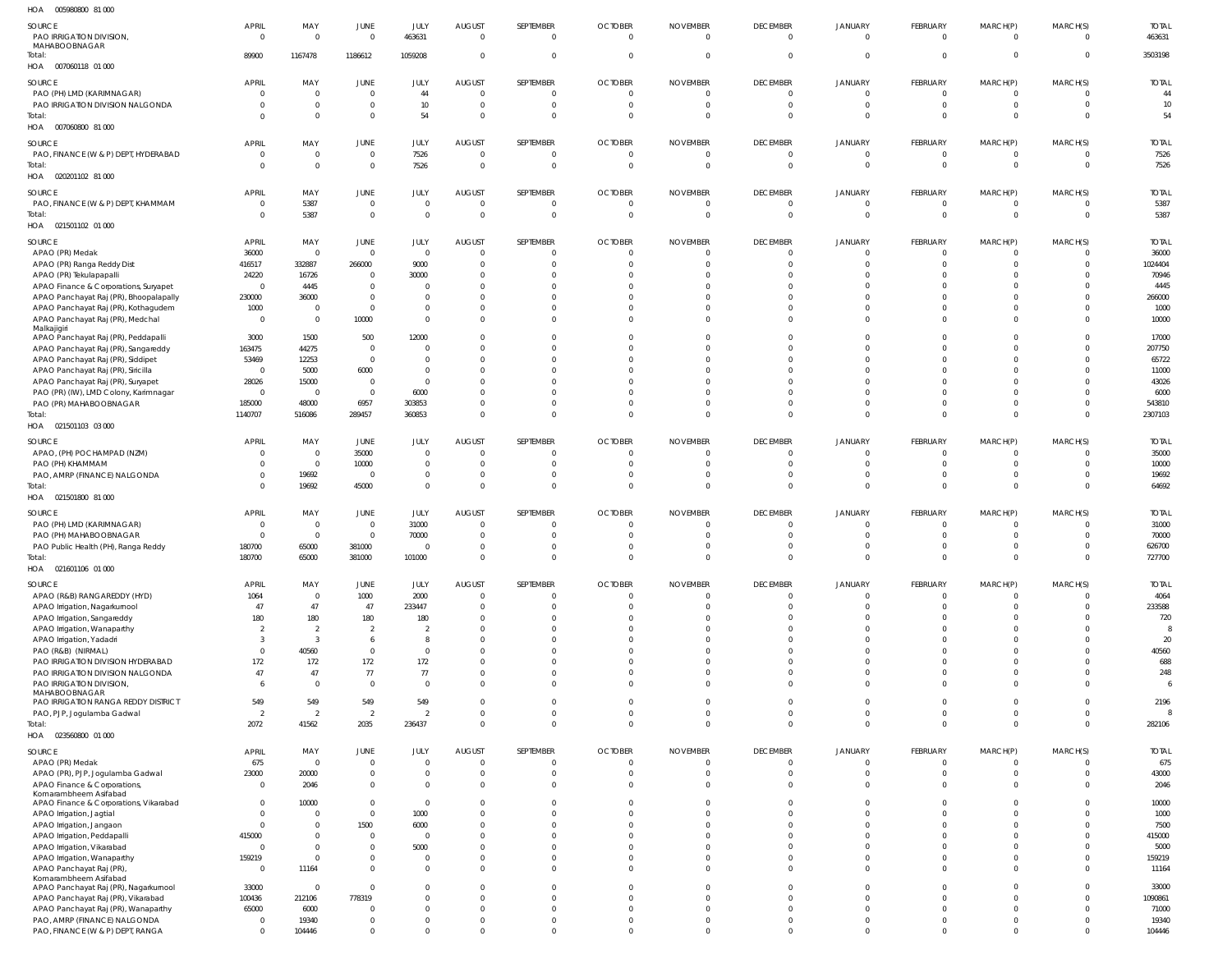| $\sim$ | COFOCOOCO C1.000 |  |
|--------|------------------|--|

| HOA<br>005980800 81 000                                    |                                |                 |                        |                |                                 |                             |                                  |                                   |                                   |                           |                            |                            |                         |                        |
|------------------------------------------------------------|--------------------------------|-----------------|------------------------|----------------|---------------------------------|-----------------------------|----------------------------------|-----------------------------------|-----------------------------------|---------------------------|----------------------------|----------------------------|-------------------------|------------------------|
| <b>SOURCE</b><br>PAO IRRIGATION DIVISION,<br>MAHABOOBNAGAR | <b>APRIL</b><br>$\overline{0}$ | MAY<br>$\Omega$ | JUNE<br>$\overline{0}$ | JULY<br>463631 | <b>AUGUST</b><br>$\overline{0}$ | SEPTEMBER<br>$\overline{0}$ | <b>OCTOBER</b><br>$\overline{0}$ | <b>NOVEMBER</b><br>$\overline{0}$ | <b>DECEMBER</b><br>$\overline{0}$ | JANUARY<br>$\overline{0}$ | FEBRUARY<br>$\overline{0}$ | MARCH(P)<br>$\overline{0}$ | MARCH(S)<br>$\mathbf 0$ | <b>TOTAL</b><br>463631 |
| Total:<br>HOA  007060118  01  000                          | 89900                          | 1167478         | 1186612                | 1059208        | $\overline{0}$                  | $\mathbf{0}$                | $\overline{0}$                   | $\mathbf 0$                       | $\overline{0}$                    | $\overline{0}$            | $\overline{0}$             | $\overline{0}$             | $\Omega$                | 3503198                |
|                                                            |                                |                 |                        |                |                                 |                             |                                  |                                   |                                   |                           |                            |                            |                         |                        |
| SOURCE                                                     | <b>APRIL</b>                   | MAY             | <b>JUNE</b>            | <b>JULY</b>    | AUGUST                          | SEPTEMBER                   | <b>OCTOBER</b>                   | <b>NOVEMBER</b>                   | <b>DECEMBER</b>                   | <b>JANUARY</b>            | <b>FEBRUARY</b>            | MARCH(P)                   | MARCH(S)                | <b>TOTAL</b>           |
| PAO (PH) LMD (KARIMNAGAR)                                  | - 0                            | $\overline{0}$  | $\overline{0}$         | 44             | $\overline{0}$                  | $\overline{0}$              | $\overline{0}$                   | $\overline{0}$                    | $\overline{0}$                    | $\overline{0}$            | $\overline{0}$             | $\overline{0}$             | 0                       | 44                     |
| PAO IRRIGATION DIVISION NALGONDA                           |                                | $\overline{0}$  | $\mathbf 0$            | 10             | $\overline{0}$                  | $\overline{0}$              | $\overline{0}$                   | $\overline{0}$                    | $\overline{0}$                    | $\overline{0}$            | $\overline{0}$             | - 0                        | $\mathbf 0$             | 10                     |
| Total:<br>HOA  007060800  81  000                          |                                | $\overline{0}$  | $\mathbf 0$            | 54             | $\Omega$                        | $\overline{0}$              | $\overline{0}$                   | $\overline{0}$                    | $\overline{0}$                    | $\overline{0}$            | $\Omega$                   | $\overline{0}$             | $\mathbf 0$             | 54                     |
|                                                            |                                |                 |                        |                |                                 |                             |                                  |                                   |                                   |                           |                            |                            |                         |                        |
| SOURCE                                                     | <b>APRIL</b>                   | MAY             | <b>JUNE</b>            | JULY           | <b>AUGUST</b>                   | SEPTEMBER                   | <b>OCTOBER</b>                   | <b>NOVEMBER</b>                   | <b>DECEMBER</b>                   | <b>JANUARY</b>            | <b>FEBRUARY</b>            | MARCH(P)                   | MARCH(S)                | <b>TOTAL</b>           |
| PAO, FINANCE (W & P) DEPT, HYDERABAD                       | $\Omega$                       | $\overline{0}$  | $\mathbf 0$            | 7526           | $\overline{0}$                  | $\overline{0}$              | $\overline{0}$                   | $\overline{0}$                    | $\overline{0}$                    | $\overline{0}$            | $\overline{0}$             | $\overline{0}$             | 0                       | 7526                   |
| Total:                                                     | $\Omega$                       | $\overline{0}$  | $\mathbf 0$            | 7526           | $\overline{0}$                  | $\overline{0}$              | $\overline{0}$                   | $\overline{0}$                    | $\overline{0}$                    | $\overline{0}$            | $\Omega$                   | $\overline{0}$             | $\mathbf 0$             | 7526                   |
| HOA  020201102  81  000                                    |                                |                 |                        |                |                                 |                             |                                  |                                   |                                   |                           |                            |                            |                         |                        |
|                                                            |                                |                 |                        |                |                                 |                             |                                  |                                   |                                   |                           |                            |                            |                         |                        |
| <b>SOURCE</b>                                              | <b>APRIL</b>                   | MAY             | <b>JUNE</b>            | JULY           | <b>AUGUST</b>                   | SEPTEMBER                   | <b>OCTOBER</b>                   | <b>NOVEMBER</b>                   | <b>DECEMBER</b>                   | <b>JANUARY</b>            | <b>FEBRUARY</b>            | MARCH(P)                   | MARCH(S)                | <b>TOTAL</b>           |
| PAO, FINANCE (W & P) DEPT, KHAMMAM                         | $\Omega$                       | 5387            | $\overline{0}$         | $\overline{0}$ | $\overline{0}$                  | $\overline{0}$              | $\mathbf 0$                      | $\overline{0}$                    | $\overline{0}$                    | $\overline{0}$            | $\overline{0}$             | $\overline{0}$             | 0                       | 5387                   |
| Total:                                                     |                                | 5387            | $\overline{0}$         | $\overline{0}$ | $\Omega$                        | $\overline{0}$              | $\mathbf{0}$                     | $\overline{0}$                    | $\overline{0}$                    | $\overline{0}$            | $\overline{0}$             | $\overline{0}$             | $\mathbf 0$             | 5387                   |
| HOA  021501102  01  000                                    |                                |                 |                        |                |                                 |                             |                                  |                                   |                                   |                           |                            |                            |                         |                        |
|                                                            |                                | MAY             | JUNE                   |                |                                 | SEPTEMBER                   |                                  |                                   |                                   | <b>JANUARY</b>            |                            |                            |                         | <b>TOTAL</b>           |
| SOURCE                                                     | APRIL                          |                 |                        | JULY           | <b>AUGUST</b>                   |                             | <b>OCTOBER</b>                   | <b>NOVEMBER</b>                   | <b>DECEMBER</b>                   |                           | FEBRUARY                   | MARCH(P)                   | MARCH(S)                |                        |
| APAO (PR) Medak                                            | 36000                          | $\overline{0}$  | $\mathbf 0$            | $\overline{0}$ | $\Omega$                        | $\Omega$                    | - 0                              | $\Omega$                          | $\Omega$                          | $\Omega$                  | $\Omega$                   | $\Omega$                   |                         | 36000                  |
| APAO (PR) Ranga Reddy Dist                                 | 416517                         | 332887          | 266000                 | 9000           | $\Omega$                        | 0                           | 0                                | $\Omega$                          | $\Omega$                          | $\Omega$                  | $\Omega$                   | $\Omega$                   |                         | 1024404                |
| APAO (PR) Tekulapapalli                                    | 24220                          | 16726           | $\mathbf 0$            | 30000          | $\Omega$                        | $\Omega$                    | $\Omega$                         | $\Omega$                          | $\Omega$                          | $\Omega$                  | $\Omega$                   | $\Omega$                   |                         | 70946                  |
| APAO Finance & Corporations, Suryapet                      | $\Omega$                       | 4445            | $\mathbf 0$            | - 0            | $\Omega$                        | $\Omega$                    | $\Omega$                         | $\Omega$                          | $\Omega$                          | $\Omega$                  | $\Omega$                   | - 0                        |                         | 4445                   |
| APAO Panchayat Raj (PR), Bhoopalapally                     | 230000                         | 36000           | $\mathbf 0$            | $^{\circ}$     | $\Omega$                        | $\Omega$                    | $\Omega$                         | $\Omega$                          | $\Omega$                          | $\Omega$                  | $\Omega$                   | $\Omega$                   |                         | 266000                 |
| APAO Panchayat Raj (PR), Kothagudem                        | 1000                           | $\mathbf{0}$    | $\mathbf 0$            | $\mathbf 0$    | $\Omega$                        | $\Omega$                    | $\Omega$                         | $\Omega$                          | $\Omega$                          | $\Omega$                  | $\Omega$                   | $\Omega$                   |                         | 1000                   |
| APAO Panchayat Raj (PR), Medchal                           | $\Omega$                       | $\overline{0}$  | 10000                  | $\mathbf 0$    | $\Omega$                        | $\Omega$                    | $\Omega$                         | $\Omega$                          | $\Omega$                          | $\Omega$                  | $\Omega$                   | $\Omega$                   |                         | 10000                  |
| Malkajigiri                                                |                                |                 |                        |                |                                 |                             |                                  |                                   |                                   |                           |                            |                            |                         |                        |
| APAO Panchayat Raj (PR), Peddapalli                        | 3000                           | 1500            | 500                    | 12000          | $\Omega$                        | $\Omega$                    | $\Omega$                         | $\Omega$                          | $\Omega$                          | $\Omega$                  | $\Omega$                   | $\Omega$                   |                         | 17000                  |
| APAO Panchayat Raj (PR), Sangareddy                        | 163475                         | 44275           | $\mathbf 0$            | -0             | $\Omega$                        | $\Omega$                    | $\Omega$                         | $\Omega$                          | $\Omega$                          | $\Omega$                  | $\Omega$                   | $\Omega$                   |                         | 207750                 |
| APAO Panchayat Raj (PR), Siddipet                          | 53469                          | 12253           | $\overline{0}$         | $\Omega$       | $\Omega$                        | $\Omega$                    | $\Omega$                         | $\Omega$                          | $\Omega$                          | $\Omega$                  | $\Omega$                   | $\Omega$                   |                         | 65722                  |
| APAO Panchayat Raj (PR), Siricilla                         | - 0                            | 5000            | 6000                   | $\mathbf{0}$   | $\Omega$                        | $\Omega$                    | $\Omega$                         | $\Omega$                          | $\Omega$                          | $\Omega$                  | $\Omega$                   | $\Omega$                   |                         | 11000                  |
| APAO Panchayat Raj (PR), Suryapet                          | 28026                          | 15000           | $\mathbf 0$            | $\mathbf{0}$   | $\Omega$                        | $\Omega$                    | $\Omega$                         | $\Omega$                          | $\Omega$                          | $\Omega$                  | $\Omega$                   | $\Omega$                   |                         | 43026                  |
| PAO (PR) (IW), LMD Colony, Karimnagar                      | - 0                            | $\Omega$        | $\mathbf 0$            | 6000           | $\Omega$                        | $\Omega$                    | $\Omega$                         | $\Omega$                          | $\Omega$                          | $\Omega$                  | $\Omega$                   | $\Omega$                   |                         | 6000                   |
| PAO (PR) MAHABOOBNAGAR                                     | 185000                         | 48000           | 6957                   | 303853         | $\Omega$                        | $\Omega$                    | $\Omega$                         | $\Omega$                          | $\Omega$                          | $\overline{0}$            | $\overline{0}$             | $\mathbf{0}$               |                         | 543810                 |
| Total:                                                     | 1140707                        | 516086          | 289457                 | 360853         | $\Omega$                        | $\Omega$                    | $\Omega$                         | $\Omega$                          | $\Omega$                          | $\Omega$                  | $\Omega$                   | $\Omega$                   | $\Omega$                | 2307103                |
| HOA  021501103  03  000                                    |                                |                 |                        |                |                                 |                             |                                  |                                   |                                   |                           |                            |                            |                         |                        |
|                                                            |                                |                 |                        |                |                                 |                             |                                  |                                   |                                   |                           |                            |                            |                         |                        |
| <b>SOURCE</b>                                              | <b>APRIL</b>                   | MAY             | JUNE                   | JULY           | <b>AUGUST</b>                   | SEPTEMBER                   | <b>OCTOBER</b>                   | <b>NOVEMBER</b>                   | <b>DECEMBER</b>                   | <b>JANUARY</b>            | FEBRUARY                   | MARCH(P)                   | MARCH(S)                | <b>TOTAL</b>           |
| APAO, (PH) POCHAMPAD (NZM)                                 | $\Omega$                       | $\overline{0}$  | 35000                  | $\overline{0}$ | $\overline{0}$                  | 0                           | $\overline{0}$                   | $\overline{0}$                    | $\Omega$                          | $\overline{0}$            | $\overline{0}$             | - 0                        | 0                       | 35000                  |
| PAO (PH) KHAMMAM                                           |                                | $\overline{0}$  | 10000                  | $\mathbf 0$    | $\overline{0}$                  | $\Omega$                    | - 0                              | $\Omega$                          | $\Omega$                          | $\overline{0}$            | $\Omega$                   | - 0                        | 0                       | 10000                  |
| PAO, AMRP (FINANCE) NALGONDA                               | $\Omega$                       | 19692           | $\mathbf 0$            | $\mathbf 0$    | $\overline{0}$                  | $\Omega$                    | 0                                | $\Omega$                          | $\overline{0}$                    | $\overline{0}$            | $\overline{0}$             | - 0                        | $\Omega$                | 19692                  |
| Total:                                                     | $\cap$                         | 19692           | 45000                  | $\mathbf 0$    | $\overline{0}$                  | $\overline{0}$              | $\Omega$                         | $\Omega$                          | $\overline{0}$                    | $\Omega$                  | $\Omega$                   | $\Omega$                   | $\Omega$                | 64692                  |
| HOA  021501800  81 000                                     |                                |                 |                        |                |                                 |                             |                                  |                                   |                                   |                           |                            |                            |                         |                        |
|                                                            |                                |                 |                        |                |                                 |                             |                                  |                                   |                                   |                           |                            |                            |                         |                        |
| SOURCE                                                     | <b>APRIL</b>                   | MAY             | JUNE                   | JULY           | <b>AUGUST</b>                   | SEPTEMBER                   | <b>OCTOBER</b>                   | <b>NOVEMBER</b>                   | <b>DECEMBER</b>                   | JANUARY                   | FEBRUARY                   | MARCH(P)                   | MARCH(S)                | <b>TOTAL</b>           |
| PAO (PH) LMD (KARIMNAGAR)                                  | - 0                            | $\overline{0}$  | $\mathbf 0$            | 31000          | $\Omega$                        | $\Omega$                    | $\Omega$                         | $\Omega$                          | $\Omega$                          | $\Omega$                  | $\Omega$                   | $\Omega$                   |                         | 31000                  |
| PAO (PH) MAHABOOBNAGAR                                     |                                | $\overline{0}$  | $\mathbf 0$            | 70000          | $\Omega$                        | $\Omega$                    | 0                                | $\Omega$                          | $\Omega$                          | $\Omega$                  | $\Omega$                   | -0                         |                         | 70000                  |
| PAO Public Health (PH), Ranga Reddy                        | 180700                         | 65000           | 381000                 | $\Omega$       | $\Omega$                        | $\Omega$                    | $\Omega$                         | $\Omega$                          | $\Omega$                          | $\Omega$                  | $\Omega$                   | $\Omega$                   |                         | 626700                 |
| Total:                                                     | 180700                         | 65000           | 381000                 | 101000         |                                 |                             |                                  |                                   |                                   |                           |                            |                            |                         | 727700                 |
| HOA  021601106  01  000                                    |                                |                 |                        |                |                                 |                             |                                  |                                   |                                   |                           |                            |                            |                         |                        |
| SOURCE                                                     | <b>APRIL</b>                   | MAY             | JUNE                   | JULY           | <b>AUGUST</b>                   | SEPTEMBER                   | <b>OCTOBER</b>                   | <b>NOVEMBER</b>                   | <b>DECEMBER</b>                   | <b>JANUARY</b>            | FEBRUARY                   | MARCH(P)                   | MARCH(S)                | <b>TOTAL</b>           |
| APAO (R&B) RANGAREDDY (HYD)                                | 1064                           | $\overline{0}$  | 1000                   | 2000           | $\overline{0}$                  | $\mathbf 0$                 | $\mathbf 0$                      | $\mathbf 0$                       | $\overline{0}$                    | $\overline{0}$            | $\overline{0}$             | $\overline{0}$             |                         | 4064                   |
| APAO Irrigation, Nagarkurnool                              | 47                             | 47              | 47                     | 233447         | $\overline{0}$                  | $\overline{0}$              | $\overline{0}$                   | $\overline{0}$                    | $\overline{0}$                    | $\overline{0}$            | $\overline{0}$             | $\overline{0}$             | $\mathbf 0$             | 233588                 |
|                                                            | 180                            | 180             | 180                    | 180            | $\overline{0}$                  | $\overline{0}$              | $\Omega$                         | $\Omega$                          | $\Omega$                          | $\Omega$                  | $\Omega$                   | $\Omega$                   | <sup>0</sup>            | 720                    |
| APAO Irrigation, Sangareddy                                |                                | $\overline{2}$  |                        |                | $\Omega$                        | $\Omega$                    | $\Omega$                         | $\Omega$                          | $\Omega$                          | $\Omega$                  | $\Omega$                   | $\Omega$                   |                         | -8                     |
| APAO Irrigation, Wanaparthy                                | $\overline{2}$                 |                 | $\overline{2}$         | $\overline{2}$ |                                 |                             |                                  |                                   |                                   |                           |                            |                            |                         |                        |
| APAO Irrigation, Yadadri                                   | $\mathbf{3}$                   | $\mathbf{3}$    | 6                      | 8              | $\Omega$                        | $\Omega$                    | $\Omega$                         | $\Omega$                          | $\Omega$                          | $\Omega$                  | $\Omega$                   | $\Omega$                   |                         | 20                     |
| PAO (R&B) (NIRMAL)                                         | $\Omega$                       | 40560           | $\overline{0}$         | $\mathbf 0$    | $\Omega$                        | $\Omega$                    | $\Omega$                         | $\Omega$                          | $\Omega$                          | $\Omega$                  | $\Omega$                   | $\Omega$                   | $\Omega$                | 40560                  |
| PAO IRRIGATION DIVISION HYDERABAD                          | 172                            | 172             | 172                    | 172            | $\Omega$                        | $\Omega$                    | $\Omega$                         | $\Omega$                          | $\Omega$                          | $\Omega$                  | $\Omega$                   | $\Omega$                   | $\Omega$                | 688                    |
| PAO IRRIGATION DIVISION NALGONDA                           | 47                             | 47              | 77                     | 77             | $\Omega$                        | $\Omega$                    | $\Omega$                         | $\Omega$                          | $\Omega$                          | $\overline{0}$            | $\Omega$                   | $\overline{0}$             | $\Omega$                | 248                    |
| PAO IRRIGATION DIVISION,                                   |                                | $\overline{0}$  | $\overline{0}$         | $\mathbf 0$    | $\Omega$                        | $\Omega$                    | $\Omega$                         | $\Omega$                          | $\Omega$                          | $\overline{0}$            | $\Omega$                   | $\Omega$                   |                         | -6                     |
| MAHABOOBNAGAR<br>PAO IRRIGATION RANGA REDDY DISTRICT       | 549                            | 549             | 549                    | 549            | $\Omega$                        | $\mathbf{0}$                | $\Omega$                         | $\Omega$                          | $\Omega$                          | $\overline{0}$            | $\overline{0}$             | $\overline{0}$             | <sup>0</sup>            | 2196                   |
|                                                            |                                |                 |                        |                |                                 |                             |                                  |                                   |                                   |                           |                            |                            | $\Omega$                |                        |
| PAO, PJP, Jogulamba Gadwal                                 | $\overline{2}$                 | 2               | $\overline{2}$         | $\overline{2}$ | $\overline{0}$                  | $\overline{0}$              | $\Omega$                         | $\overline{0}$                    | $\overline{0}$                    | $\overline{0}$            | $\overline{0}$             | $\overline{0}$             |                         |                        |
| Total:                                                     | 2072                           | 41562           | 2035                   | 236437         | $\overline{0}$                  | $\mathbf{0}$                | $\Omega$                         | $\mathbf{0}$                      | $\overline{0}$                    | $\overline{0}$            | $\overline{0}$             | $\overline{0}$             | $\mathbf 0$             | 282106                 |
| HOA  023560800  01  000                                    |                                |                 |                        |                |                                 |                             |                                  |                                   |                                   |                           |                            |                            |                         |                        |
| SOURCE                                                     | <b>APRIL</b>                   | MAY             | JUNE                   | JULY           | <b>AUGUST</b>                   | SEPTEMBER                   | <b>OCTOBER</b>                   | <b>NOVEMBER</b>                   | <b>DECEMBER</b>                   | <b>JANUARY</b>            | FEBRUARY                   | MARCH(P)                   | MARCH(S)                | <b>TOTAL</b>           |
| APAO (PR) Medak                                            | 675                            | $\Omega$        | $\overline{0}$         | $\overline{0}$ | $\overline{0}$                  | $\overline{0}$              | $\overline{0}$                   | $\overline{0}$                    | $\overline{0}$                    | $\overline{0}$            | $\overline{0}$             | $\overline{0}$             | $\Omega$                | 675                    |
| APAO (PR), PJP, Jogulamba Gadwal                           | 23000                          | 20000           | $\mathbf 0$            | $\mathbf 0$    | $\overline{0}$                  | $\overline{0}$              | $\Omega$                         | $\overline{0}$                    | $\overline{0}$                    | $\overline{0}$            | $\overline{0}$             | $\overline{0}$             | $\Omega$                | 43000                  |
| APAO Finance & Corporations,                               | $\mathbf{0}$                   | 2046            | $\mathbf{0}$           | $\Omega$       | $\Omega$                        | $\Omega$                    | $\Omega$                         | $\Omega$                          | $\Omega$                          | $\overline{0}$            | $\Omega$                   | $\Omega$                   | $\Omega$                | 2046                   |
| Komarambheem Asifabad                                      |                                |                 |                        |                |                                 |                             |                                  |                                   |                                   |                           |                            |                            |                         |                        |
| APAO Finance & Corporations, Vikarabad                     | $\Omega$                       | 10000           | $\mathbf 0$            | $\overline{0}$ | $\Omega$                        | $\Omega$                    | $\Omega$                         | $\Omega$                          | $\Omega$                          | $\Omega$                  | $\Omega$                   | $\Omega$                   |                         | 10000                  |
| APAO Irrigation, Jagtial                                   |                                | $\Omega$        | $\mathbf 0$            | 1000           | $\Omega$                        | $\Omega$                    | $\Omega$                         | $\Omega$                          | $\Omega$                          | $\Omega$                  | $\Omega$                   | $\Omega$                   |                         | 1000                   |
| APAO Irrigation, Jangaon                                   |                                | $\Omega$        | 1500                   | 6000           | $\Omega$                        | $\Omega$                    | $\Omega$                         | $\Omega$                          | $\Omega$                          | $\Omega$                  | $\Omega$                   | $\Omega$                   |                         | 7500                   |
| APAO Irrigation, Peddapalli                                | 415000                         | $\Omega$        | $\mathbf 0$            | $\Omega$       | $\Omega$                        | $\Omega$                    | $\Omega$                         | $\Omega$                          | $\Omega$                          | $\Omega$                  | $\Omega$                   | $\Omega$                   |                         | 415000                 |
| APAO Irrigation, Vikarabad                                 | $\Omega$                       | $\Omega$        | $\mathbf 0$            | 5000           | $\Omega$                        | $\Omega$                    | $\Omega$                         | $\Omega$                          | $\Omega$                          | $\Omega$                  | $\Omega$                   | $\Omega$                   |                         | 5000                   |
| APAO Irrigation, Wanaparthy                                | 159219                         | $\Omega$        | $\mathbf 0$            | $\overline{0}$ | $\Omega$                        | $\Omega$                    | $\Omega$                         | $\Omega$                          | $\Omega$                          | $\Omega$                  | $\Omega$                   | $\Omega$                   |                         | 159219                 |
| APAO Panchayat Raj (PR)                                    | $\overline{0}$                 | 11164           | $\overline{0}$         | $\Omega$       | $\Omega$                        | $\Omega$                    | $\Omega$                         | $\Omega$                          | $\Omega$                          | $\Omega$                  | $\Omega$                   | $\mathbf{0}$               |                         | 11164                  |
| Komarambheem Asifabad                                      |                                |                 |                        |                |                                 |                             |                                  |                                   |                                   |                           |                            |                            |                         |                        |
| APAO Panchayat Raj (PR), Nagarkurnool                      | 33000                          | $\overline{0}$  | $\mathbf 0$            | $\mathbf 0$    | $\Omega$                        | $\Omega$                    | $\Omega$                         | $\Omega$                          | $\Omega$                          | $\Omega$                  | $\Omega$                   | $\Omega$                   |                         | 33000                  |
| APAO Panchayat Raj (PR), Vikarabad                         | 100436                         | 212106          | 778319                 | $\mathbf{0}$   | $\Omega$                        | $\Omega$                    | $\Omega$                         | $\Omega$                          | $\Omega$                          | $\Omega$                  | $\Omega$                   | $\Omega$                   |                         | 1090861                |
| APAO Panchayat Raj (PR), Wanaparthy                        | 65000                          | 6000            | $\mathbf 0$            | $\mathbf 0$    | $\Omega$                        | $\Omega$                    | $\Omega$                         | $\Omega$                          | $\Omega$                          | $\Omega$                  | $\Omega$                   | $\Omega$                   |                         | 71000                  |
| PAO, AMRP (FINANCE) NALGONDA                               |                                | 19340           | $\mathbf 0$            | $\mathbf 0$    | $\Omega$                        | $\Omega$                    | $\Omega$                         | $\Omega$                          | $\Omega$                          | $\Omega$                  | $\overline{0}$             | $\Omega$                   |                         | 19340                  |
| PAO, FINANCE (W & P) DEPT, RANGA                           | $\overline{0}$                 | 104446          | $\mathbf 0$            | $\mathbf{0}$   | $\Omega$                        | $\Omega$                    | $\Omega$                         | $\Omega$                          | $\Omega$                          | $\Omega$                  | $\mathbf{0}$               | $\Omega$                   | $\Omega$                | 104446                 |
|                                                            |                                |                 |                        |                |                                 |                             |                                  |                                   |                                   |                           |                            |                            |                         |                        |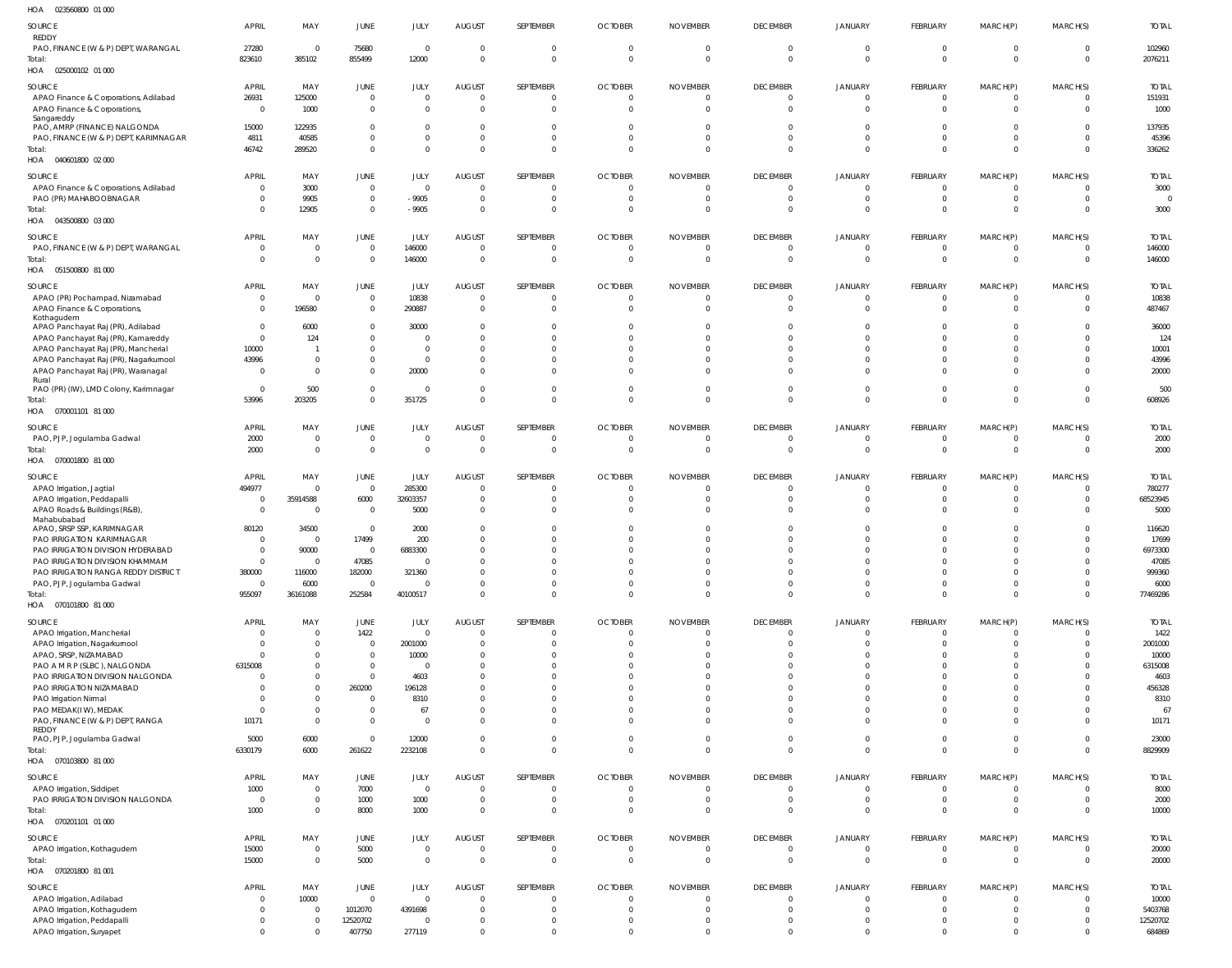| SOURCE<br>REDDY                                                              | <b>APRIL</b>                 | MAY                              | <b>JUNE</b>                      | JULY                        | <b>AUGUST</b>                    | SEPTEMBER                  | <b>OCTOBER</b>                | <b>NOVEMBER</b>            | <b>DECEMBER</b>            | <b>JANUARY</b>                   | FEBRUARY       | MARCH(P)                     | MARCH(S)                   | <b>TOTAL</b>    |
|------------------------------------------------------------------------------|------------------------------|----------------------------------|----------------------------------|-----------------------------|----------------------------------|----------------------------|-------------------------------|----------------------------|----------------------------|----------------------------------|----------------|------------------------------|----------------------------|-----------------|
| PAO, FINANCE (W & P) DEPT, WARANGAL                                          | 27280                        | $\overline{0}$                   | 75680                            | $\overline{0}$              | $\overline{0}$                   | $\mathbf 0$                | $\mathbf 0$                   | $\mathbf 0$                | $\overline{0}$             | $\overline{0}$                   | C              | $\mathbf 0$                  | $\overline{0}$             | 102960          |
| Total:<br>HOA  025000102  01 000                                             | 823610                       | 385102                           | 855499                           | 12000                       | $\Omega$                         | $\mathbf 0$                | $\Omega$                      | $\Omega$                   | $\Omega$                   | $\Omega$                         | $\Omega$       | $\mathbf 0$                  | $\Omega$                   | 2076211         |
| SOURCE                                                                       | <b>APRIL</b>                 | MAY                              | JUNE                             | JULY                        | <b>AUGUST</b>                    | SEPTEMBER                  | <b>OCTOBER</b>                | <b>NOVEMBER</b>            | <b>DECEMBER</b>            | JANUARY                          | FEBRUARY       | MARCH(P)                     | MARCH(S)                   | <b>TOTAL</b>    |
| APAO Finance & Corporations, Adilabad<br>APAO Finance & Corporations,        | 26931<br>$\overline{0}$      | 125000<br>1000                   | $\overline{0}$<br>$\overline{0}$ | $\mathbf 0$<br>$\mathbf{0}$ | $\overline{0}$<br>$\Omega$       | $\mathbf 0$<br>$\mathbf 0$ | $\overline{0}$<br>$\Omega$    | $\mathbf 0$<br>$\mathbf 0$ | $\overline{0}$<br>$\Omega$ | $\circ$<br>$\Omega$              | - 0            | $\mathbf 0$<br>$\mathbf{0}$  | $\overline{0}$<br>$\Omega$ | 151931<br>1000  |
| Sangareddy<br>PAO, AMRP (FINANCE) NALGONDA                                   | 15000                        | 122935                           | $\overline{0}$                   | $\mathbf 0$                 | $\overline{0}$                   | $\mathbf 0$                | $\Omega$                      | 0                          | $\Omega$                   | $\Omega$                         |                | $\Omega$                     | $\Omega$                   | 137935          |
| PAO, FINANCE (W & P) DEPT, KARIMNAGAR                                        | 4811                         | 40585                            | $\overline{0}$                   | $\bf 0$                     | $\overline{0}$                   | $\mathbf 0$                | $\mathbf 0$                   | 0                          | $\circ$                    | $\Omega$                         |                | $\mathbf{0}$                 | $\Omega$                   | 45396           |
| Total:                                                                       | 46742                        | 289520                           | $\overline{0}$                   | $\mathbf 0$                 | $\overline{0}$                   | $\mathbf 0$                | $\mathbf 0$                   | $\mathbf 0$                | $\circ$                    | $\Omega$                         |                | $\mathbf 0$                  | $\Omega$                   | 336262          |
| HOA  040601800  02  000                                                      |                              |                                  |                                  |                             |                                  |                            |                               |                            |                            |                                  |                |                              |                            |                 |
| SOURCE                                                                       | <b>APRIL</b>                 | MAY                              | JUNE                             | JULY                        | <b>AUGUST</b>                    | SEPTEMBER                  | <b>OCTOBER</b>                | <b>NOVEMBER</b>            | <b>DECEMBER</b>            | <b>JANUARY</b>                   | FEBRUARY       | MARCH(P)                     | MARCH(S)                   | <b>TOTAL</b>    |
| APAO Finance & Corporations, Adilabad                                        | $\mathbf{0}$                 | 3000                             | $\overline{0}$                   | $\overline{0}$              | $\Omega$                         | $\mathbf 0$                | $\mathbf 0$                   | $\mathbf 0$                | $\Omega$                   | $\Omega$                         | - 0            | $\mathbf{0}$                 | $\Omega$                   | 3000            |
| PAO (PR) MAHABOOBNAGAR<br>Total:                                             | $\Omega$<br>$\Omega$         | 9905<br>12905                    | $\overline{0}$<br>$\overline{0}$ | $-9905$<br>$-9905$          | $\overline{0}$<br>$\overline{0}$ | $\Omega$<br>$\mathbf 0$    | $\Omega$<br>$\Omega$          | $\Omega$<br>$\Omega$       | - 0<br>$\Omega$            | $\Omega$<br>$\Omega$             | -C             | $\mathbf{0}$<br>$\mathbf 0$  | $\Omega$<br>$\Omega$       | 3000            |
| HOA  043500800  03  000                                                      |                              |                                  |                                  |                             |                                  |                            |                               |                            |                            |                                  |                |                              |                            |                 |
| SOURCE                                                                       | <b>APRIL</b>                 | MAY                              | JUNE                             | JULY                        | <b>AUGUST</b>                    | SEPTEMBER                  | <b>OCTOBER</b>                | <b>NOVEMBER</b>            | <b>DECEMBER</b>            | <b>JANUARY</b>                   | FEBRUARY       | MARCH(P)                     | MARCH(S)                   | <b>TOTAL</b>    |
| PAO, FINANCE (W & P) DEPT, WARANGAL                                          | $\mathbf 0$<br>$\mathbf{0}$  | $\mathbf 0$<br>$\mathbf 0$       | $\overline{0}$                   | 146000                      | $\overline{0}$<br>$\overline{0}$ | $\mathbf 0$<br>$\mathbf 0$ | $\mathbf 0$<br>$\overline{0}$ | $\mathbf 0$<br>$\mathbf 0$ | - 0<br>$\overline{0}$      | - 0<br>$\overline{0}$            | - 0<br>- 0     | $\mathbf 0$<br>$\mathbf 0$   | $\Omega$<br>$\overline{0}$ | 146000          |
| Total:<br>HOA  051500800  81 000                                             |                              |                                  | $\overline{0}$                   | 146000                      |                                  |                            |                               |                            |                            |                                  |                |                              |                            | 146000          |
| SOURCE                                                                       | <b>APRIL</b>                 | MAY                              | JUNE                             | JULY                        | <b>AUGUST</b>                    | SEPTEMBER                  | <b>OCTOBER</b>                | <b>NOVEMBER</b>            | <b>DECEMBER</b>            | <b>JANUARY</b>                   | FEBRUARY       | MARCH(P)                     | MARCH(S)                   | <b>TOTAI</b>    |
| APAO (PR) Pochampad, Nizamabad                                               | $\mathbf{0}$                 | $\overline{0}$                   | $\overline{0}$                   | 10838                       | $\overline{0}$                   | $\mathbf 0$                | $\mathbf 0$                   | $\mathbf 0$                | $\circ$                    | $\overline{0}$                   | - 0            | $\mathbf{0}$                 | $\Omega$                   | 10838           |
| APAO Finance & Corporations,<br>Kothagudem                                   | $\mathbf{0}$                 | 196580                           | $\overline{0}$                   | 290887                      | $\overline{0}$                   | $\mathbf 0$                | $\Omega$                      | $\Omega$                   | $\Omega$                   | $\Omega$                         | $\Omega$       | $\mathbf 0$                  | $\Omega$                   | 487467          |
| APAO Panchayat Raj (PR), Adilabad                                            | $\Omega$                     | 6000                             | $\overline{0}$                   | 30000                       | $\Omega$                         |                            |                               |                            | - 0                        |                                  |                | n                            | $\Omega$                   | 36000           |
| APAO Panchayat Raj (PR), Kamareddy                                           | $\Omega$                     | 124                              | $\Omega$<br>$\overline{0}$       | $\Omega$<br>$\mathbf 0$     | - 0<br>$\Omega$                  | $\Omega$                   | <sup>0</sup>                  |                            | $\Omega$<br>$\Omega$       |                                  |                | $\Omega$<br>$\Omega$         | $\Omega$<br>$\Omega$       | 124<br>10001    |
| APAO Panchayat Raj (PR), Mancherial<br>APAO Panchayat Raj (PR), Nagarkurnool | 10000<br>43996               | $\overline{0}$                   | $\overline{0}$                   | $\mathbf 0$                 | - 0                              | $\Omega$                   | $\Omega$                      |                            | $\Omega$                   | $\Omega$                         |                | $\Omega$                     | $\Omega$                   | 43996           |
| APAO Panchayat Raj (PR), Waranagal                                           | 0                            | $\overline{0}$                   | $\overline{0}$                   | 20000                       | $\Omega$                         | $\Omega$                   |                               |                            | $\Omega$                   |                                  |                | $\Omega$                     | $\Omega$                   | 20000           |
| Rural<br>PAO (PR) (IW), LMD Colony, Karimnagar                               | $\mathbf{0}$                 | 500                              | $\overline{0}$                   | $\mathbf 0$                 | $\Omega$                         | $\mathbf 0$                | $\mathbf 0$                   | $\Omega$                   | $\Omega$                   | $\Omega$                         |                | $\mathbf{0}$                 | $\Omega$                   | 500             |
| Total:                                                                       | 53996                        | 203205                           | $\Omega$                         | 351725                      | $\Omega$                         | $\mathbf 0$                | $\Omega$                      | $\Omega$                   | $\Omega$                   | $\Omega$                         | $\Omega$       | $\mathbf 0$                  | $\Omega$                   | 608926          |
| HOA  070001101  81 000                                                       |                              |                                  |                                  |                             |                                  |                            |                               |                            |                            |                                  |                |                              |                            |                 |
| SOURCE                                                                       | <b>APRIL</b>                 | MAY                              | JUNE                             | JULY                        | <b>AUGUST</b>                    | SEPTEMBER                  | <b>OCTOBER</b>                | <b>NOVEMBER</b>            | <b>DECEMBER</b>            | JANUARY                          | FEBRUARY       | MARCH(P)                     | MARCH(S)                   | <b>TOTAL</b>    |
| PAO, PJP, Jogulamba Gadwal<br>Total:                                         | 2000<br>2000                 | $\mathbf 0$<br>$\mathbf 0$       | $\overline{0}$<br>$\overline{0}$ | $\mathbf 0$<br>$\mathbf{0}$ | $\overline{0}$<br>$\overline{0}$ | $\mathbf 0$<br>$\mathbf 0$ | $\mathbf 0$<br>$\mathbf{0}$   | $\mathbf 0$<br>$\mathbf 0$ | - 0<br>$\overline{0}$      | - 0<br>$\overline{0}$            | - 0<br>C       | $\mathbf 0$<br>$\mathbf 0$   | $\Omega$<br>$\overline{0}$ | 2000<br>2000    |
| HOA  070001800  81 000                                                       |                              |                                  |                                  |                             |                                  |                            |                               |                            |                            |                                  |                |                              |                            |                 |
| SOURCE                                                                       | <b>APRIL</b>                 | MAY                              | JUNE                             | JULY                        | <b>AUGUST</b>                    | SEPTEMBER                  | <b>OCTOBER</b>                | <b>NOVEMBER</b>            | <b>DECEMBER</b>            | <b>JANUARY</b>                   | FEBRUARY       | MARCH(P)                     | MARCH(S)                   | <b>TOTAI</b>    |
| APAO Irrigation, Jagtial                                                     | 494977                       | $\overline{0}$                   | $\overline{0}$                   | 285300                      | $\Omega$                         | $\mathbf 0$                | $\Omega$                      | $\Omega$                   | $\Omega$                   | $\Omega$                         | -C             | $\mathbf{0}$                 | $\Omega$                   | 780277          |
| APAO Irrigation, Peddapalli                                                  | 0                            | 35914588                         | 6000                             | 32603357                    | $\overline{0}$                   | $\Omega$                   | $\Omega$                      | $\Omega$                   | $\Omega$                   | $\Omega$                         |                | $\Omega$                     | $\Omega$                   | 68523945        |
| APAO Roads & Buildings (R&B),                                                | $\mathbf{0}$                 | $\overline{0}$                   | $\overline{0}$                   | 5000                        | $\Omega$                         | $\Omega$                   | $\Omega$                      |                            | $\Omega$                   | $\Omega$                         |                | $\Omega$                     | $\Omega$                   | 5000            |
| Mahabubabad<br>APAO, SRSP SSP, KARIMNAGAR                                    | 80120                        | 34500                            | $\overline{0}$                   | 2000                        | $\Omega$                         | $\Omega$                   |                               |                            | - 0                        |                                  |                | n                            | $\Omega$                   | 116620          |
| PAO IRRIGATION KARIMNAGAR                                                    | $\Omega$                     | $\overline{0}$                   | 17499                            | 200                         | $\Omega$                         |                            |                               |                            | - 0                        |                                  |                |                              | $\Omega$                   | 17699           |
| PAO IRRIGATION DIVISION HYDERABAD                                            | $\Omega$                     | 90000                            | $\Omega$                         | 6883300                     | $\Omega$                         | $\Omega$                   | <sup>0</sup>                  |                            |                            |                                  |                | $\Omega$                     | $\Omega$                   | 6973300         |
| PAO IRRIGATION DIVISION KHAMMAM                                              | $\Omega$                     | $\Omega$                         | 47085                            | $\Omega$                    | $\Omega$                         |                            |                               |                            |                            |                                  |                | $\Omega$                     | $\Omega$                   | 47085           |
| PAO IRRIGATION RANGA REDDY DISTRICT<br>PAO, PJP, Jogulamba Gadwal            | 380000<br>$\mathbf{0}$       | 116000<br>6000                   | 182000<br>$\Omega$               | 321360<br>$\mathbf 0$       | $\Omega$<br>$\overline{0}$       | $\Omega$<br>$\mathbf 0$    | $\Omega$<br>$\mathbf 0$       | $\mathbf{0}$               | $\Omega$<br>$\overline{0}$ | $\Omega$<br>$\overline{0}$       | $\Omega$       | $\Omega$<br>$\mathbf{0}$     | $\Omega$<br>$\Omega$       | 999360<br>6000  |
| Total:                                                                       | 955097                       | 36161088                         | 252584                           | 40100517                    | $\Omega$                         | $\mathbf 0$                | $\Omega$                      | $\Omega$                   | $\Omega$                   | $\Omega$                         | $\Omega$       | $\mathbf 0$                  | $\Omega$                   | 77469286        |
| HOA  070101800  81 000                                                       |                              |                                  |                                  |                             |                                  |                            |                               |                            |                            |                                  |                |                              |                            |                 |
| SOURCE                                                                       | <b>APRIL</b>                 | MAY                              | JUNE                             | JULY                        | <b>AUGUST</b>                    | SEPTEMBER                  | <b>OCTOBER</b>                | <b>NOVEMBER</b>            | <b>DECEMBER</b>            | <b>JANUARY</b>                   | FEBRUARY       | MARCH(P)                     | MARCH(S)                   | <b>TOTAL</b>    |
| APAO Irrigation, Mancherial<br>APAO Irrigation, Nagarkurnool                 | $\mathbf 0$<br>$\mathbf 0$   | $\mathbf 0$<br>$\mathbf{0}$      | 1422<br>$\overline{0}$           | $\mathbf{0}$<br>2001000     | $\overline{0}$<br>$\overline{0}$ | $\mathbf 0$<br>$\mathbf 0$ | $\mathbf 0$<br>$\Omega$       | $\mathbf 0$<br>$\Omega$    | $\overline{0}$<br>$\circ$  | $\overline{0}$<br>$\Omega$       | $\Omega$       | $\mathbf{0}$<br>$\mathbf{0}$ | $\Omega$<br>$\Omega$       | 1422<br>2001000 |
| APAO, SRSP, NIZAMABAD                                                        | $\mathbf{0}$                 | $\mathbf{0}$                     | $\overline{0}$                   | 10000                       | $\overline{0}$                   | $\Omega$                   | $\Omega$                      |                            | $\Omega$                   | $\Omega$                         |                | $\Omega$                     | $\Omega$                   | 10000           |
| PAO A M R P (SLBC), NALGONDA                                                 | 6315008                      | $\overline{0}$                   | $\overline{0}$                   | $\overline{0}$              | $\Omega$                         | $\Omega$                   | $\Omega$                      |                            | $\Omega$                   | $\Omega$                         |                | $\Omega$                     | $\Omega$                   | 6315008         |
| PAO IRRIGATION DIVISION NALGONDA                                             | $\mathbf{0}$                 | $\overline{0}$                   | $\overline{0}$                   | 4603                        | $\Omega$                         | $\Omega$                   | $\Omega$                      |                            | $\Omega$                   |                                  |                | $\Omega$                     | $\Omega$                   | 4603            |
| PAO IRRIGATION NIZAMABAD                                                     | $\Omega$                     | $\overline{0}$                   | 260200                           | 196128                      | $\Omega$                         | $\Omega$                   | <sup>0</sup>                  |                            | $\Omega$                   | $\Omega$                         |                | $\Omega$                     | $\Omega$                   | 456328          |
| PAO Irrigation Nirmal<br>PAO MEDAK(IW), MEDAK                                | $\mathbf{0}$<br>$\Omega$     | $\overline{0}$<br>$\overline{0}$ | $\overline{0}$<br>$\overline{0}$ | 8310<br>67                  | $\Omega$<br>$\Omega$             | $\Omega$<br>$\mathbf 0$    | $\Omega$<br>$\Omega$          |                            | $\Omega$<br>$\Omega$       | $\Omega$                         |                | $\Omega$<br>$\Omega$         | $\Omega$<br>$\Omega$       | 8310<br>67      |
| PAO, FINANCE (W & P) DEPT, RANGA                                             | 10171                        | $\overline{0}$                   | $\overline{0}$                   | $\overline{0}$              | $\Omega$                         | $\mathbf 0$                | $\Omega$                      | $\Omega$                   | $\Omega$                   | $\Omega$                         |                | $\mathbf{0}$                 | $\Omega$                   | 10171           |
| REDDY<br>PAO, PJP, Jogulamba Gadwal                                          | 5000                         | 6000                             | $\overline{0}$                   | 12000                       | $\overline{0}$                   | $\mathbf 0$                | $\mathbf 0$                   | $\mathbf 0$                | $\overline{0}$             | $\overline{0}$                   | $\Omega$       | $\mathbf 0$                  | $\Omega$                   | 23000           |
| Total:                                                                       | 6330179                      | 6000                             | 261622                           | 2232108                     | $\overline{0}$                   | $\mathbf 0$                | $\Omega$                      | $\mathbf 0$                | $\Omega$                   | $\Omega$                         | $\Omega$       | $\mathbf 0$                  | $\Omega$                   | 8829909         |
| HOA  070103800  81 000                                                       |                              |                                  |                                  |                             |                                  |                            |                               |                            |                            |                                  |                |                              |                            |                 |
| SOURCE                                                                       | <b>APRIL</b>                 | MAY                              | JUNE                             | JULY                        | <b>AUGUST</b>                    | SEPTEMBER                  | <b>OCTOBER</b>                | <b>NOVEMBER</b>            | <b>DECEMBER</b>            | <b>JANUARY</b>                   | FEBRUARY       | MARCH(P)                     | MARCH(S)                   | <b>TOTAL</b>    |
| APAO Irrigation, Siddipet                                                    | 1000                         | $\mathbf{0}$                     | 7000                             | $\overline{0}$              | $\Omega$                         | $\overline{0}$             | $\mathbf 0$                   | $\mathbf 0$                | $\overline{0}$             | $\mathbf 0$                      | $\Omega$       | $\mathbf{0}$                 | $\Omega$                   | 8000            |
| PAO IRRIGATION DIVISION NALGONDA                                             | $\mathbf{0}$                 | $\overline{0}$                   | 1000                             | 1000                        | $\overline{0}$                   | $\mathbf 0$                | $\mathbf 0$                   | $\mathbf 0$                | $\overline{0}$             | $\mathbf 0$                      | - 0            | $\mathbf 0$                  | $\Omega$                   | 2000            |
| Total:<br>HOA  070201101  01  000                                            | 1000                         | $\mathbf{0}$                     | 8000                             | 1000                        | $\Omega$                         | $\mathbf 0$                | $\Omega$                      | $\Omega$                   | $\Omega$                   | $\Omega$                         | $\Omega$       | $\mathbf 0$                  | $\Omega$                   | 10000           |
| SOURCE                                                                       | <b>APRIL</b>                 | MAY                              | <b>JUNE</b>                      | JULY                        | <b>AUGUST</b>                    | SEPTEMBER                  | <b>OCTOBER</b>                | <b>NOVEMBER</b>            | <b>DECEMBER</b>            | <b>JANUARY</b>                   | FEBRUARY       | MARCH(P)                     | MARCH(S)                   | <b>TOTAL</b>    |
| APAO Irrigation, Kothagudem                                                  | 15000                        | $\mathbf 0$                      | 5000                             | $\overline{0}$              | $\overline{0}$                   | 0                          | $\mathbf 0$                   | 0                          | $\overline{0}$             | $\overline{0}$                   | $\overline{0}$ | $\mathbf 0$                  | $\Omega$                   | 20000           |
| Total:<br>HOA  070201800  81  001                                            | 15000                        | $\mathbf 0$                      | 5000                             | $\overline{0}$              | $\overline{0}$                   | $\overline{0}$             | $\overline{0}$                | $\mathbf 0$                | $\overline{0}$             | $\overline{0}$                   | $\Omega$       | $\mathbf 0$                  | $\overline{0}$             | 20000           |
|                                                                              |                              |                                  |                                  |                             |                                  | SEPTEMBER                  | <b>OCTOBER</b>                | <b>NOVEMBER</b>            | <b>DECEMBER</b>            |                                  | FEBRUARY       |                              | MARCH(S)                   | <b>TOTAL</b>    |
| SOURCE<br>APAO Irrigation, Adilabad                                          | <b>APRIL</b><br>$\mathbf{0}$ | MAY<br>10000                     | <b>JUNE</b><br>$\overline{0}$    | JULY<br>$\mathbf 0$         | <b>AUGUST</b><br>$\Omega$        | $\mathbf 0$                | $\mathbf 0$                   | $\mathbf{0}$               | $\overline{0}$             | <b>JANUARY</b><br>$\overline{0}$ | $\Omega$       | MARCH(P)<br>$\mathbf{0}$     | $\Omega$                   | 10000           |
| APAO Irrigation, Kothagudem                                                  | $\mathbf{0}$                 | $\overline{0}$                   | 1012070                          | 4391698                     | $\overline{0}$                   | $\mathbf 0$                | $\Omega$                      | $\Omega$                   | $\overline{0}$             | $\Omega$                         |                | $\mathbf{0}$                 | $\Omega$                   | 5403768         |
| APAO Irrigation, Peddapalli                                                  | $\mathbf{0}$                 | $\overline{0}$                   | 12520702                         | $\mathbf 0$                 | $\Omega$                         | $\mathbf 0$                | $\mathbf{0}$                  | 0                          | $\circ$                    | $\Omega$                         | - 0            | $\mathbf{0}$                 | $\Omega$                   | 12520702        |
| APAO Irrigation, Suryapet                                                    | $\Omega$                     | $\overline{0}$                   | 407750                           | 277119                      | $\Omega$                         | $\Omega$                   | $\Omega$                      | $\Omega$                   | $\Omega$                   |                                  |                | $\Omega$                     | $\Omega$                   | 684869          |

023560800 01 000 HOA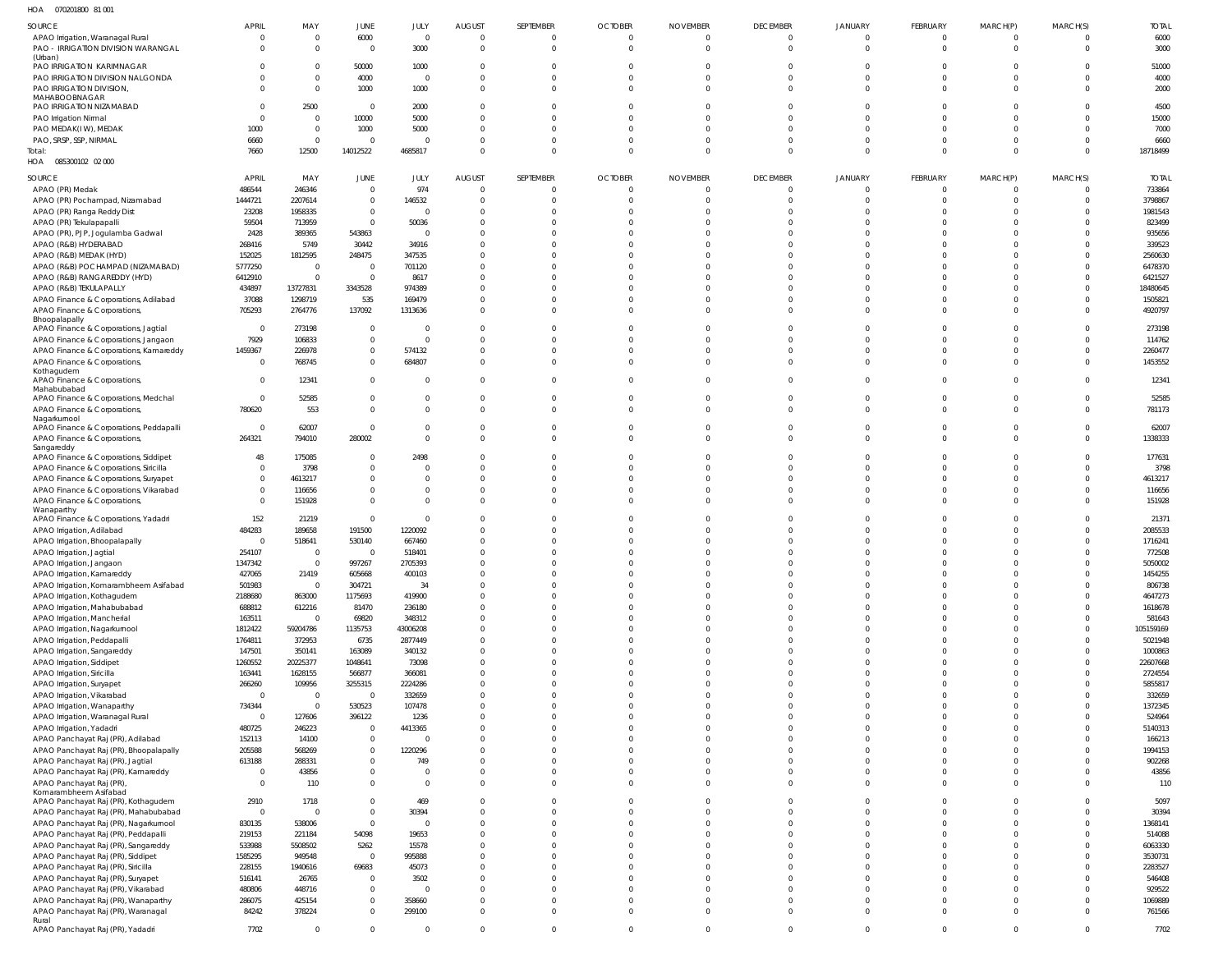| HOA  070201800  81  001                          |                |                |                             |            |                |                |                |                 |                 |                |                |                |                |              |
|--------------------------------------------------|----------------|----------------|-----------------------------|------------|----------------|----------------|----------------|-----------------|-----------------|----------------|----------------|----------------|----------------|--------------|
| SOURCE                                           | <b>APRIL</b>   | MAY            | JUNE                        | JULY       | <b>AUGUST</b>  | SEPTEMBER      | <b>OCTOBER</b> | <b>NOVEMBER</b> | <b>DECEMBER</b> | <b>JANUARY</b> | FEBRUARY       | MARCH(P)       | MARCH(S)       | <b>TOTAL</b> |
| APAO Irrigation, Waranagal Rural                 | $\Omega$       | $\Omega$       | 6000                        | $\Omega$   | $\overline{0}$ | $\overline{0}$ | $\overline{0}$ | $\overline{0}$  | $\overline{0}$  | $\Omega$       | $\overline{0}$ | $\overline{0}$ | $\overline{0}$ | 6000         |
| PAO - IRRIGATION DIVISION WARANGAL               | $\Omega$       | $\Omega$       | $\overline{0}$              | 3000       | $\overline{0}$ | $\overline{0}$ | $\overline{0}$ | $\overline{0}$  | $\Omega$        | $\Omega$       | $\Omega$       | $\mathbf{0}$   | $\Omega$       | 3000         |
| (Urban)                                          |                |                |                             |            |                |                |                |                 |                 |                |                |                |                |              |
| PAO IRRIGATION KARIMNAGAR                        |                | 0              | 50000                       | 1000       | $\Omega$       | 0              | 0              | 0               | $\Omega$        | $\Omega$       |                | 0              | $\Omega$       | 51000        |
| PAO IRRIGATION DIVISION NALGONDA                 |                | $\Omega$       | 4000                        | - 0        | $\Omega$       | $\Omega$       | $\Omega$       | $\Omega$        | $\Omega$        | $\Omega$       | $\Omega$       | $\Omega$       | $\Omega$       | 4000         |
| PAO IRRIGATION DIVISION,                         |                | $\Omega$       | 1000                        | 1000       | $\Omega$       | $\mathbf 0$    | $\mathbf 0$    | $\Omega$        | $\Omega$        | $\Omega$       | $\Omega$       | $\Omega$       | $\Omega$       | 2000         |
| MAHABOOBNAGAR                                    |                |                |                             |            |                |                |                |                 |                 |                |                |                |                |              |
| PAO IRRIGATION NIZAMABAD                         |                | 2500           | $\overline{0}$              | 2000       | $\Omega$       | $\Omega$       | $\mathbf 0$    | $\Omega$        | $\Omega$        | $\Omega$       | $\Omega$       | $\Omega$       | $\Omega$       | 4500         |
| PAO Irrigation Nirmal                            |                | $\Omega$       | 10000                       | 5000       | $\Omega$       | $\Omega$       | $\Omega$       | $\Omega$        |                 | $\Omega$       |                | $\Omega$       | $\Omega$       | 15000        |
| PAO MEDAK(IW), MEDAK                             | 1000           | $\Omega$       | 1000                        | 5000       | $\Omega$       | $\Omega$       | $\Omega$       | $\Omega$        | $\cap$          | $\Omega$       | $\Omega$       | $\Omega$       | $\Omega$       | 7000         |
| PAO, SRSP, SSP, NIRMAL                           | 6660           | $\Omega$       | $\overline{0}$              |            | $\Omega$       | $\Omega$       | $\Omega$       | $\Omega$        | $\Omega$        | $\Omega$       | $\Omega$       | $\Omega$       | $\Omega$       | 6660         |
| Total:                                           | 7660           | 12500          | 14012522                    | 4685817    | $\Omega$       | $\Omega$       | $\Omega$       | $\Omega$        | $\Omega$        | $\Omega$       | $\Omega$       | $\Omega$       | $\Omega$       | 18718499     |
| HOA  085300102  02  000                          |                |                |                             |            |                |                |                |                 |                 |                |                |                |                |              |
| SOURCE                                           | <b>APRIL</b>   | MAY            | JUNE                        | JULY       | <b>AUGUST</b>  | SEPTEMBER      | <b>OCTOBER</b> | <b>NOVEMBER</b> | <b>DECEMBER</b> | <b>JANUARY</b> | FEBRUARY       | MARCH(P)       | MARCH(S)       | <b>TOTAL</b> |
|                                                  |                |                | $\mathbf 0$                 |            | $\overline{0}$ | 0              | $\overline{0}$ | 0               | $\Omega$        | $\Omega$       | $\Omega$       |                | $\overline{0}$ |              |
| APAO (PR) Medak                                  | 486544         | 246346         |                             | 974        |                |                |                |                 |                 |                |                | 0              |                | 733864       |
| APAO (PR) Pochampad, Nizamabad                   | 1444721        | 2207614        | $\mathbf 0$                 | 146532     | $\Omega$       | 0              | 0              | $\Omega$        | $\Omega$        | $\Omega$       | $\Omega$       | 0              | $\Omega$       | 3798867      |
| APAO (PR) Ranga Reddy Dist                       | 23208          | 1958335        | $\mathbf 0$                 | $\Omega$   | $\Omega$       | $\Omega$       | 0              | $\Omega$        | $\Omega$        | $\Omega$       | $\Omega$       | $\Omega$       | $\Omega$       | 1981543      |
| APAO (PR) Tekulapapalli                          | 59504          | 713959         | $\mathbf 0$                 | 50036      | $\Omega$       | $\Omega$       | $\Omega$       | $\Omega$        | $\Omega$        |                | $\cap$         | $\Omega$       | $\Omega$       | 823499       |
| APAO (PR), PJP, Jogulamba Gadwal                 | 2428           | 389365         | 543863                      | $\Omega$   | $\Omega$       | $\Omega$       | $\Omega$       | -0              | $\Omega$        | $\Omega$       | $\Omega$       | $\Omega$       | $\Omega$       | 935656       |
| APAO (R&B) HYDERABAD                             | 268416         | 5749           | 30442                       | 34916      | $\Omega$       | $\Omega$       | $\Omega$       | $\Omega$        | $\cap$          | $\cap$         | $\cap$         | $\Omega$       | $\Omega$       | 339523       |
| APAO (R&B) MEDAK (HYD)                           | 152025         | 1812595        | 248475                      | 347535     | $\Omega$       | $\Omega$       | $\Omega$       | $\Omega$        |                 |                |                | $\Omega$       | $\Omega$       | 2560630      |
| APAO (R&B) POCHAMPAD (NIZAMABAD)                 | 5777250        | $\overline{0}$ | $\overline{0}$              | 701120     | $\Omega$       | $\Omega$       | $\Omega$       | -0              |                 |                | $\cap$         | $\Omega$       | $\Omega$       | 6478370      |
| APAO (R&B) RANGAREDDY (HYD)                      | 6412910        | $\Omega$       | $\overline{0}$              | 8617       | $\Omega$       | $\Omega$       | $\Omega$       | $\Omega$        | $\Omega$        |                | $\Omega$       | $\Omega$       | $\Omega$       | 6421527      |
| APAO (R&B) TEKULAPALLY                           | 434897         | 13727831       | 3343528                     | 974389     | $\Omega$       | $\Omega$       | $\Omega$       | $\Omega$        | $\cap$          | $\Omega$       | $\cap$         | $\Omega$       | $\Omega$       | 18480645     |
| APAO Finance & Corporations, Adilabad            | 37088          | 1298719        | 535                         | 169479     | $\Omega$       | 0              | $\Omega$       | $\Omega$        | $\Omega$        | $\Omega$       | $\Omega$       | $\Omega$       | $\Omega$       | 1505821      |
| APAO Finance & Corporations,                     | 705293         | 2764776        | 137092                      | 1313636    | $\Omega$       | $\Omega$       | $\Omega$       | $\Omega$        | $\Omega$        | $\Omega$       | $\Omega$       | $\Omega$       | $\Omega$       | 4920797      |
| Bhoopalapally                                    |                |                |                             |            |                |                |                |                 |                 |                |                |                |                |              |
| APAO Finance & Corporations, Jagtial             | $\overline{0}$ | 273198         | $\overline{0}$              | $\bigcap$  | $\Omega$       | $\Omega$       | $\Omega$       | $\Omega$        |                 | $\Omega$       |                | $\Omega$       | $\Omega$       | 273198       |
| APAO Finance & Corporations, Jangaon             | 7929           | 106833         | $\mathbf 0$                 | $\Omega$   | $\Omega$       | $\Omega$       | $\Omega$       | $\Omega$        |                 | $\Omega$       |                | $\Omega$       | $\Omega$       | 114762       |
| APAO Finance & Corporations, Kamareddy           | 1459367        | 226978         | $\mathbf 0$                 | 574132     | $\mathbf{0}$   | 0              | 0              | 0               | $\Omega$        | $\Omega$       | $\Omega$       | $\Omega$       | $\Omega$       | 2260477      |
| APAO Finance & Corporations,                     | $\Omega$       | 768745         | $\mathbf 0$                 | 684807     | $\Omega$       | $\Omega$       | $\Omega$       | $\Omega$        | $\Omega$        | $\Omega$       | $\Omega$       | $\Omega$       | $\Omega$       | 1453552      |
| Kothagudem<br>APAO Finance & Corporations,       | $\Omega$       | 12341          | $\mathbf 0$                 | - 0        | $\Omega$       | $\mathbf 0$    | $\mathbf 0$    | $\Omega$        | $\Omega$        | $\Omega$       | $\Omega$       | $\Omega$       | $\Omega$       | 12341        |
| Mahabubabad                                      |                |                |                             |            |                |                |                |                 |                 |                |                |                |                |              |
| APAO Finance & Corporations, Medchal             | $\Omega$       | 52585          | $\mathbf 0$                 |            | $\Omega$       | 0              | 0              | 0               | $\Omega$        | $\Omega$       | $\Omega$       | $\Omega$       | $\Omega$       | 52585        |
| APAO Finance & Corporations,                     | 780620         | 553            | $\overline{0}$              | $\Omega$   | $\Omega$       | $\mathbf 0$    | $\mathbf 0$    | $\mathbf 0$     | $\Omega$        | $\Omega$       | $\Omega$       | $\mathbf 0$    | $\Omega$       | 781173       |
| Nagarkurnool                                     |                |                |                             |            |                |                |                |                 |                 |                |                |                |                |              |
| APAO Finance & Corporations, Peddapalli          | $\Omega$       | 62007          | $\overline{0}$              | $\Omega$   | $\Omega$       | $\mathbf 0$    | 0              | 0               | $\Omega$        | $\Omega$       | $\Omega$       | $\mathbf{0}$   | $\Omega$       | 62007        |
| APAO Finance & Corporations,                     | 264321         | 794010         | 280002                      | $\Omega$   | $\Omega$       | $\Omega$       | $\Omega$       | $\Omega$        | $\Omega$        | $\Omega$       | $\Omega$       | $\Omega$       | $\Omega$       | 1338333      |
| Sangareddy                                       |                |                |                             |            |                |                |                |                 |                 |                |                |                |                |              |
| APAO Finance & Corporations, Siddipet            | 48             | 175085         | $\mathbf 0$                 | 2498       | $\Omega$       | $\Omega$       | 0              | $\Omega$        | $\Omega$        | $\Omega$       |                | $\Omega$       | $\Omega$       | 177631       |
| APAO Finance & Corporations, Siricilla           | $\Omega$       | 3798           | $\mathbf 0$                 | $\Omega$   | $\Omega$       | 0              | $\mathbf 0$    | $\Omega$        | $\Omega$        | $\Omega$       | $\Omega$       | $\Omega$       | $\Omega$       | 3798         |
| APAO Finance & Corporations, Suryapet            | $\Omega$       | 4613217        | $\mathbf 0$                 | $\Omega$   | $\Omega$       | 0              | 0              | $\Omega$        | $\cap$          | $\Omega$       | $\Omega$       | $\Omega$       | $\Omega$       | 4613217      |
| APAO Finance & Corporations, Vikarabad           | $\Omega$       | 116656         | $\mathbf 0$                 | $\Omega$   | $\Omega$       | 0              | 0              | $\Omega$        | $\Omega$        | $\Omega$       | $\Omega$       | $\Omega$       | $\Omega$       | 116656       |
| APAO Finance & Corporations,                     | $\Omega$       | 151928         | $\mathbf 0$                 | $\Omega$   | $\Omega$       | $\Omega$       | $\Omega$       | $\Omega$        | $\Omega$        | $\Omega$       | $\Omega$       | $\Omega$       | $\Omega$       | 151928       |
| Wanaparthy                                       |                |                |                             |            |                |                |                |                 |                 |                |                |                |                |              |
| APAO Finance & Corporations, Yadadri             | 152            | 21219          | $\overline{0}$              | $\Omega$   | $\Omega$       | $\Omega$       | $\Omega$       | $\Omega$        |                 |                |                | $\Omega$       | $\Omega$       | 21371        |
| APAO Irrigation, Adilabad                        | 484283         | 189658         | 191500                      | 1220092    | $\Omega$       | $\Omega$       | 0              | $\Omega$        | $\Omega$        |                | $\Omega$       | $\Omega$       | $\Omega$       | 2085533      |
| APAO Irrigation, Bhoopalapally                   | $\Omega$       | 518641         | 530140                      | 667460     | $\Omega$       | $\Omega$       | $\Omega$       | $\Omega$        | $\Omega$        | $\Omega$       | $\Omega$       | $\Omega$       | $\Omega$       | 1716241      |
| APAO Irrigation, Jagtial                         | 254107         | $\Omega$       | $\Omega$                    | 518401     | $\Omega$       | $\Omega$       | $\Omega$       | $\cap$          |                 |                |                | $\Omega$       | $\Omega$       | 772508       |
| APAO Irrigation, Jangaon                         | 1347342        | $\Omega$       | 997267                      | 2705393    | $\Omega$       | $\mathbf 0$    | $\mathbf 0$    | $\mathbf 0$     | $\Omega$        | $\Omega$       | $\Omega$       | $\mathbf{0}$   | $\Omega$       | 5050002      |
| APAO Irrigation, Kamareddy                       | 427065         | 21419          | 605668                      | 400103     | $\overline{0}$ | $\mathbf 0$    | $\mathbf 0$    | $\mathbf 0$     | $\Omega$        | $\Omega$       | $\overline{0}$ | $\mathbf{0}$   | $\Omega$       | 1454255      |
| APAO Irrigation, Komarambheem Asifabad           | 501983         | $\overline{0}$ | 304721                      | 34         | $\overline{0}$ | $\mathbf 0$    | $\mathbf 0$    | $\mathbf 0$     | $\Omega$        | $\Omega$       | $\Omega$       | $\Omega$       | $\Omega$       | 806738       |
| APAO Irrigation, Kothagudem                      | 2188680        | 863000         | 1175693                     | 419900     | $\overline{0}$ | $\mathbf 0$    | $\Omega$       | $\mathbf 0$     | $\Omega$        | $\Omega$       | $\Omega$       | $\Omega$       | $\Omega$       | 4647273      |
| APAO Irrigation, Mahabubabad                     | 688812         | 612216         | 81470                       | 236180     | $\mathbf{0}$   | $\mathbf 0$    | $\mathbf 0$    | $\mathbf 0$     | $\Omega$        | $\Omega$       | $\Omega$       | $\Omega$       | $\Omega$       | 1618678      |
| APAO Irrigation, Mancherial                      | 163511         | $\Omega$       | 69820                       | 348312     | $\mathbf{0}$   | $\mathbf 0$    | $\Omega$       | $\mathbf 0$     | $\Omega$        | $\Omega$       | $\Omega$       | $\Omega$       | $\Omega$       | 581643       |
| APAO Irrigation, Nagarkurnool                    | 1812422        | 59204786       | 1135753                     | 43006208   | $\Omega$       | $\mathbf 0$    | $\Omega$       | $\mathbf 0$     | $\Omega$        | $\Omega$       | $\Omega$       | $\Omega$       | $\Omega$       | 105159169    |
| APAO Irrigation, Peddapalli                      | 1764811        | 372953         | 6735                        | 2877449    | $\mathbf 0$    | $\mathbf 0$    | $\Omega$       | $\mathbf 0$     | $\Omega$        | $\Omega$       | $\Omega$       | $\Omega$       | $\Omega$       | 5021948      |
| APAO Irrigation, Sangareddy                      | 147501         | 350141         | 163089                      | 340132     | $\mathbf 0$    | $\mathbf 0$    | $\mathbf 0$    | $\mathbf 0$     | $\Omega$        | $\Omega$       | $\Omega$       | $\Omega$       | $\Omega$       | 1000863      |
| APAO Irrigation, Siddipet                        | 1260552        | 20225377       | 1048641                     | 73098      | $\overline{0}$ | $\mathbf 0$    | $\Omega$       | $\mathbf 0$     | $\Omega$        | $\Omega$       | $\Omega$       | $\Omega$       | $\Omega$       | 22607668     |
| APAO Irrigation, Siricilla                       | 163441         | 1628155        | 566877                      | 366081     | $\mathbf 0$    | $\mathbf 0$    | $\mathbf 0$    | $\mathbf 0$     | $\Omega$        | $\Omega$       | $\Omega$       | $\Omega$       | $\Omega$       | 2724554      |
| APAO Irrigation, Suryapet                        | 266260         | 109956         | 3255315                     | 2224286    | $\mathbf 0$    | $\mathbf 0$    | $\Omega$       | $\mathbf 0$     | $\Omega$        | $\Omega$       | $\Omega$       | $\Omega$       | $\Omega$       | 5855817      |
| APAO Irrigation, Vikarabad                       | $\overline{0}$ | $\overline{0}$ | $\overline{\phantom{0}}$    | 332659     | $\mathbf 0$    | $\mathbf 0$    | $\mathbf 0$    | $\mathbf 0$     | $\Omega$        | $\Omega$       | $\Omega$       | $\Omega$       | $\Omega$       | 332659       |
| APAO Irrigation, Wanaparthy                      | 734344         | $\overline{0}$ | 530523                      | 107478     | $\mathbf 0$    | $\mathbf 0$    | $\Omega$       | $\mathbf 0$     | $\Omega$        | $\Omega$       | $\Omega$       | $\Omega$       | $\Omega$       | 1372345      |
| APAO Irrigation, Waranagal Rural                 | $\overline{0}$ | 127606         | 396122                      | 1236       | $\mathbf{0}$   | $\mathbf 0$    | $\mathbf 0$    | $\mathbf 0$     | $\Omega$        | $\Omega$       | $\Omega$       | $\Omega$       | $\Omega$       | 524964       |
| APAO Irrigation, Yadadri                         | 480725         | 246223         | $\overline{\mathbf{0}}$     | 4413365    | $\mathbf{0}$   | $\mathbf 0$    | $\Omega$       | $\mathbf 0$     | $\Omega$        | $\Omega$       | $\Omega$       | $\Omega$       | $\Omega$       | 5140313      |
| APAO Panchayat Raj (PR), Adilabad                | 152113         | 14100          | $\mathbf 0$                 | $\Omega$   | $\mathbf{0}$   | $\mathbf 0$    | $\mathbf 0$    | $\mathbf 0$     | $\Omega$        | $\Omega$       | $\Omega$       | $\Omega$       | $\Omega$       | 166213       |
| APAO Panchayat Raj (PR), Bhoopalapally           | 205588         | 568269         | $\overline{0}$              | 1220296    | $\mathbf{0}$   | $\mathbf 0$    | $\Omega$       | $\mathbf 0$     | $\Omega$        | $\Omega$       | $\Omega$       | $\Omega$       | $\Omega$       | 1994153      |
| APAO Panchayat Raj (PR), Jagtial                 | 613188         | 288331         | $\overline{0}$              | 749        | $\mathbf{0}$   | $\mathbf 0$    | $\Omega$       | $\mathbf 0$     | $\Omega$        | $\Omega$       | $\Omega$       | $\Omega$       | $\Omega$       | 902268       |
|                                                  | $\overline{0}$ |                |                             | $\Omega$   | $\overline{0}$ | $\mathbf 0$    | $\mathbf 0$    | $\mathbf 0$     | $\Omega$        | $\Omega$       | $\Omega$       | $\mathbf 0$    | $\mathbf 0$    |              |
| APAO Panchayat Raj (PR), Kamareddy               | $\Omega$       | 43856          | $\mathbf{0}$<br>$\mathbf 0$ | $\Omega$   | $\overline{0}$ | $\mathbf{0}$   | $\mathbf 0$    | $\mathbf 0$     | $\Omega$        | $\Omega$       | $\Omega$       | $\mathbf 0$    | $\mathbf{0}$   | 43856        |
| APAO Panchayat Raj (PR)<br>Komarambheem Asifabad |                | 110            |                             |            |                |                |                |                 |                 |                |                |                |                | 110          |
| APAO Panchayat Raj (PR), Kothagudem              | 2910           | 1718           | $\mathbf 0$                 | 469        | $\overline{0}$ | $\mathbf 0$    | $\mathbf 0$    | $\mathbf 0$     | $\Omega$        | $\overline{0}$ | $\Omega$       | $\Omega$       | $\mathbf 0$    | 5097         |
| APAO Panchayat Raj (PR), Mahabubabad             | $\overline{0}$ | $\mathbf 0$    | $\mathbf 0$                 | 30394      | $\mathbf 0$    | $\Omega$       | $\Omega$       | $\Omega$        | $\Omega$        | $\Omega$       | $\Omega$       | $\Omega$       | $\mathbf 0$    | 30394        |
| APAO Panchayat Raj (PR), Nagarkurnool            | 830135         | 538006         | $\mathbf 0$                 | $\Omega$   | $\overline{0}$ | $\mathbf 0$    | $\Omega$       | $\Omega$        | $\Omega$        | $\Omega$       | $\Omega$       | $\Omega$       | $\Omega$       | 1368141      |
| APAO Panchayat Raj (PR), Peddapalli              | 219153         | 221184         | 54098                       | 19653      | $\mathbf 0$    | $\Omega$       | $\Omega$       | $\Omega$        | $\Omega$        | $\Omega$       | $\Omega$       | $\Omega$       | $\Omega$       | 514088       |
| APAO Panchayat Raj (PR), Sangareddy              | 533988         | 5508502        | 5262                        | 15578      | $\mathbf 0$    | $\Omega$       | $\Omega$       | $\Omega$        | $\Omega$        | $\Omega$       | $\Omega$       | $\Omega$       | $\Omega$       | 6063330      |
| APAO Panchayat Raj (PR), Siddipet                | 1585295        | 949548         | $\overline{\mathbf{0}}$     | 995888     | $\mathbf 0$    | $\Omega$       | $\Omega$       | $\Omega$        | $\Omega$        | $\Omega$       | $\Omega$       | $\Omega$       | $\Omega$       | 3530731      |
| APAO Panchayat Raj (PR), Siricilla               | 228155         | 1940616        | 69683                       | 45073      | $\mathbf 0$    | $\Omega$       | $\Omega$       | $\Omega$        | $\Omega$        | $\Omega$       | $\Omega$       | $\Omega$       | $\Omega$       | 2283527      |
| APAO Panchayat Raj (PR), Suryapet                | 516141         | 26765          | $\overline{0}$              | 3502       | $\mathbf{0}$   | $\Omega$       | $\Omega$       | $\Omega$        | $\Omega$        | $\Omega$       | $\Omega$       | $\Omega$       | $\Omega$       | 546408       |
| APAO Panchayat Raj (PR), Vikarabad               | 480806         | 448716         | $\mathsf 0$                 | $\Omega$   | $\mathbf{0}$   | $\mathbf 0$    | $\Omega$       | $\Omega$        | $\Omega$        | $\Omega$       | $\Omega$       | $\Omega$       | $\Omega$       | 929522       |
| APAO Panchayat Raj (PR), Wanaparthy              | 286075         | 425154         | $\mathbf 0$                 | 358660     | $\mathbf{0}$   | $\mathbf 0$    | $\Omega$       | $\mathbf 0$     | $\Omega$        | $\Omega$       | $\Omega$       | $\Omega$       | $\Omega$       | 1069889      |
|                                                  | 84242          | 378224         | $\mathbf 0$                 | 299100     | $\overline{0}$ | $\Omega$       | $\Omega$       | $\Omega$        | $\Omega$        | $\Omega$       | $\Omega$       | $\Omega$       | $\Omega$       | 761566       |
| APAO Panchayat Raj (PR), Waranagal<br>Rural      |                |                |                             |            |                |                |                |                 |                 |                |                |                |                |              |
| APAO Panchayat Raj (PR), Yadadri                 | 7702           | $\mathbf 0$    | $\mathbf 0$                 | $^{\circ}$ | $\overline{0}$ | $\overline{0}$ | $\overline{0}$ | $\overline{0}$  | $\overline{0}$  | $\overline{0}$ | $\overline{0}$ | $\overline{0}$ | $\overline{0}$ | 7702         |
|                                                  |                |                |                             |            |                |                |                |                 |                 |                |                |                |                |              |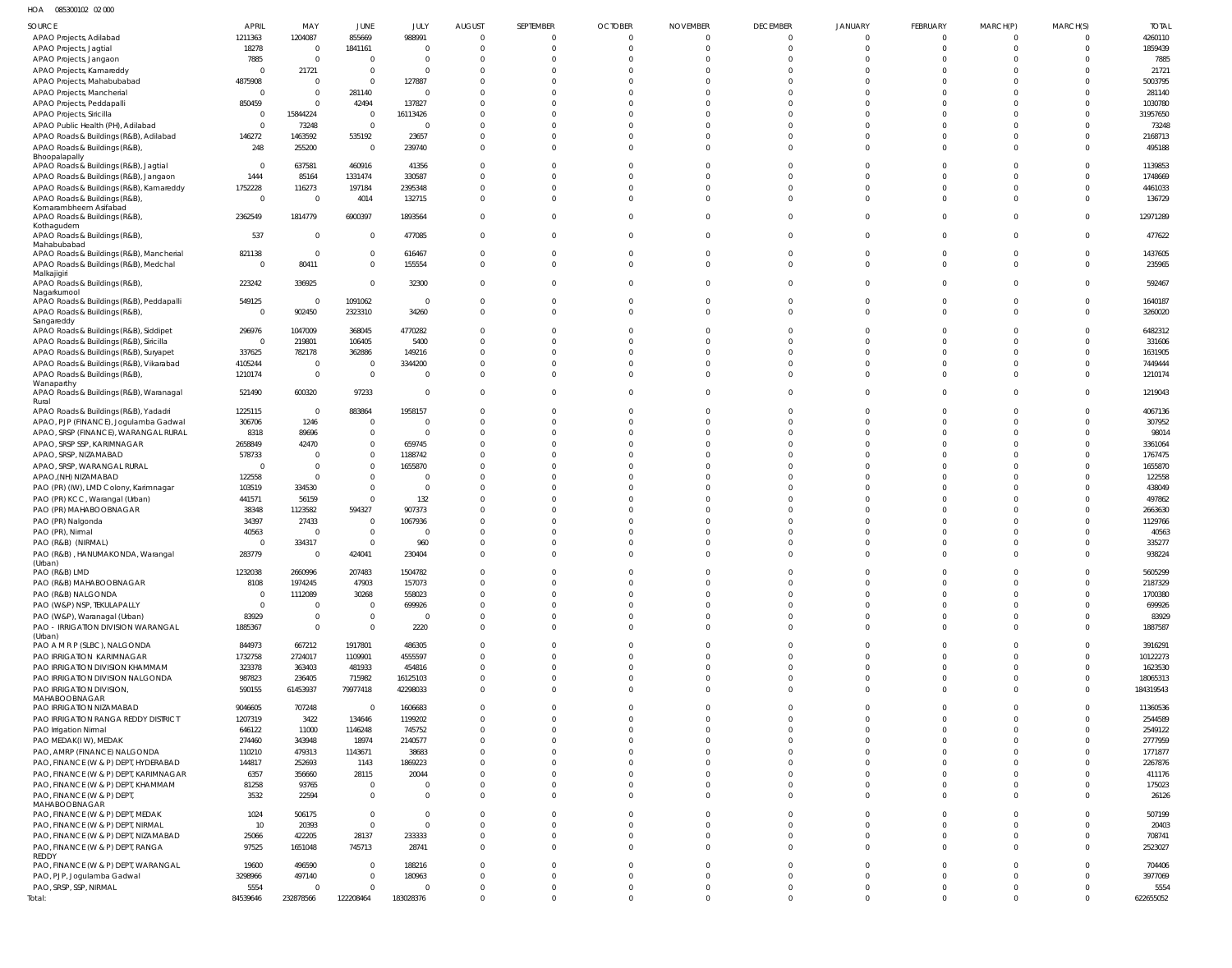HOA 085300102 02 000

| <b>SOURCE</b>                                                                    | <b>APRIL</b>             | MAY                  | JUNE                       | JULY                       | <b>AUGUST</b>        | SEPTEMBER            | <b>OCTOBER</b>       | <b>NOVEMBER</b>      | <b>DECEMBER</b>      | <b>JANUARY</b>       | FEBRUARY             | MARCH(P)             | MARCH(S)             | <b>TOTAL</b>          |
|----------------------------------------------------------------------------------|--------------------------|----------------------|----------------------------|----------------------------|----------------------|----------------------|----------------------|----------------------|----------------------|----------------------|----------------------|----------------------|----------------------|-----------------------|
| APAO Projects, Adilabad                                                          | 1211363                  | 1204087              | 855669                     | 988991                     | $\Omega$             | $\overline{0}$       | $\overline{0}$       | $\overline{0}$       | $\Omega$             | $\Omega$             | $\Omega$             | $\overline{0}$       | $\Omega$             | 4260110               |
| APAO Projects, Jagtial                                                           | 18278                    | $\Omega$<br>$\Omega$ | 1841161                    | $\overline{0}$             | $\Omega$             | $\Omega$             | $\overline{0}$       | $\Omega$<br>$\Omega$ | $\Omega$<br>$\Omega$ | $\Omega$             | $\Omega$             | $\Omega$<br>$\Omega$ | $\Omega$             | 1859439               |
| APAO Projects, Jangaon<br>APAO Projects, Kamareddy                               | 7885                     | 21721                | $\mathbf 0$<br>$\mathbf 0$ | $\overline{0}$<br>$\Omega$ | $\Omega$<br>$\Omega$ | $\Omega$<br>$\Omega$ | $\Omega$<br>$\Omega$ | $\Omega$             | $\cap$               | $\Omega$             | $\Omega$<br>$\cap$   | $\Omega$             |                      | 7885<br>21721         |
| APAO Projects, Mahabubabad                                                       | 4875908                  | $\Omega$             | $\mathbf 0$                | 127887                     | $\Omega$             | $\Omega$             | $\Omega$             | $\Omega$             | $\Omega$             |                      | $\Omega$             | $\Omega$             |                      | 5003795               |
| APAO Projects, Mancherial                                                        | - 0                      | $\Omega$             | 281140                     | $\Omega$                   | $\Omega$             | $\Omega$             | $\Omega$             | $\Omega$             | $\cap$               | $\cap$               | $\cap$               | $\Omega$             |                      | 281140                |
| APAO Projects, Peddapalli                                                        | 850459                   |                      | 42494                      | 137827                     | $\Omega$             | $\Omega$             | $\Omega$             | $\Omega$             | $\cap$               | $\Omega$             | $\cap$               | $\Omega$             |                      | 1030780               |
| APAO Projects, Siricilla                                                         | C                        | 15844224             | $\mathbf{0}$               | 16113426                   | $\Omega$             | $\Omega$             | $\Omega$             | $\Omega$             |                      | $\cap$               | $\cap$               | $\Omega$             |                      | 31957650              |
| APAO Public Health (PH), Adilabad<br>APAO Roads & Buildings (R&B), Adilabad      | $\overline{0}$<br>146272 | 73248<br>1463592     | $\overline{0}$<br>535192   | 0<br>23657                 | $\Omega$<br>$\Omega$ | $\Omega$<br>$\Omega$ | $\Omega$<br>$\Omega$ | $\Omega$<br>$\Omega$ | $\cap$<br>$\cap$     | $\Omega$<br>$\Omega$ | $\Omega$<br>$\Omega$ | $\Omega$<br>$\Omega$ |                      | 73248<br>2168713      |
| APAO Roads & Buildings (R&B)                                                     | 248                      | 255200               | $\overline{0}$             | 239740                     | $\Omega$             | $\Omega$             | $\Omega$             | $\Omega$             | $\Omega$             | $\Omega$             | $\Omega$             | $\Omega$             | $\Omega$             | 495188                |
| Bhoopalapally                                                                    |                          |                      |                            |                            |                      |                      |                      |                      |                      |                      |                      |                      |                      |                       |
| APAO Roads & Buildings (R&B), Jagtial                                            | $\overline{0}$<br>1444   | 637581               | 460916                     | 41356                      | $\Omega$<br>$\Omega$ | $\Omega$<br>$\Omega$ | $\Omega$<br>$\Omega$ | $\Omega$<br>$\Omega$ | $\cap$<br>$\Omega$   | $\Omega$<br>$\Omega$ | $\Omega$<br>$\Omega$ | $\Omega$<br>$\Omega$ | $\Omega$             | 1139853<br>1748669    |
| APAO Roads & Buildings (R&B), Jangaon<br>APAO Roads & Buildings (R&B), Kamareddy | 1752228                  | 85164<br>116273      | 1331474<br>197184          | 330587<br>2395348          | $\Omega$             | $\Omega$             | $\Omega$             | $\Omega$             | $\Omega$             | $\Omega$             | $\Omega$             | $\Omega$             | $\Omega$             | 4461033               |
| APAO Roads & Buildings (R&B),                                                    | $\overline{0}$           | $\Omega$             | 4014                       | 132715                     | $\Omega$             | $\Omega$             | $\Omega$             | $\Omega$             | $\Omega$             | $\Omega$             | $\Omega$             | $\Omega$             | $\Omega$             | 136729                |
| Komarambheem Asifabad                                                            |                          |                      |                            |                            |                      |                      |                      |                      |                      |                      |                      |                      |                      |                       |
| APAO Roads & Buildings (R&B)<br>Kothagudem                                       | 2362549                  | 1814779              | 6900397                    | 1893564                    | $\Omega$             | $\Omega$             | $\Omega$             | $\Omega$             | $\Omega$             | $\Omega$             | $\Omega$             | $\Omega$             | $\Omega$             | 12971289              |
| APAO Roads & Buildings (R&B)                                                     | 537                      | $\Omega$             | $\mathbf{0}$               | 477085                     | $\Omega$             | $\Omega$             | $\Omega$             | $\Omega$             | $\Omega$             | $\Omega$             | $\Omega$             | $\Omega$             | $\Omega$             | 477622                |
| Mahabubabad<br>APAO Roads & Buildings (R&B), Mancherial                          | 821138                   | $\Omega$             | $\overline{0}$             | 616467                     | $\Omega$             | $\Omega$             | $\overline{0}$       | $\Omega$             | $\Omega$             | $\Omega$             | $\Omega$             | $\Omega$             | $\Omega$             | 1437605               |
| APAO Roads & Buildings (R&B), Medchal                                            | $\Omega$                 | 80411                | $\mathbf 0$                | 155554                     | $\Omega$             | $\Omega$             | $\Omega$             | $\Omega$             | $\Omega$             | $\Omega$             | $\Omega$             | $\Omega$             | $\Omega$             | 235965                |
| Malkajigiri                                                                      |                          |                      |                            |                            |                      |                      |                      |                      |                      |                      |                      |                      |                      |                       |
| APAO Roads & Buildings (R&B),<br>Nagarkurnool                                    | 223242                   | 336925               | $\mathbf 0$                | 32300                      | $\Omega$             | $\Omega$             | $\Omega$             | $\Omega$             | $\Omega$             | $\Omega$             | $\Omega$             | $\Omega$             | $\Omega$             | 592467                |
| APAO Roads & Buildings (R&B), Peddapalli                                         | 549125                   | $\Omega$             | 1091062                    | $\overline{0}$             | $\mathbf{0}$         | $\overline{0}$       | $\overline{0}$       | $\overline{0}$       | $\Omega$             | $\Omega$             | $\Omega$             | $\overline{0}$       | $\Omega$             | 1640187               |
| APAO Roads & Buildings (R&B)                                                     | - 0                      | 902450               | 2323310                    | 34260                      | $\Omega$             | $\Omega$             | $\Omega$             | $\Omega$             | $\Omega$             | $\Omega$             | $\Omega$             | $\Omega$             | $\Omega$             | 3260020               |
| Sangareddy<br>APAO Roads & Buildings (R&B), Siddipet                             | 296976                   | 1047009              | 368045                     | 4770282                    | $\Omega$             | $\Omega$             | $\Omega$             | $\Omega$             | $\Omega$             | $\Omega$             | $\Omega$             | $\Omega$             |                      | 6482312               |
| APAO Roads & Buildings (R&B), Siricilla                                          | - 0                      | 219801               | 106405                     | 5400                       | $\Omega$             | $\Omega$             | $\Omega$             | $\Omega$             | $\cap$               | $\cap$               | $\cap$               | $\Omega$             | $\Omega$             | 331606                |
| APAO Roads & Buildings (R&B), Suryapet                                           | 337625                   | 782178               | 362886                     | 149216                     | $\Omega$             | $\Omega$             | $\Omega$             | $\Omega$             | $\Omega$             | $\Omega$             | $\Omega$             | $\Omega$             | $\Omega$             | 1631905               |
| APAO Roads & Buildings (R&B), Vikarabad                                          | 4105244                  | $\overline{0}$       | $\mathbf{0}$               | 3344200                    | $\Omega$             | $\Omega$             | $\Omega$             | $\Omega$             | $\cap$               | $\Omega$             | $\Omega$             | $\Omega$             | $\Omega$             | 7449444               |
| APAO Roads & Buildings (R&B),<br>Wanaparthy                                      | 1210174                  | $\Omega$             | $\overline{0}$             | $\Omega$                   | $\Omega$             | $\Omega$             | $\Omega$             | $\Omega$             | $\Omega$             | $\Omega$             | $\Omega$             | $\Omega$             | $\Omega$             | 1210174               |
| APAO Roads & Buildings (R&B), Waranagal                                          | 521490                   | 600320               | 97233                      | $\mathbf 0$                | $\Omega$             | $\Omega$             | $\Omega$             | $\Omega$             | $\Omega$             | $\Omega$             | $\Omega$             | $\Omega$             | $\Omega$             | 1219043               |
| Rural<br>APAO Roads & Buildings (R&B), Yadadr                                    | 1225115                  | - 0                  | 883864                     | 1958157                    | $\Omega$             | $\Omega$             | $\Omega$             | $\Omega$             | $\Omega$             | $\Omega$             | $\Omega$             | $\Omega$             |                      | 4067136               |
| APAO, PJP (FINANCE), Jogulamba Gadwal                                            | 306706                   | 1246                 | $\mathbf 0$                | $\Omega$                   | $\Omega$             | $\Omega$             | $\Omega$             | $\Omega$             | $\Omega$             | $\Omega$             | $\Omega$             | $\Omega$             | $\Omega$             | 307952                |
| APAO, SRSP (FINANCE), WARANGAL RURAL                                             | 8318                     | 89696                | $\mathbf 0$                | $\Omega$                   | $\Omega$             | $\Omega$             | $\Omega$             | $\Omega$             | $\Omega$             | $\Omega$             | $\Omega$             | $\Omega$             |                      | 98014                 |
| APAO, SRSP SSP, KARIMNAGAR                                                       | 2658849                  | 42470                | $\mathbf 0$                | 659745                     | $\Omega$             | $\Omega$             | $\Omega$<br>$\Omega$ | $\Omega$             |                      | $\Omega$             | $\Omega$             | $\Omega$             |                      | 3361064               |
| APAO, SRSP, NIZAMABAD<br>APAO, SRSP, WARANGAL RURAL                              | 578733<br>- 0            | $\Omega$             | $\mathbf 0$<br>$\mathbf 0$ | 1188742<br>1655870         | $\Omega$<br>$\Omega$ | $\Omega$<br>$\Omega$ | $\Omega$             | $\Omega$<br>$\Omega$ | $\Omega$             | $\Omega$             | $\Omega$             | $\Omega$<br>$\Omega$ |                      | 1767475<br>1655870    |
| APAO, (NH) NIZAMABAD                                                             | 122558                   | $\Omega$             | $\mathbf 0$                | $\Omega$                   | $\Omega$             | $\Omega$             | $\Omega$             | $\Omega$             | $\Omega$             | $\Omega$             | $\Omega$             | $\Omega$             |                      | 122558                |
| PAO (PR) (IW), LMD Colony, Karimnagar                                            | 103519                   | 334530               | $\mathbf 0$                | $\Omega$                   | $\Omega$             | $\Omega$             | $\Omega$             | $\Omega$             |                      | $\cap$               | $\cap$               | $\Omega$             |                      | 438049                |
| PAO (PR) KCC, Warangal (Urban)                                                   | 441571                   | 56159                | $\mathbf 0$                | 132                        | $\Omega$             | $\Omega$             | $\Omega$             | $\Omega$             |                      | $\Omega$             | $\Omega$             |                      |                      | 497862                |
| PAO (PR) MAHABOOBNAGAR                                                           | 38348                    | 1123582              | 594327                     | 907373                     | $\Omega$             | $\Omega$             | $\Omega$             | $\Omega$             |                      | $\cap$               | $\Omega$             | $\Omega$             |                      | 2663630               |
| PAO (PR) Nalgonda                                                                | 34397<br>40563           | 27433                | $\mathbf 0$<br>$\mathbf 0$ | 1067936<br>$\Omega$        | $\Omega$<br>$\Omega$ | $\Omega$<br>$\Omega$ | $\Omega$<br>$\Omega$ | $\Omega$<br>$\Omega$ | $\Omega$             | $\Omega$<br>$\cap$   | $\Omega$<br>$\Omega$ | $\Omega$<br>$\Omega$ |                      | 1129766<br>40563      |
| PAO (PR), Nirmal<br>PAO (R&B) (NIRMAL)                                           | $\Omega$                 | 334317               | $\mathbf 0$                | 960                        | $\Omega$             | $\Omega$             | $\Omega$             | $\Omega$             | $\Omega$             | $\Omega$             | $\Omega$             | $\Omega$             |                      | 335277                |
| PAO (R&B), HANUMAKONDA, Warangal                                                 | 283779                   | $\Omega$             | 424041                     | 230404                     | $\Omega$             | $\Omega$             | $\Omega$             | $\Omega$             | $\Omega$             | $\Omega$             | $\Omega$             | $\Omega$             | $\Omega$             | 938224                |
| (Urban)                                                                          |                          |                      |                            |                            |                      |                      |                      |                      |                      |                      |                      |                      |                      |                       |
| PAO (R&B) LMD<br>PAO (R&B) MAHABOOBNAGAR                                         | 1232038<br>8108          | 2660996<br>1974245   | 207483<br>47903            | 1504782<br>157073          | $\Omega$<br>$\Omega$ | $\Omega$<br>$\Omega$ | $\Omega$<br>$\Omega$ | $\Omega$<br>$\Omega$ | $\Omega$<br>$\Omega$ | $\Omega$<br>$\Omega$ | $\Omega$<br>$\Omega$ | $\Omega$<br>$\Omega$ | $\Omega$             | 5605299<br>2187329    |
| PAO (R&B) NALGONDA                                                               | 0                        | 1112089              | 30268                      | 558023                     | $\Omega$             | $\Omega$             | $\Omega$             | $\Omega$             | $\Omega$             | $\Omega$             | $\Omega$             | $\Omega$             |                      | 1700380               |
| PAO (W&P) NSP, TEKULAPALLY                                                       | $\Omega$                 | $\Omega$             | $\mathbf{0}$               | 699926                     | $\Omega$             | $\Omega$             | $\Omega$             | $\Omega$             | $\Omega$             | $\Omega$             | $\Omega$             | $\Omega$             |                      | 699926                |
| PAO (W&P), Waranagal (Urban)                                                     | 83929                    |                      | $\mathbf 0$                | $\Omega$                   | $\Omega$             | $\overline{0}$       | $\Omega$             | $\overline{0}$       | $\Omega$             | $\Omega$             | $\Omega$             | $\overline{0}$       |                      | 83929                 |
| PAO - IRRIGATION DIVISION WARANGAL<br>(Urban)                                    | 1885367                  | $\Omega$             | $\mathbf{0}$               | 2220                       | $\Omega$             | $\Omega$             | $\Omega$             | $\Omega$             | $\Omega$             | $\Omega$             | $\Omega$             | $\Omega$             | $\Omega$             | 1887587               |
| PAO A M R P (SLBC), NALGONDA                                                     | 844973                   | 667212               | 1917801                    | 486305                     | $\Omega$             | $\Omega$             | $\Omega$             | $\Omega$             | $\Omega$             | $\Omega$             | $\Omega$             | $\Omega$             |                      | 3916291               |
| PAO IRRIGATION KARIMNAGAR                                                        | 1732758                  | 2724017              | 1109901                    | 4555597                    | $\Omega$             | $\Omega$             | $\Omega$             | $\Omega$             | $\Omega$             | $\Omega$             | $\Omega$             | $\Omega$             | $\Omega$             | 10122273              |
| PAO IRRIGATION DIVISION KHAMMAM                                                  | 323378                   | 363403               | 481933                     | 454816                     | $\Omega$             | $\Omega$             | $\Omega$             | $\Omega$             | $\Omega$             | $\Omega$             | $\Omega$             | $\Omega$             | $\Omega$             | 1623530               |
| PAO IRRIGATION DIVISION NALGONDA<br>PAO IRRIGATION DIVISION,                     | 987823<br>590155         | 236405<br>61453937   | 715982<br>79977418         | 16125103<br>42298033       | $\Omega$<br>$\Omega$ | $\Omega$<br>$\Omega$ | $\Omega$<br>$\Omega$ | $\Omega$<br>$\Omega$ | $\Omega$<br>$\Omega$ | $\Omega$<br>$\Omega$ | $\Omega$<br>$\Omega$ | $\Omega$<br>$\Omega$ | $\Omega$<br>$\Omega$ | 18065313<br>184319543 |
| MAHABOOBNAGAR<br>PAO IRRIGATION NIZAMABAD                                        | 9046605                  | 707248               | $\overline{0}$             | 1606683                    | $\Omega$             | $\Omega$             | $\Omega$             | $\Omega$             | $\Omega$             | $\Omega$             | $\Omega$             | $\Omega$             |                      | 11360536              |
| PAO IRRIGATION RANGA REDDY DISTRICT                                              | 1207319                  | 3422                 | 134646                     | 1199202                    | $\Omega$             | $\Omega$             | $\Omega$             | $\Omega$             | $\Omega$             | $\Omega$             | $\Omega$             | $\Omega$             |                      | 2544589               |
| PAO Irrigation Nirmal                                                            | 646122                   | 11000                | 1146248                    | 745752                     | $\Omega$             | $\Omega$             | $\Omega$             | $\Omega$             | $\Omega$             | $\Omega$             | $\Omega$             | $\Omega$             |                      | 2549122               |
| PAO MEDAK(IW), MEDAK                                                             | 274460                   | 343948               | 18974                      | 2140577                    | $\Omega$             | $\Omega$             | $\Omega$             | $\Omega$             | $\Omega$             | $\Omega$             | $\Omega$             | $\Omega$             |                      | 2777959               |
| PAO, AMRP (FINANCE) NALGONDA<br>PAO, FINANCE (W & P) DEPT, HYDERABAD             | 110210<br>144817         | 479313<br>252693     | 1143671<br>1143            | 38683<br>1869223           | $\Omega$<br>$\Omega$ | $\Omega$<br>$\Omega$ | $\Omega$<br>$\Omega$ | $\Omega$<br>$\Omega$ | $\Omega$<br>$\Omega$ | $\Omega$<br>$\Omega$ | $\Omega$<br>$\Omega$ | $\Omega$<br>$\Omega$ |                      | 1771877<br>2267876    |
| PAO, FINANCE (W & P) DEPT, KARIMNAGAR                                            | 6357                     | 356660               | 28115                      | 20044                      | $\Omega$             | $\Omega$             | $\Omega$             | $\Omega$             | $\Omega$             | $\Omega$             | $\Omega$             | $\Omega$             |                      | 411176                |
| PAO, FINANCE (W & P) DEPT, KHAMMAM                                               | 81258                    | 93765                | $\mathbf 0$                | $\Omega$                   | $\Omega$             | $\overline{0}$       | $\Omega$             | $\overline{0}$       | $\Omega$             | $\Omega$             | $\Omega$             | $\overline{0}$       |                      | 175023                |
| PAO, FINANCE (W & P) DEPT,                                                       | 3532                     | 22594                | $\mathbf 0$                | $\Omega$                   | $\Omega$             | $\Omega$             | $\Omega$             | $\Omega$             | $\Omega$             | $\Omega$             | $\Omega$             | $\Omega$             | $\Omega$             | 26126                 |
| MAHABOOBNAGAR<br>PAO, FINANCE (W & P) DEPT, MEDAK                                | 1024                     | 506175               | $\mathbf 0$                | $\Omega$                   | $\Omega$             | $\Omega$             | $\Omega$             | $\Omega$             | $\Omega$             | $\Omega$             | $\Omega$             | $\Omega$             |                      | 507199                |
| PAO, FINANCE (W & P) DEPT, NIRMAL                                                | 10                       | 20393                | $\mathbf 0$                | $\Omega$                   | $\Omega$             | $\Omega$             | $\Omega$             | $\Omega$             | $\Omega$             | $\Omega$             | $\Omega$             | $\Omega$             | $\Omega$             | 20403                 |
| PAO, FINANCE (W & P) DEPT, NIZAMABAD                                             | 25066                    | 422205               | 28137                      | 233333                     | $\Omega$             | $\overline{0}$       | $\Omega$             | $\overline{0}$       | $\Omega$             | $\Omega$             | $\Omega$             | $\overline{0}$       | $\Omega$             | 708741                |
| PAO, FINANCE (W & P) DEPT, RANGA                                                 | 97525                    | 1651048              | 745713                     | 28741                      | $\Omega$             | $\Omega$             | $\Omega$             | $\Omega$             | $\Omega$             | $\Omega$             | $\Omega$             | $\Omega$             | $\Omega$             | 2523027               |
| REDDY<br>PAO, FINANCE (W & P) DEPT, WARANGAL                                     | 19600                    | 496590               | $\mathbf 0$                | 188216                     | $\Omega$             | $\Omega$             | $\Omega$             | $\Omega$             | $\Omega$             | $\Omega$             | $\Omega$             | $\Omega$             |                      | 704406                |
| PAO, PJP, Jogulamba Gadwal                                                       | 3298966                  | 497140               | $\mathbf 0$                | 180963                     | $\Omega$             | $\Omega$             | $\Omega$             | $\Omega$             | $\Omega$             | $\Omega$             | $\Omega$             | $\Omega$             | $\Omega$             | 3977069               |
| PAO, SRSP, SSP, NIRMAL                                                           | 5554                     |                      | $\mathbf 0$                | $\Omega$                   | $\Omega$             | $\overline{0}$       | $\overline{0}$       | $\overline{0}$       | $\mathbf{0}$         | $\mathbf{0}$         | $\mathbf{0}$         | $\overline{0}$       | $\Omega$             | 5554                  |
| Total:                                                                           | 84539646                 | 232878566            | 122208464                  | 183028376                  | $\mathbf{0}$         | $\mathbf 0$          | $\Omega$             | $\mathbf{0}$         | $\Omega$             | $\Omega$             | $\Omega$             | $\overline{0}$       | $\Omega$             | 622655052             |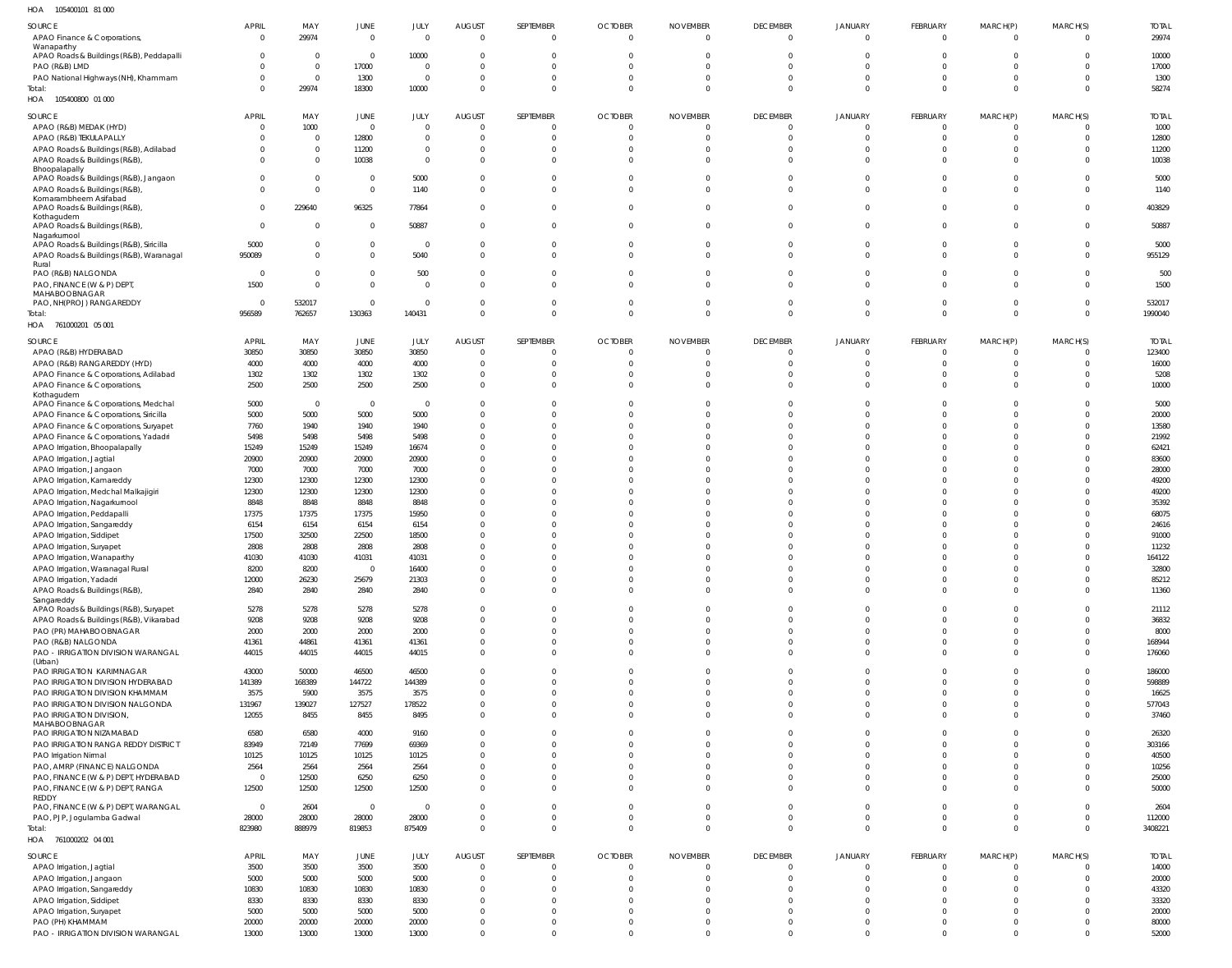| HOA<br>105400101 81 000                                                         |                          |                            |                       |                      |                                  |                      |                                  |                                   |                             |                            |                      |                            |                              |                        |
|---------------------------------------------------------------------------------|--------------------------|----------------------------|-----------------------|----------------------|----------------------------------|----------------------|----------------------------------|-----------------------------------|-----------------------------|----------------------------|----------------------|----------------------------|------------------------------|------------------------|
| SOURCE                                                                          | <b>APRIL</b>             | MAY                        | JUNE                  | JULY                 | <b>AUGUST</b>                    | SEPTEMBER            | <b>OCTOBER</b>                   | <b>NOVEMBER</b>                   | <b>DECEMBER</b>             | <b>JANUARY</b>             | FEBRUARY             | MARCH(P)                   | MARCH(S)                     | <b>TOTAL</b>           |
| APAO Finance & Corporations,<br>Wanaparthy                                      | $\overline{0}$           | 29974                      | $\overline{0}$        | $\Omega$             | $\overline{0}$                   | $\overline{0}$       | $\overline{0}$                   | $\overline{0}$                    | $\Omega$                    | $\Omega$                   | $\Omega$             | $\mathbf{0}$               | $\Omega$                     | 29974                  |
| APAO Roads & Buildings (R&B), Peddapalli                                        | $\mathbf{0}$             | $\mathbf 0$                | $\mathbf 0$           | 10000                | $\overline{0}$                   | $\mathbf{0}$         | $\Omega$                         | 0                                 | $\Omega$                    | $\Omega$                   | $\Omega$             | $\mathbf{0}$               | $\Omega$                     | 10000                  |
| PAO (R&B) LMD<br>PAO National Highways (NH), Khammam                            | $\Omega$<br>$\Omega$     | $\mathbf 0$<br>$\mathbf 0$ | 17000<br>1300         | $\Omega$<br>$\Omega$ | $\overline{0}$<br>$\overline{0}$ | $\Omega$<br>$\Omega$ | $\Omega$<br>$\Omega$             | $\Omega$<br>$\Omega$              | $\Omega$<br>$\Omega$        | $\Omega$<br>$\Omega$       | $\Omega$<br>$\Omega$ | $\Omega$<br>$\Omega$       | $\Omega$<br>$\Omega$         | 17000<br>1300          |
| Total:                                                                          | $\Omega$                 | 29974                      | 18300                 | 10000                | $\overline{0}$                   | $\Omega$             | $\Omega$                         | $\mathbf 0$                       | $\Omega$                    | $\Omega$                   | $\Omega$             | $\overline{0}$             | $\Omega$                     | 58274                  |
| HOA  105400800  01 000                                                          |                          |                            |                       |                      |                                  |                      |                                  |                                   |                             |                            |                      |                            |                              |                        |
| SOURCE                                                                          | <b>APRIL</b>             | MAY                        | <b>JUNE</b>           | JULY                 | <b>AUGUST</b>                    | SEPTEMBER            | <b>OCTOBER</b>                   | <b>NOVEMBER</b>                   | <b>DECEMBER</b>             | <b>JANUARY</b>             | FEBRUARY             | MARCH(P)                   | MARCH(S)                     | <b>TOTAL</b>           |
| APAO (R&B) MEDAK (HYD)<br>APAO (R&B) TEKULAPALLY                                | $\mathbf{0}$<br>$\Omega$ | 1000<br>$\mathbf 0$        | $\mathbf 0$<br>12800  | $\Omega$<br>$\Omega$ | $\overline{0}$<br>$\overline{0}$ | - 0<br>$\Omega$      | - 0<br>$\circ$                   | $\mathbf 0$<br>$\mathbf 0$        | $\Omega$<br>$\Omega$        | $\Omega$<br>$\Omega$       | $\Omega$<br>$\Omega$ | 0<br>$\overline{0}$        | $\Omega$<br>$\Omega$         | 1000<br>12800          |
| APAO Roads & Buildings (R&B), Adilabad                                          | $\Omega$                 | $\mathbf 0$                | 11200                 | $\Omega$             | $\overline{0}$                   |                      | -0                               | 0                                 | $\Omega$                    | $\Omega$                   | $\Omega$             | 0                          | $\Omega$                     | 11200                  |
| APAO Roads & Buildings (R&B),                                                   | $\Omega$                 | $\mathbf 0$                | 10038                 | $\Omega$             | $\overline{0}$                   | $\mathbf{0}$         | $\mathbf{0}$                     | 0                                 | $\Omega$                    | $\Omega$                   | $\Omega$             | $\mathbf{0}$               | $\Omega$                     | 10038                  |
| Bhoopalapally<br>APAO Roads & Buildings (R&B), Jangaon                          | $\mathbf 0$              | $\mathbf 0$                | $\mathbf 0$           | 5000                 | $\overline{0}$                   | $\Omega$             | $\Omega$                         | 0                                 | $\Omega$                    | $\Omega$                   | $\Omega$             | $\mathbf 0$                | $\Omega$                     | 5000                   |
| APAO Roads & Buildings (R&B),                                                   | $\Omega$                 | $\mathbf 0$                | $\overline{0}$        | 1140                 | $\overline{0}$                   | $\Omega$             | $\Omega$                         | $\Omega$                          | $\Omega$                    | $\Omega$                   | $\Omega$             | $\Omega$                   | $\Omega$                     | 1140                   |
| Komarambheem Asifabad<br>APAO Roads & Buildings (R&B),                          | $\mathbf{0}$             | 229640                     | 96325                 | 77864                | $\overline{0}$                   | $\Omega$             | $\Omega$                         | $\mathbf 0$                       | $\Omega$                    | $\Omega$                   | $\Omega$             | $\mathbf{0}$               | $\Omega$                     | 403829                 |
| Kothagudem                                                                      | $\mathbf 0$              |                            |                       |                      |                                  | $\Omega$             |                                  |                                   | $\Omega$                    | $\Omega$                   | $\Omega$             |                            | $\Omega$                     |                        |
| APAO Roads & Buildings (R&B),<br>Nagarkurnool                                   |                          | $\mathbf 0$                | $\overline{0}$        | 50887                | $\overline{0}$                   |                      | $\mathbf 0$                      | $\mathbf 0$                       |                             |                            |                      | $\mathbf{0}$               |                              | 50887                  |
| APAO Roads & Buildings (R&B), Siricilla                                         | 5000                     | $\mathbf 0$                | $\overline{0}$        | $\Omega$             | $\overline{0}$                   | $\Omega$             | $\overline{0}$                   | $\overline{0}$                    | $\Omega$                    | $\overline{0}$             | $\Omega$             | $\mathbf{0}$               | $\Omega$                     | 5000                   |
| APAO Roads & Buildings (R&B), Waranagal<br>Rural                                | 950089                   | $\mathbf 0$                | $\overline{0}$        | 5040                 | $\overline{0}$                   | $\Omega$             | $\Omega$                         | $\mathbf 0$                       | $\Omega$                    | $\Omega$                   | $\Omega$             | $\mathbf{0}$               | $\Omega$                     | 955129                 |
| PAO (R&B) NALGONDA                                                              | $\overline{0}$           | $\mathbf 0$                | $\overline{0}$        | 500                  | $\overline{0}$                   | $\Omega$             | $\overline{0}$                   | $\mathbf 0$                       | $\Omega$                    | $\overline{0}$             | $\Omega$             | $\overline{0}$             | $\Omega$                     | 500                    |
| PAO, FINANCE (W & P) DEPT<br>MAHABOOBNAGAR                                      | 1500                     | $\mathbf 0$                | $\overline{0}$        | $\Omega$             | $\overline{0}$                   | $\Omega$             | $\Omega$                         | $\mathbf 0$                       | $\Omega$                    | $\Omega$                   | $\Omega$             | $\mathbf{0}$               | $\Omega$                     | 1500                   |
| PAO, NH(PROJ) RANGAREDDY                                                        | $\Omega$                 | 532017                     | $\overline{0}$        | $\Omega$             | $\overline{0}$                   | $\Omega$             | - 0                              | $\overline{0}$                    | $\Omega$                    | $\overline{0}$             | $\Omega$             | $\overline{0}$             | $\Omega$                     | 532017                 |
| Total:<br>HOA 761000201 05 001                                                  | 956589                   | 762657                     | 130363                | 140431               | $\overline{0}$                   | $\overline{0}$       | $\overline{0}$                   | $\mathbf 0$                       | $\overline{0}$              | $\overline{0}$             | $\Omega$             | $\overline{0}$             | $\mathbf{0}$                 | 1990040                |
|                                                                                 |                          |                            |                       |                      |                                  |                      |                                  |                                   |                             |                            |                      |                            | MARCH(S)                     |                        |
| SOURCE<br>APAO (R&B) HYDERABAD                                                  | <b>APRIL</b><br>30850    | MAY<br>30850               | JUNE<br>30850         | JULY<br>30850        | <b>AUGUST</b><br>$\overline{0}$  | SEPTEMBER<br>$\circ$ | <b>OCTOBER</b><br>$\overline{0}$ | <b>NOVEMBER</b><br>$\overline{0}$ | <b>DECEMBER</b><br>$\Omega$ | <b>JANUARY</b><br>$\Omega$ | FEBRUARY<br>$\Omega$ | MARCH(P)<br>$\overline{0}$ | $\Omega$                     | <b>TOTAL</b><br>123400 |
| APAO (R&B) RANGAREDDY (HYD)                                                     | 4000                     | 4000                       | 4000                  | 4000                 | $\overline{0}$                   | $\Omega$             | - 0                              | $\mathbf 0$                       | $\Omega$                    | $\Omega$                   | $\Omega$             | $\overline{0}$             | $\Omega$                     | 16000                  |
| APAO Finance & Corporations, Adilabad                                           | 1302                     | 1302                       | 1302                  | 1302                 | $\overline{0}$                   | $\overline{0}$       | $\overline{0}$                   | 0                                 | $\overline{0}$              | $\overline{0}$             | $\Omega$             | 0                          | $\Omega$                     | 5208                   |
| APAO Finance & Corporations,<br>Kothagudem                                      | 2500                     | 2500                       | 2500                  | 2500                 | $\overline{0}$                   | $\Omega$             | $\Omega$                         | $\Omega$                          | $\Omega$                    | $\Omega$                   | $\Omega$             | $\Omega$                   | $\Omega$                     | 10000                  |
| APAO Finance & Corporations, Medchal                                            | 5000                     | $\mathbf 0$                | $\overline{0}$        | - 0                  | $\Omega$                         |                      | $\Omega$                         | $\Omega$                          |                             | $\Omega$                   |                      | $\Omega$                   | <sup>0</sup>                 | 5000                   |
| APAO Finance & Corporations, Siricilla<br>APAO Finance & Corporations, Suryapet | 5000<br>7760             | 5000<br>1940               | 5000<br>1940          | 5000<br>1940         | $\Omega$<br>$\overline{0}$       |                      | $\Omega$<br>$\Omega$             | $\Omega$<br>$\Omega$              | $\Omega$<br>$\Omega$        | $\Omega$<br>$\Omega$       | $\Omega$             | $\Omega$<br>$\Omega$       | $\Omega$<br>$\Omega$         | 20000<br>13580         |
| APAO Finance & Corporations, Yadadri                                            | 5498                     | 5498                       | 5498                  | 5498                 | $\overline{0}$                   |                      | $\Omega$                         | $\Omega$                          | $\Omega$                    | $\Omega$                   | $\Omega$             | $\Omega$                   | $\Omega$                     | 21992                  |
| APAO Irrigation, Bhoopalapally                                                  | 15249                    | 15249                      | 15249                 | 16674                | $\Omega$                         |                      | $\Omega$                         | $\Omega$                          | $\Omega$                    | $\Omega$                   | $\Omega$             | $\Omega$                   | <sup>0</sup>                 | 62421                  |
| APAO Irrigation, Jagtial                                                        | 20900<br>7000            | 20900<br>7000              | 20900<br>7000         | 20900<br>7000        | $\overline{0}$<br>$\overline{0}$ |                      | $\Omega$<br>$\Omega$             | $\Omega$<br>$\Omega$              | $\Omega$<br>$\Omega$        | $\Omega$                   | $\Omega$             | $\Omega$<br>$\Omega$       | $\Omega$<br>$\Omega$         | 83600<br>28000         |
| APAO Irrigation, Jangaon<br>APAO Irrigation, Kamareddy                          | 12300                    | 12300                      | 12300                 | 12300                | $\Omega$                         |                      | $\Omega$                         | $\Omega$                          | $\Omega$                    | $\Omega$                   | $\Omega$             | $\Omega$                   | $\Omega$                     | 49200                  |
| APAO Irrigation, Medchal Malkajigiri                                            | 12300                    | 12300                      | 12300                 | 12300                | $\Omega$                         |                      | $\Omega$                         | $\Omega$                          | $\Omega$                    | $\Omega$                   | $\Omega$             | $\Omega$                   | <sup>0</sup>                 | 49200                  |
| APAO Irrigation, Nagarkurnool                                                   | 8848                     | 8848                       | 8848                  | 8848                 | $\Omega$                         |                      | $\Omega$                         | $\Omega$                          |                             |                            | $\Omega$             | $\Omega$                   | <sup>0</sup>                 | 35392                  |
| APAO Irrigation, Peddapalli<br>APAO Irrigation, Sangareddy                      | 17375<br>6154            | 17375<br>6154              | 17375<br>6154         | 15950<br>6154        | $\Omega$<br>$\Omega$             |                      | $\Omega$<br>$\Omega$             | $\Omega$<br>$\Omega$              | $\Omega$<br>$\Omega$        |                            | $\Omega$<br>$\Omega$ | $\Omega$<br>$\Omega$       | <sup>0</sup><br><sup>0</sup> | 68075<br>24616         |
| APAO Irrigation, Siddipet                                                       | 17500                    | 32500                      | 22500                 | 18500                | $\Omega$                         |                      | $\Omega$                         | $\Omega$                          | $\Omega$                    | $\Omega$                   | $\Omega$             | -C                         |                              | 91000                  |
| APAO Irrigation, Suryapet                                                       | 2808                     | 2808                       | 2808                  | 2808                 | $\Omega$                         |                      | $\Omega$                         | $\Omega$                          | $\Omega$                    | $\Omega$                   | $\Omega$             | $\Omega$                   | $\Omega$                     | 11232                  |
| APAO Irrigation, Wanapartny<br>APAO Irrigation, Waranagal Rural                 | 41030<br>8200            | 41030<br>8200              | 41031<br>$\mathbf{0}$ | 41031<br>16400       | $\overline{0}$                   |                      | $\Omega$                         | $\Omega$                          | $\Omega$                    | $\Omega$                   | $\Omega$             | $\Omega$                   | $\Omega$                     | 164122<br>32800        |
| APAO Irrigation, Yadadri                                                        | 12000                    | 26230                      | 25679                 | 21303                | $\mathbf 0$                      | $\Omega$             | $\Omega$                         | $\Omega$                          | $\overline{0}$              | $\overline{0}$             | $\overline{0}$       | $\Omega$                   | $\Omega$                     | 85212                  |
| APAO Roads & Buildings (R&B),<br>Sangareddy                                     | 2840                     | 2840                       | 2840                  | 2840                 | $\overline{0}$                   | $\Omega$             | $\Omega$                         | $\Omega$                          | $\Omega$                    | $\Omega$                   | $\Omega$             | $\Omega$                   | $\Omega$                     | 11360                  |
| APAO Roads & Buildings (R&B), Suryapet                                          | 5278                     | 5278                       | 5278                  | 5278                 | $\overline{0}$                   | $\Omega$             | $\Omega$                         | $\Omega$                          | $\Omega$                    | $\Omega$                   | $\Omega$             | $\Omega$                   | $\Omega$                     | 21112                  |
| APAO Roads & Buildings (R&B), Vikarabad                                         | 9208                     | 9208                       | 9208                  | 9208                 | $\mathbf{0}$                     | $\Omega$             | $\Omega$                         | $\Omega$                          | $\Omega$                    | $\Omega$                   | $\Omega$             | $\Omega$                   | $\Omega$                     | 36832                  |
| PAO (PR) MAHABOOBNAGAR<br>PAO (R&B) NALGONDA                                    | 2000<br>41361            | 2000<br>44861              | 2000<br>41361         | 2000<br>41361        | $\mathbf{0}$<br>$\mathbf{0}$     | $\Omega$<br>$\Omega$ | $\Omega$<br>$\Omega$             | $\Omega$<br>$\Omega$              | $\Omega$<br>$\Omega$        | $\Omega$<br>$\Omega$       | $\Omega$<br>$\Omega$ | $\Omega$<br>$\Omega$       | $\Omega$<br>$\Omega$         | 8000<br>168944         |
| PAO - IRRIGATION DIVISION WARANGAL                                              | 44015                    | 44015                      | 44015                 | 44015                | $\mathbf{0}$                     | $\Omega$             | $\Omega$                         | $\Omega$                          | $\Omega$                    | $\Omega$                   | $\Omega$             | $\Omega$                   | $\Omega$                     | 176060                 |
| (Urban)<br>PAO IRRIGATION KARIMNAGAR                                            | 43000                    | 50000                      | 46500                 | 46500                | $\overline{0}$                   | $\Omega$             | $\Omega$                         | $\Omega$                          | $\Omega$                    | $\Omega$                   | $\Omega$             | $\Omega$                   | $\Omega$                     | 186000                 |
| PAO IRRIGATION DIVISION HYDERABAD                                               | 141389                   | 168389                     | 144722                | 144389               | $\mathbf{0}$                     | $\Omega$             | $\Omega$                         | $\Omega$                          | $\Omega$                    | $\Omega$                   | $\Omega$             | $\Omega$                   | $\Omega$                     | 598889                 |
| PAO IRRIGATION DIVISION KHAMMAM                                                 | 3575                     | 5900                       | 3575                  | 3575                 | $\mathbf{0}$                     | $\Omega$             | $\Omega$                         | $\Omega$                          | $\Omega$                    | $\Omega$                   | $\Omega$             | $\Omega$                   | $\Omega$                     | 16625                  |
| PAO IRRIGATION DIVISION NALGONDA<br>PAO IRRIGATION DIVISION,                    | 131967<br>12055          | 139027<br>8455             | 127527<br>8455        | 178522<br>8495       | $\mathbf{0}$<br>$\mathbf{0}$     | $\Omega$<br>$\Omega$ | $\Omega$<br>$\Omega$             | $\mathbf 0$<br>$\Omega$           | $\Omega$<br>$\Omega$        | $\Omega$<br>$\Omega$       | $\Omega$<br>$\Omega$ | $\Omega$<br>$\Omega$       | $\Omega$<br>$\Omega$         | 577043<br>37460        |
| MAHABOOBNAGAR                                                                   |                          |                            |                       |                      |                                  |                      |                                  |                                   |                             |                            |                      |                            |                              |                        |
| PAO IRRIGATION NIZAMABAD<br>PAO IRRIGATION RANGA REDDY DISTRICT                 | 6580<br>83949            | 6580<br>72149              | 4000<br>77699         | 9160<br>69369        | $\overline{0}$<br>$\mathbf{0}$   | $\Omega$<br>$\Omega$ | $\Omega$<br>$\Omega$             | $\Omega$<br>$\Omega$              | $\Omega$<br>$\Omega$        | $\Omega$<br>$\Omega$       | $\Omega$<br>$\Omega$ | $\Omega$<br>$\Omega$       | $\Omega$<br>$\Omega$         | 26320<br>303166        |
| PAO Irrigation Nirmal                                                           | 10125                    | 10125                      | 10125                 | 10125                | $\mathbf{0}$                     | $\Omega$             | $\Omega$                         | $\Omega$                          | $\Omega$                    | $\Omega$                   | $\Omega$             | $\Omega$                   | $\Omega$                     | 40500                  |
| PAO, AMRP (FINANCE) NALGONDA                                                    | 2564                     | 2564                       | 2564                  | 2564                 | $\overline{0}$                   | $\Omega$             | $\Omega$                         | $\Omega$                          | $\Omega$                    | $\Omega$                   | $\Omega$             | $\Omega$                   | $\Omega$                     | 10256                  |
| PAO, FINANCE (W & P) DEPT, HYDERABAD                                            | $\overline{0}$           | 12500                      | 6250                  | 6250                 | $\mathbf{0}$                     | $\Omega$             | $\Omega$                         | $\Omega$                          | $\Omega$                    | $\Omega$<br>$\Omega$       | $\Omega$             | $\Omega$                   | $\Omega$                     | 25000                  |
| PAO, FINANCE (W & P) DEPT, RANGA<br>REDDY                                       | 12500                    | 12500                      | 12500                 | 12500                | $\Omega$                         | $\Omega$             | $\Omega$                         | $\Omega$                          | $\Omega$                    |                            | $\Omega$             | $\Omega$                   | $\Omega$                     | 50000                  |
| PAO, FINANCE (W & P) DEPT, WARANGAL                                             | $\overline{0}$           | 2604                       | $\overline{0}$        | $\Omega$             | $\overline{0}$                   | $\Omega$             | $\Omega$                         | $\Omega$                          | $\Omega$                    | $\Omega$                   | $\Omega$             | $\Omega$                   | $\Omega$                     | 2604                   |
| PAO, PJP, Jogulamba Gadwal<br>Total:                                            | 28000<br>823980          | 28000<br>888979            | 28000<br>819853       | 28000<br>875409      | $\mathbf{0}$<br>$\overline{0}$   | $\Omega$<br>$\Omega$ | $\overline{0}$<br>$\Omega$       | $\overline{0}$<br>$\Omega$        | $\Omega$<br>$\Omega$        | $\Omega$<br>$\Omega$       | $\Omega$<br>$\Omega$ | $\Omega$<br>$\Omega$       | $\Omega$<br>$\Omega$         | 112000<br>3408221      |
| HOA 761000202 04 001                                                            |                          |                            |                       |                      |                                  |                      |                                  |                                   |                             |                            |                      |                            |                              |                        |
| SOURCE                                                                          | <b>APRIL</b>             | MAY                        | <b>JUNE</b>           | JULY                 | <b>AUGUST</b>                    | SEPTEMBER            | <b>OCTOBER</b>                   | <b>NOVEMBER</b>                   | <b>DECEMBER</b>             | <b>JANUARY</b>             | FEBRUARY             | MARCH(P)                   | MARCH(S)                     | <b>TOTAL</b>           |
| APAO Irrigation, Jagtial                                                        | 3500                     | 3500                       | 3500                  | 3500                 | $\overline{0}$                   | - 0                  | $\overline{0}$                   | $\mathbf 0$                       | $\overline{0}$              | $\overline{0}$             | $\overline{0}$       | $\overline{0}$             | $\Omega$                     | 14000                  |
| APAO Irrigation, Jangaon                                                        | 5000                     | 5000                       | 5000                  | 5000                 | $\overline{0}$<br>$\overline{0}$ | $\Omega$             | $\overline{0}$                   | $\mathbf 0$                       | $\Omega$                    | $\Omega$<br>$\Omega$       | $\Omega$             | $\overline{0}$             | $\Omega$                     | 20000                  |
| APAO Irrigation, Sangareddy<br>APAO Irrigation, Siddipet                        | 10830<br>8330            | 10830<br>8330              | 10830<br>8330         | 10830<br>8330        | $\mathbf{0}$                     | $\Omega$<br>$\Omega$ | $\Omega$<br>$\Omega$             | $\mathbf 0$<br>$\Omega$           | $\Omega$<br>$\Omega$        | $\Omega$                   | $\Omega$<br>$\Omega$ | $\Omega$<br>$\Omega$       | $\Omega$<br>$\Omega$         | 43320<br>33320         |
| APAO Irrigation, Suryapet                                                       | 5000                     | 5000                       | 5000                  | 5000                 | $\mathbf{0}$                     | $\Omega$             | $\Omega$                         | $\Omega$                          | $\Omega$                    | $\Omega$                   | $\Omega$             | $\Omega$                   | $\Omega$                     | 20000                  |
| PAO (PH) KHAMMAM                                                                | 20000                    | 20000                      | 20000                 | 20000                | $\mathbf{0}$                     | $\Omega$             | $\Omega$                         | $\mathbf 0$                       | $\mathbf{0}$                | $\Omega$                   | $\Omega$             | $\overline{0}$             | $\Omega$                     | 80000                  |
| PAO - IRRIGATION DIVISION WARANGAL                                              | 13000                    | 13000                      | 13000                 | 13000                | $\mathbf{0}$                     | $\Omega$             | $\Omega$                         | $\mathbf 0$                       | $\Omega$                    | $\Omega$                   | $\Omega$             | $\Omega$                   | $\Omega$                     | 52000                  |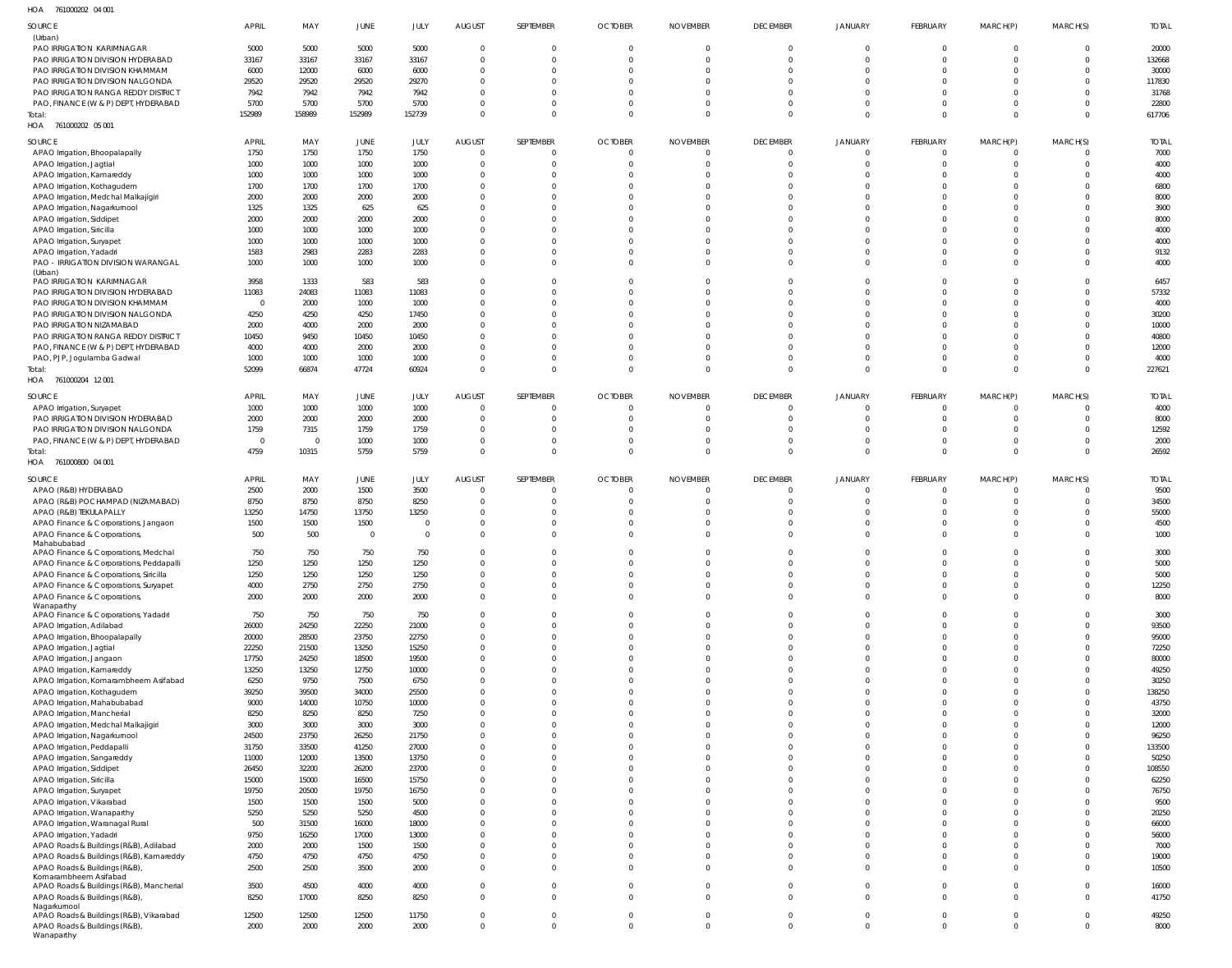761000202 04 001 HOA

| SOURCE                                      | <b>APRIL</b>   | MAY      | <b>JUNE</b>    | JULY           | <b>AUGUST</b>  | SEPTEMBER      | <b>OCTOBER</b> | <b>NOVEMBER</b> | <b>DECEMBER</b> | <b>JANUARY</b> | FEBRUARY       | MARCH(P)       | MARCH(S)       | <b>TOTAL</b> |
|---------------------------------------------|----------------|----------|----------------|----------------|----------------|----------------|----------------|-----------------|-----------------|----------------|----------------|----------------|----------------|--------------|
| (Urban)                                     |                |          |                |                |                |                |                |                 |                 |                |                |                |                |              |
| PAO IRRIGATION KARIMNAGAR                   | 5000           | 5000     | 5000           | 5000           | $\overline{0}$ | $\mathbf{0}$   | $\mathbf{0}$   | $\Omega$        | $\mathbf 0$     | $\overline{0}$ | $\overline{0}$ | $\overline{0}$ | $\overline{0}$ | 20000        |
| PAO IRRIGATION DIVISION HYDERABAD           | 33167          | 33167    | 33167          | 33167          | $\overline{0}$ | $\Omega$       | $\Omega$       |                 | $\Omega$        | $\Omega$       | $\Omega$       | $\Omega$       | $\Omega$       | 132668       |
|                                             |                |          |                |                |                |                |                |                 |                 |                |                |                |                |              |
| PAO IRRIGATION DIVISION KHAMMAM             | 6000           | 12000    | 6000           | 6000           | 0              | $\Omega$       | $\Omega$       |                 | $\Omega$        |                | $\Omega$       | $\Omega$       | $\Omega$       | 30000        |
| PAO IRRIGATION DIVISION NALGONDA            | 29520          | 29520    | 29520          | 29270          | $\mathbf{0}$   | $\Omega$       | $\Omega$       |                 | $\Omega$        | $\Omega$       | $\Omega$       | $\Omega$       | $\Omega$       | 117830       |
| PAO IRRIGATION RANGA REDDY DISTRICT         | 7942           | 7942     | 7942           | 7942           | $\Omega$       | $\Omega$       | $\Omega$       |                 | $\Omega$        |                | $\Omega$       | $\Omega$       | $\Omega$       | 31768        |
| PAO, FINANCE (W & P) DEPT, HYDERABAD        | 5700           | 5700     | 5700           | 5700           | $\mathbf{0}$   | $\mathbf 0$    | $\Omega$       |                 | $\Omega$        | $\Omega$       | $\overline{0}$ | $\mathbf{0}$   | $\Omega$       | 22800        |
| Total:                                      | 152989         | 158989   | 152989         | 152739         | $\Omega$       | $\Omega$       | $\Omega$       | $\Omega$        | $\Omega$        | $\Omega$       | $\Omega$       | $\Omega$       | $\Omega$       | 617706       |
| HOA 761000202 05 001                        |                |          |                |                |                |                |                |                 |                 |                |                |                |                |              |
|                                             |                |          |                |                |                |                |                |                 |                 |                |                |                |                |              |
| SOURCE                                      | <b>APRIL</b>   | MAY      | <b>JUNE</b>    | JULY           | <b>AUGUST</b>  | SEPTEMBER      | <b>OCTOBER</b> | <b>NOVEMBER</b> | <b>DECEMBER</b> | <b>JANUARY</b> | FEBRUARY       | MARCH(P)       | MARCH(S)       | <b>TOTAL</b> |
| APAO Irrigation, Bhoopalapally              | 1750           | 1750     | 1750           | 1750           | $\overline{0}$ | $\overline{0}$ | $\mathbf{0}$   |                 | $\Omega$        | $\overline{0}$ | $\overline{0}$ | $\mathbf{0}$   | $\overline{0}$ | 7000         |
|                                             |                |          | 1000           |                |                | $\Omega$       | $\Omega$       |                 | $\Omega$        | $\Omega$       | $\overline{0}$ |                | $\Omega$       |              |
| APAO Irrigation, Jagtial                    | 1000           | 1000     |                | 1000           | $\overline{0}$ |                |                |                 |                 |                |                | $\mathbf{0}$   |                | 4000         |
| APAO Irrigation, Kamareddy                  | 1000           | 1000     | 1000           | 1000           | $\overline{0}$ | $\Omega$       | 0              |                 | $\Omega$        | $\Omega$       | $\Omega$       | $\Omega$       | $\Omega$       | 4000         |
| APAO Irrigation, Kothagudem                 | 1700           | 1700     | 1700           | 1700           | $\overline{0}$ | $\Omega$       |                |                 |                 |                | $\Omega$       | $\Omega$       |                | 6800         |
| APAO Irrigation, Medchal Malkajigiri        | 2000           | 2000     | 2000           | 2000           | $\overline{0}$ | $\Omega$       |                |                 | $\Omega$        |                | $\Omega$       | $\Omega$       |                | 8000         |
| APAO Irrigation, Nagarkurnool               | 1325           | 1325     | 625            | 625            | $\Omega$       | $\Omega$       | 0              |                 | <sup>0</sup>    |                | $\Omega$       | $\Omega$       | $\Omega$       | 3900         |
| APAO Irrigation, Siddipet                   | 2000           | 2000     | 2000           | 2000           | $\Omega$       | $\Omega$       |                |                 |                 |                | $\Omega$       | $\Omega$       |                | 8000         |
| APAO Irrigation, Siricilla                  | 1000           | 1000     | 1000           | 1000           | $\Omega$       | $\Omega$       | <sup>0</sup>   |                 |                 |                | $\Omega$       | $\Omega$       | <sup>0</sup>   | 4000         |
|                                             |                |          |                |                |                |                |                |                 |                 |                |                |                |                |              |
| APAO Irrigation, Suryapet                   | 1000           | 1000     | 1000           | 1000           | $\Omega$       | $\Omega$       |                |                 | $\Omega$        |                | $\Omega$       | $\Omega$       | $\Omega$       | 4000         |
| APAO Irrigation, Yadadri                    | 1583           | 2983     | 2283           | 2283           | $\Omega$       | $\Omega$       | $\Omega$       |                 | $\Omega$        | $\Omega$       | $\Omega$       | $\Omega$       | $\Omega$       | 9132         |
| PAO - IRRIGATION DIVISION WARANGAL          | 1000           | 1000     | 1000           | 1000           | $\Omega$       | $\Omega$       | $\Omega$       |                 | $\Omega$        | $\Omega$       | $\Omega$       | $\Omega$       | $\Omega$       | 4000         |
| (Urban)                                     |                |          |                |                |                |                |                |                 |                 |                |                |                |                |              |
| PAO IRRIGATION KARIMNAGAR                   | 3958           | 1333     | 583            | 583            | $\Omega$       | $\Omega$       | 0              |                 | $\Omega$        | $\Omega$       | $\Omega$       | $\Omega$       | $\Omega$       | 6457         |
| PAO IRRIGATION DIVISION HYDERABAD           | 11083          | 24083    | 11083          | 11083          | $\mathbf{0}$   | $\Omega$       | $\Omega$       |                 | $\Omega$        | $\Omega$       | $\Omega$       | $\Omega$       | $\Omega$       | 57332        |
| PAO IRRIGATION DIVISION KHAMMAM             | $\overline{0}$ | 2000     | 1000           | 1000           | $\Omega$       | $\Omega$       | 0              |                 | $\Omega$        |                | $\Omega$       | $\Omega$       | $\Omega$       | 4000         |
| PAO IRRIGATION DIVISION NALGONDA            | 4250           | 4250     | 4250           | 17450          | $\Omega$       | $\Omega$       |                |                 | $\Omega$        |                | $\Omega$       | $\Omega$       | $\Omega$       | 30200        |
|                                             |                |          |                |                |                |                |                |                 |                 |                | $\Omega$       |                |                |              |
| PAO IRRIGATION NIZAMABAD                    | 2000           | 4000     | 2000           | 2000           | $\Omega$       | $\Omega$       | 0              |                 |                 |                |                | $\Omega$       | $\Omega$       | 10000        |
| PAO IRRIGATION RANGA REDDY DISTRICT         | 10450          | 9450     | 10450          | 10450          | $\Omega$       | $\Omega$       |                |                 |                 |                | $\Omega$       | $\Omega$       | $\Omega$       | 40800        |
| PAO, FINANCE (W & P) DEPT, HYDERABAD        | 4000           | 4000     | 2000           | 2000           | $\Omega$       | $\Omega$       | 0              |                 |                 |                | $\Omega$       | $\Omega$       | $\Omega$       | 12000        |
| PAO, PJP, Jogulamba Gadwal                  | 1000           | 1000     | 1000           | 1000           | $\mathbf{0}$   | $\mathbf 0$    | $\Omega$       |                 | $\Omega$        | $\Omega$       | $\overline{0}$ | $\mathbf{0}$   | $\Omega$       | 4000         |
| Total:                                      | 52099          | 66874    | 47724          | 60924          | $\Omega$       | $\mathbf{0}$   | $\Omega$       | $\Omega$        | $\Omega$        | $\Omega$       | $\Omega$       | $\mathbf{0}$   | $\Omega$       | 227621       |
| 761000204 12 001<br>HOA                     |                |          |                |                |                |                |                |                 |                 |                |                |                |                |              |
|                                             |                |          |                |                |                |                |                |                 |                 |                |                |                |                |              |
| SOURCE                                      | <b>APRIL</b>   | MAY      | JUNE           | JULY           | <b>AUGUST</b>  | SEPTEMBER      | <b>OCTOBER</b> | <b>NOVEMBER</b> | <b>DECEMBER</b> | <b>JANUARY</b> | FEBRUARY       | MARCH(P)       | MARCH(S)       | <b>TOTAL</b> |
| APAO Irrigation, Suryapet                   | 1000           | 1000     | 1000           | 1000           | $\overline{0}$ | $\Omega$       | $\Omega$       |                 | $\Omega$        | $\Omega$       | $\overline{0}$ | 0              | $\Omega$       | 4000         |
| PAO IRRIGATION DIVISION HYDERABAD           | 2000           | 2000     | 2000           | 2000           | $\overline{0}$ | $\overline{0}$ | $\Omega$       |                 | $\Omega$        | $\Omega$       | $\overline{0}$ | $\mathbf{0}$   | $\Omega$       | 8000         |
|                                             |                |          |                |                |                |                |                |                 |                 |                |                |                |                |              |
| PAO IRRIGATION DIVISION NALGONDA            | 1759           | 7315     | 1759           | 1759           | $\overline{0}$ | $\Omega$       | $\Omega$       |                 | $\Omega$        | $\Omega$       | $\Omega$       | $\Omega$       | $\Omega$       | 12592        |
| PAO, FINANCE (W & P) DEPT, HYDERABAD        | $\overline{0}$ | $\Omega$ | 1000           | 1000           | $\mathbf{0}$   | $\overline{0}$ | $\Omega$       |                 | $\Omega$        | $\overline{0}$ | $\overline{0}$ | $\mathbf{0}$   | $\Omega$       | 2000         |
| Total:                                      | 4759           | 10315    | 5759           | 5759           | $\overline{0}$ | $\Omega$       | $\Omega$       | $\Omega$        | $\Omega$        | $\Omega$       | $\Omega$       | $\Omega$       | $\Omega$       | 26592        |
| HOA 761000800 04 001                        |                |          |                |                |                |                |                |                 |                 |                |                |                |                |              |
|                                             |                |          |                |                |                |                |                |                 |                 |                |                |                |                |              |
| SOURCE                                      | <b>APRIL</b>   | MAY      | <b>JUNE</b>    | JULY           | <b>AUGUST</b>  | SEPTEMBER      | <b>OCTOBER</b> | <b>NOVEMBER</b> | <b>DECEMBER</b> | <b>JANUARY</b> | FEBRUARY       | MARCH(P)       | MARCH(S)       | <b>TOTAL</b> |
| APAO (R&B) HYDERABAD                        | 2500           | 2000     | 1500           | 3500           | $\overline{0}$ | $\mathbf{0}$   | 0              |                 | $\Omega$        | $\Omega$       | $\overline{0}$ | $\mathbf{0}$   | $\Omega$       | 9500         |
| APAO (R&B) POCHAMPAD (NIZAMABAD)            | 8750           | 8750     | 8750           | 8250           | $\overline{0}$ | $\Omega$       | $\Omega$       |                 | $\Omega$        | $\Omega$       | $\overline{0}$ | $\mathbf{0}$   | $\Omega$       | 34500        |
| APAO (R&B) TEKULAPALLY                      | 13250          | 14750    | 13750          | 13250          | $\mathbf{0}$   | $\Omega$       | 0              |                 | $\Omega$        | $\Omega$       | $\Omega$       | $\Omega$       | $\Omega$       | 55000        |
|                                             | 1500           | 1500     | 1500           | 0              | $\mathbf{0}$   | $\Omega$       | 0              |                 | 0               |                | $\Omega$       | $\Omega$       |                | 4500         |
| APAO Finance & Corporations, Jangaon        |                |          |                |                |                |                |                |                 |                 |                |                |                |                |              |
| APAO Finance & Corporations,                | 500            | 500      | $\overline{0}$ | $\overline{0}$ | $\Omega$       | $\Omega$       | $\Omega$       |                 | $\Omega$        | $\Omega$       | $\Omega$       | $\Omega$       | $\Omega$       | 1000         |
| Mahabubabad                                 |                |          |                |                |                |                |                |                 |                 | $\Omega$       | $\Omega$       |                | $\Omega$       |              |
| APAO Finance & Corporations, Medchal        | 750            | 750      | 750            | 750            | $\Omega$       | $\Omega$       | $\Omega$       |                 | $\Omega$        |                |                | $\Omega$       |                | 3000         |
| APAO Finance & Corporations, Peddapalli     | 1250           | 1250     | 1250           | 1250           | $\cap$         |                |                |                 |                 |                |                |                |                | 5000         |
| APAO Finance & Corporations, Siricilla      | 1250           | 1250     | 1250           | 1250           | $\mathbf{0}$   | $\Omega$       |                |                 |                 |                | $\Omega$       | $\Omega$       | $\Omega$       | 5000         |
| APAO Finance & Corporations, Suryapet       | 4000           | 2750     | 2750           | 2750           | $\mathbf 0$    | $\mathbf 0$    | $\mathbf 0$    |                 | $\mathbf 0$     | $\overline{0}$ | $\overline{0}$ | $\mathbf 0$    | $\mathbf 0$    | 12250        |
| APAO Finance & Corporations,                | 2000           | 2000     | 2000           | 2000           | $\mathbf 0$    | $\mathbf{0}$   | $\Omega$       | $\Omega$        | $\Omega$        | $\Omega$       | $\Omega$       | $\Omega$       | $\Omega$       | 8000         |
| Wanaparthy                                  |                |          |                |                |                |                |                |                 |                 |                |                |                |                |              |
| APAO Finance & Corporations, Yadadri        | 750            | 750      | 750            | 750            | $\overline{0}$ | $\mathbf 0$    | $\Omega$       |                 | $\Omega$        | $\Omega$       | $\overline{0}$ | $\Omega$       | $\Omega$       | 3000         |
| APAO Irrigation, Adilabad                   | 26000          | 24250    | 22250          | 21000          | $\mathbf{0}$   | $\mathbf 0$    | $\Omega$       |                 | $\Omega$        | $\Omega$       | $\overline{0}$ | $\Omega$       | $\Omega$       | 93500        |
| APAO Irrigation, Bhoopalapally              | 20000          | 28500    | 23750          | 22750          | $\mathbf{0}$   | $\mathbf 0$    | $\Omega$       |                 | $\Omega$        | $\Omega$       | $\overline{0}$ | $\mathbf 0$    | $\Omega$       | 95000        |
|                                             |                |          |                |                |                | $\mathbf 0$    | $\Omega$       |                 | $\Omega$        | $\Omega$       | $\Omega$       | $\Omega$       | $\Omega$       |              |
| APAO Irrigation, Jagtial                    | 22250          | 21500    | 13250          | 15250          | $\mathbf{0}$   |                |                |                 |                 |                |                |                |                | 72250        |
| APAO Irrigation, Jangaon                    | 17750          | 24250    | 18500          | 19500          | $\mathbf{0}$   | $\Omega$       | $\Omega$       |                 | $\Omega$        | $\Omega$       | $\Omega$       | $\mathbf 0$    | $\Omega$       | 80000        |
| APAO Irrigation, Kamareddy                  | 13250          | 13250    | 12750          | 10000          | $\mathbf{0}$   | $\Omega$       | $\Omega$       |                 | $\Omega$        | $\Omega$       | $\Omega$       | $\Omega$       | $\Omega$       | 49250        |
| APAO Irrigation, Komarambheem Asifabad      | 6250           | 9750     | 7500           | 6750           | $\mathbf{0}$   | $\Omega$       | $\Omega$       |                 | $\Omega$        | $\Omega$       | $\Omega$       | $\Omega$       | $\Omega$       | 30250        |
| APAO Irrigation, Kothagudem                 | 39250          | 39500    | 34000          | 25500          | $\Omega$       | $\Omega$       | 0              |                 |                 | $\Omega$       | $\Omega$       | $\Omega$       | $\Omega$       | 138250       |
| APAO Irrigation, Mahabubabad                | 9000           | 14000    | 10750          | 10000          | $\mathbf{0}$   | $\Omega$       | $\Omega$       |                 | $\Omega$        | $\Omega$       | $\overline{0}$ | $\mathbf 0$    | $\Omega$       | 43750        |
| APAO Irrigation, Mancherial                 | 8250           | 8250     | 8250           | 7250           | $\mathbf{0}$   | $\Omega$       | $\Omega$       |                 | $\Omega$        | $\Omega$       | $\Omega$       | $\Omega$       | $\Omega$       | 32000        |
|                                             |                |          |                |                | $\mathbf{0}$   | $\Omega$       | $\Omega$       |                 | $\Omega$        | $\Omega$       | $\Omega$       | $\Omega$       | $\Omega$       |              |
| APAO Irrigation, Medchal Malkajigiri        | 3000           | 3000     | 3000           | 3000           |                |                |                |                 |                 |                |                |                |                | 12000        |
| APAO Irrigation, Nagarkurnool               | 24500          | 23750    | 26250          | 21750          | $\mathbf{0}$   | $\Omega$       | $\Omega$       |                 | $\Omega$        | $\Omega$       | $\Omega$       | $\Omega$       | $\Omega$       | 96250        |
| APAO Irrigation, Peddapalli                 | 31750          | 33500    | 41250          | 27000          | $\mathbf{0}$   | $\Omega$       | $\Omega$       |                 | $\Omega$        | $\Omega$       | $\Omega$       | $\Omega$       | $\Omega$       | 133500       |
| APAO Irrigation, Sangareddy                 | 11000          | 12000    | 13500          | 13750          | $\mathbf{0}$   | $\mathbf 0$    | $\Omega$       |                 | $\Omega$        | $\Omega$       | $\Omega$       | $\Omega$       | $\Omega$       | 50250        |
| APAO Irrigation, Siddipet                   | 26450          | 32200    | 26200          | 23700          | $\mathbf{0}$   | $\Omega$       | $\Omega$       |                 | $\Omega$        | $\Omega$       | $\Omega$       | $\Omega$       | $\Omega$       | 108550       |
| APAO Irrigation, Siricilla                  | 15000          | 15000    | 16500          | 15750          | $\Omega$       | $\Omega$       | $\Omega$       |                 | $\Omega$        | $\Omega$       | $\Omega$       | $\Omega$       | $\Omega$       | 62250        |
|                                             | 19750          | 20500    | 19750          | 16750          | $\mathbf{0}$   | $\Omega$       | $\Omega$       |                 | $\Omega$        | $\Omega$       | $\overline{0}$ | $\mathbf 0$    | $\Omega$       | 76750        |
| APAO Irrigation, Suryapet                   |                |          |                |                |                |                |                |                 |                 |                |                |                |                |              |
| APAO Irrigation, Vikarabad                  | 1500           | 1500     | 1500           | 5000           | $\mathbf{0}$   | $\Omega$       | $\Omega$       |                 | $\Omega$        | $\Omega$       | $\Omega$       | $\Omega$       | $\Omega$       | 9500         |
| APAO Irrigation, Wanaparthy                 | 5250           | 5250     | 5250           | 4500           | $\mathbf{0}$   | $\Omega$       | $\Omega$       |                 | $\Omega$        | $\Omega$       | $\Omega$       | $\Omega$       | $\Omega$       | 20250        |
| APAO Irrigation, Waranagal Rural            | 500            | 31500    | 16000          | 18000          | $\mathbf{0}$   | $\Omega$       | $\Omega$       |                 |                 | $\Omega$       | $\Omega$       | $\Omega$       | $\Omega$       | 66000        |
| APAO Irrigation, Yadadri                    | 9750           | 16250    | 17000          | 13000          | $\mathbf{0}$   | $\mathbf 0$    | $\Omega$       |                 | $\Omega$        | $\Omega$       | $\Omega$       | $\mathbf 0$    | $\Omega$       | 56000        |
| APAO Roads & Buildings (R&B), Adilabad      | 2000           | 2000     | 1500           | 1500           | $\mathbf{0}$   | $\mathbf 0$    | $\Omega$       |                 | $\Omega$        | $\Omega$       | $\overline{0}$ | $\Omega$       | $\Omega$       | 7000         |
| APAO Roads & Buildings (R&B), Kamareddy     | 4750           | 4750     | 4750           | 4750           | $\mathbf{0}$   | $\mathbf 0$    | $\Omega$       |                 | $\Omega$        | $\Omega$       | $\overline{0}$ | $\mathbf 0$    | $\Omega$       | 19000        |
|                                             | 2500           |          |                |                |                |                |                |                 |                 |                |                |                |                |              |
| APAO Roads & Buildings (R&B),               |                | 2500     | 3500           | 2000           | $\Omega$       | $\mathbf{0}$   | $\Omega$       | $\Omega$        | $\Omega$        | $\Omega$       | $\Omega$       | $\Omega$       | $\Omega$       | 10500        |
| Komarambheem Asifabad                       |                |          |                |                |                |                |                |                 |                 |                |                |                |                |              |
|                                             |                |          |                |                |                |                |                |                 |                 |                |                |                |                |              |
| APAO Roads & Buildings (R&B), Mancherial    | 3500           | 4500     | 4000           | 4000           | $\mathbf{0}$   | $\mathbf 0$    | $\Omega$       |                 | $\mathbf 0$     | $\overline{0}$ | $\overline{0}$ | $\mathbf 0$    | $\mathbf 0$    | 16000        |
| APAO Roads & Buildings (R&B),               | 8250           | 17000    | 8250           | 8250           | $\mathbf 0$    | $\mathbf{0}$   | $\mathbf 0$    | $\Omega$        | $\Omega$        | $\Omega$       | $\overline{0}$ | $\mathbf 0$    | $\Omega$       | 41750        |
| Nagarkurnool                                |                |          |                |                |                |                |                |                 |                 |                |                |                |                |              |
| APAO Roads & Buildings (R&B), Vikarabad     | 12500          | 12500    | 12500          | 11750          | $\overline{0}$ | $\mathbf{0}$   | $\mathbf 0$    | $\Omega$        | $\mathbf 0$     | $\overline{0}$ | $\overline{0}$ | $\overline{0}$ | $\mathbf{0}$   | 49250        |
| APAO Roads & Buildings (R&B),<br>Wanaparthy | 2000           | 2000     | 2000           | 2000           | $\mathbf{0}$   | $\mathbf{0}$   | $\mathbf 0$    | $\Omega$        | $\mathbf{0}$    | $\overline{0}$ | $\overline{0}$ | $\mathbf 0$    | $\mathbf 0$    | 8000         |